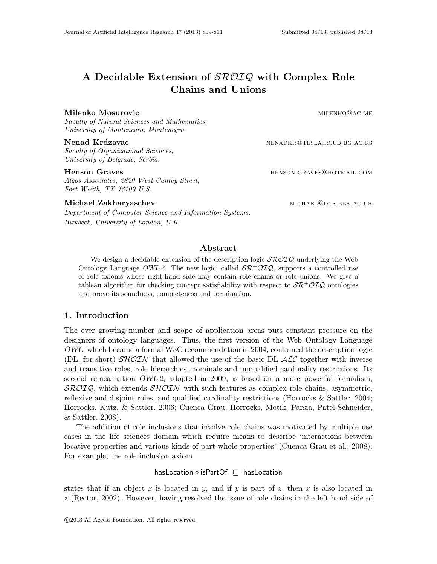# A Decidable Extension of SROIQ with Complex Role Chains and Unions

#### Milenko Mosurovic military and the milenko milenko ac.meters and the milenko milenko ac.meters are milenko mil

Faculty of Natural Sciences and Mathematics, University of Montenegro, Montenegro.

#### Nenad Krdzavac nenadkr har beste beste beste beste beste beste beste beste beste beste beste beste beste best

Faculty of Organizational Sciences, University of Belgrade, Serbia.

#### Henson Graves henson.graves@hotmail.com

Algos Associates, 2829 West Cantey Street, Fort Worth, TX 76109 U.S.

#### Michael Zakharyaschev michael michael@dcs.bbk.ac.uk

Department of Computer Science and Information Systems, Birkbeck, University of London, U.K.

#### Abstract

We design a decidable extension of the description logic  $\mathcal{SRO}\mathcal{ID}$  underlying the Web Ontology Language OWL 2. The new logic, called  $\mathcal{SR}^+\mathcal{O}(\mathcal{IQ})$ , supports a controlled use of role axioms whose right-hand side may contain role chains or role unions. We give a tableau algorithm for checking concept satisfiability with respect to  $\mathcal{SR}^+\mathcal{O}IQ$  ontologies and prove its soundness, completeness and termination.

## 1. Introduction

The ever growing number and scope of application areas puts constant pressure on the designers of ontology languages. Thus, the first version of the Web Ontology Language OWL, which became a formal W3C recommendation in 2004, contained the description logic (DL, for short)  $\mathcal{SHOLN}$  that allowed the use of the basic DL  $\mathcal{ALC}$  together with inverse and transitive roles, role hierarchies, nominals and unqualified cardinality restrictions. Its second reincarnation OWL 2, adopted in 2009, is based on a more powerful formalism,  $\mathcal{SROIQ}$ , which extends  $\mathcal{SHOIN}$  with such features as complex role chains, asymmetric, reflexive and disjoint roles, and qualified cardinality restrictions (Horrocks & Sattler, 2004; Horrocks, Kutz, & Sattler, 2006; Cuenca Grau, Horrocks, Motik, Parsia, Patel-Schneider, & Sattler, 2008).

The addition of role inclusions that involve role chains was motivated by multiple use cases in the life sciences domain which require means to describe 'interactions between locative properties and various kinds of part-whole properties' (Cuenca Grau et al., 2008). For example, the role inclusion axiom

## hasLocation  $\circ$  isPartOf  $\sqsubseteq$  hasLocation

states that if an object x is located in y, and if y is part of z, then x is also located in  $z$  (Rector, 2002). However, having resolved the issue of role chains in the left-hand side of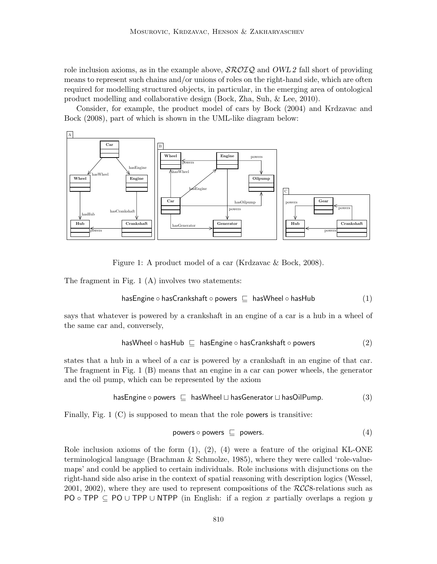role inclusion axioms, as in the example above,  $\mathcal{SROLQ}$  and  $OWL2$  fall short of providing means to represent such chains and/or unions of roles on the right-hand side, which are often required for modelling structured objects, in particular, in the emerging area of ontological product modelling and collaborative design (Bock, Zha, Suh, & Lee, 2010).

Consider, for example, the product model of cars by Bock (2004) and Krdzavac and Bock (2008), part of which is shown in the UML-like diagram below:



Figure 1: A product model of a car (Krdzavac & Bock, 2008).

The fragment in Fig. 1 (A) involves two statements:

$$
has Engine \circ hasCrankshaff \circ powers \sqsubseteq hasWheel \circ hashlib
$$
 (1)

says that whatever is powered by a crankshaft in an engine of a car is a hub in a wheel of the same car and, conversely,

$$
\mathsf{hasWheel} \circ \mathsf{hasHub} \ \sqsubseteq \ \mathsf{hasEngine} \circ \mathsf{hasCrankshaft} \circ \mathsf{powers} \tag{2}
$$

states that a hub in a wheel of a car is powered by a crankshaft in an engine of that car. The fragment in Fig. 1 (B) means that an engine in a car can power wheels, the generator and the oil pump, which can be represented by the axiom

$$
\mathsf{hasEngine} \circ \mathsf{powers} \subseteq \mathsf{hasWheel} \sqcup \mathsf{hasGenerator} \sqcup \mathsf{hasOilPump}.\tag{3}
$$

Finally, Fig. 1 (C) is supposed to mean that the role powers is transitive:

$$
powers \circ powers \sqsubseteq powers. \tag{4}
$$

Role inclusion axioms of the form  $(1)$ ,  $(2)$ ,  $(4)$  were a feature of the original KL-ONE terminological language (Brachman & Schmolze, 1985), where they were called 'role-valuemaps' and could be applied to certain individuals. Role inclusions with disjunctions on the right-hand side also arise in the context of spatial reasoning with description logics (Wessel, 2001, 2002), where they are used to represent compositions of the  $\mathcal{RCC}$ 8-relations such as PO ∘ TPP  $\subseteq$  PO ∪ TPP ∪ NTPP (in English: if a region x partially overlaps a region y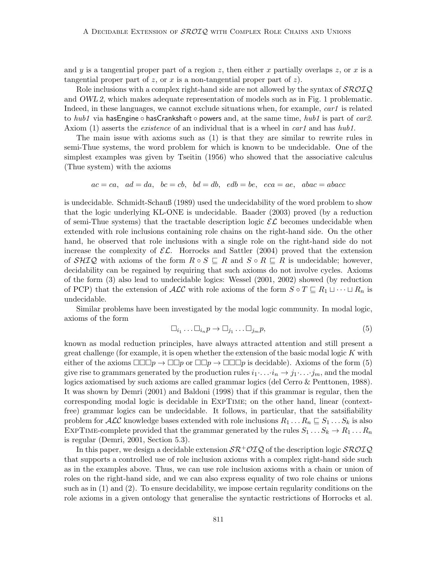and y is a tangential proper part of a region z, then either x partially overlaps z, or x is a tangential proper part of z, or x is a non-tangential proper part of z).

Role inclusions with a complex right-hand side are not allowed by the syntax of  $\mathcal{SROLQ}$ and OWL 2, which makes adequate representation of models such as in Fig. 1 problematic. Indeed, in these languages, we cannot exclude situations when, for example,  $car1$  is related to hub1 via hasEngine  $\circ$  hasCrankshaft  $\circ$  powers and, at the same time, hub1 is part of car2. Axiom (1) asserts the *existence* of an individual that is a wheel in *car1* and has hub1.

The main issue with axioms such as (1) is that they are similar to rewrite rules in semi-Thue systems, the word problem for which is known to be undecidable. One of the simplest examples was given by Tseitin (1956) who showed that the associative calculus (Thue system) with the axioms

$$
ac = ca
$$
,  $ad = da$ ,  $bc = cb$ ,  $bd = db$ ,  $edb = be$ ,  $eca = ae$ ,  $abac = abacc$ 

is undecidable. Schmidt-Schauß (1989) used the undecidability of the word problem to show that the logic underlying KL-ONE is undecidable. Baader (2003) proved (by a reduction of semi-Thue systems) that the tractable description logic  $\mathcal{EL}$  becomes undecidable when extended with role inclusions containing role chains on the right-hand side. On the other hand, he observed that role inclusions with a single role on the right-hand side do not increase the complexity of  $\mathcal{EL}$ . Horrocks and Sattler (2004) proved that the extension of  $\mathcal{SHLQ}$  with axioms of the form  $R \circ S \subseteq R$  and  $S \circ R \subseteq R$  is undecidable; however, decidability can be regained by requiring that such axioms do not involve cycles. Axioms of the form (3) also lead to undecidable logics: Wessel (2001, 2002) showed (by reduction of PCP) that the extension of  $\mathcal{ALC}$  with role axioms of the form  $S \circ T \sqsubseteq R_1 \sqcup \cdots \sqcup R_n$  is undecidable.

Similar problems have been investigated by the modal logic community. In modal logic, axioms of the form

$$
\Box_{i_1} \dots \Box_{i_n} p \to \Box_{j_1} \dots \Box_{j_m} p,\tag{5}
$$

known as modal reduction principles, have always attracted attention and still present a great challenge (for example, it is open whether the extension of the basic modal logic  $K$  with either of the axioms  $\square\square\square p \to \square\square p \to \square\square\neg p$  is decidable). Axioms of the form (5) give rise to grammars generated by the production rules  $i_1 \ldots i_n \rightarrow j_1 \ldots j_m$ , and the modal logics axiomatised by such axioms are called grammar logics (del Cerro & Penttonen, 1988). It was shown by Demri (2001) and Baldoni (1998) that if this grammar is regular, then the corresponding modal logic is decidable in ExpTime; on the other hand, linear (contextfree) grammar logics can be undecidable. It follows, in particular, that the satsifiability problem for  $\mathcal{ALC}$  knowledge bases extended with role inclusions  $R_1 \dots R_n \subseteq S_1 \dots S_k$  is also EXPTIME-complete provided that the grammar generated by the rules  $S_1 \dots S_k \to R_1 \dots R_n$ is regular (Demri, 2001, Section 5.3).

In this paper, we design a decidable extension  $\mathcal{SR}^+\mathcal{O}I\mathcal{Q}$  of the description logic  $\mathcal{SRO}I\mathcal{Q}$ that supports a controlled use of role inclusion axioms with a complex right-hand side such as in the examples above. Thus, we can use role inclusion axioms with a chain or union of roles on the right-hand side, and we can also express equality of two role chains or unions such as in (1) and (2). To ensure decidability, we impose certain regularity conditions on the role axioms in a given ontology that generalise the syntactic restrictions of Horrocks et al.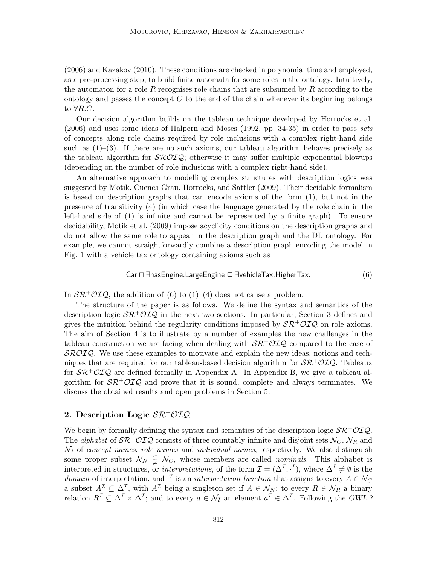(2006) and Kazakov (2010). These conditions are checked in polynomial time and employed, as a pre-processing step, to build finite automata for some roles in the ontology. Intuitively, the automaton for a role R recognises role chains that are subsumed by R according to the ontology and passes the concept  $C$  to the end of the chain whenever its beginning belongs to  $\forall R.C.$ 

Our decision algorithm builds on the tableau technique developed by Horrocks et al. (2006) and uses some ideas of Halpern and Moses (1992, pp. 34-35) in order to pass sets of concepts along role chains required by role inclusions with a complex right-hand side such as  $(1)-(3)$ . If there are no such axioms, our tableau algorithm behaves precisely as the tableau algorithm for  $\mathcal{SROLQ}$ ; otherwise it may suffer multiple exponential blowups (depending on the number of role inclusions with a complex right-hand side).

An alternative approach to modelling complex structures with description logics was suggested by Motik, Cuenca Grau, Horrocks, and Sattler (2009). Their decidable formalism is based on description graphs that can encode axioms of the form (1), but not in the presence of transitivity (4) (in which case the language generated by the role chain in the left-hand side of (1) is infinite and cannot be represented by a finite graph). To ensure decidability, Motik et al. (2009) impose acyclicity conditions on the description graphs and do not allow the same role to appear in the description graph and the DL ontology. For example, we cannot straightforwardly combine a description graph encoding the model in Fig. 1 with a vehicle tax ontology containing axioms such as

$$
\mathsf{Car} \sqcap \exists \mathsf{hasEngine}.\mathsf{LargeEngine} \sqsubseteq \exists \mathsf{vehicleTax}.\mathsf{Higher Tax}.\tag{6}
$$

In  $\mathcal{SR}^+\mathcal{O}IQ$ , the addition of (6) to (1)–(4) does not cause a problem.

The structure of the paper is as follows. We define the syntax and semantics of the description logic  $\mathcal{SR}^+\mathcal{O}(\mathcal{IQ})$  in the next two sections. In particular, Section 3 defines and gives the intuition behind the regularity conditions imposed by  $\mathcal{SR}^+\mathcal{O}IQ$  on role axioms. The aim of Section 4 is to illustrate by a number of examples the new challenges in the tableau construction we are facing when dealing with  $\mathcal{SR}^+\mathcal{O}IQ$  compared to the case of  $\mathcal{SROIQ}$ . We use these examples to motivate and explain the new ideas, notions and techniques that are required for our tableau-based decision algorithm for  $\mathcal{SR}^+\mathcal{O}IQ$ . Tableaux for  $\mathcal{S} \mathcal{R}^+\mathcal{O} \mathcal{I} \mathcal{Q}$  are defined formally in Appendix A. In Appendix B, we give a tableau algorithm for  $\mathcal{SR}^+\mathcal{O}I\mathcal{Q}$  and prove that it is sound, complete and always terminates. We discuss the obtained results and open problems in Section 5.

# 2. Description Logic  $\mathcal{SR}^+\mathcal{O} \mathcal{I} \mathcal{Q}$

We begin by formally defining the syntax and semantics of the description logic  $S\mathcal{R}^+\mathcal{O}I\mathcal{Q}$ . The alphabet of  $\mathcal{SR}^+\mathcal{O}IQ$  consists of three countably infinite and disjoint sets  $\mathcal{N}_C$ ,  $\mathcal{N}_R$  and  $\mathcal{N}_I$  of concept names, role names and individual names, respectively. We also distinguish some proper subset  $\mathcal{N}_N \subsetneq \mathcal{N}_C$ , whose members are called *nominals*. This alphabet is interpreted in structures, or *interpretations*, of the form  $\mathcal{I} = (\Delta^{\mathcal{I}}, \cdot^{\mathcal{I}})$ , where  $\Delta^{\mathcal{I}} \neq \emptyset$  is the *domain* of interpretation, and  $\cdot^{\mathcal{I}}$  is an *interpretation function* that assigns to every  $A \in \mathcal{N}_C$ a subset  $A^{\mathcal{I}} \subseteq \Delta^{\mathcal{I}}$ , with  $A^{\mathcal{I}}$  being a singleton set if  $A \in \mathcal{N}_N$ ; to every  $R \in \mathcal{N}_R$  a binary relation  $R^{\mathcal{I}} \subseteq \Delta^{\mathcal{I}} \times \Delta^{\mathcal{I}}$ ; and to every  $a \in \mathcal{N}_I$  an element  $a^{\mathcal{I}} \in \Delta^{\mathcal{I}}$ . Following the OWL 2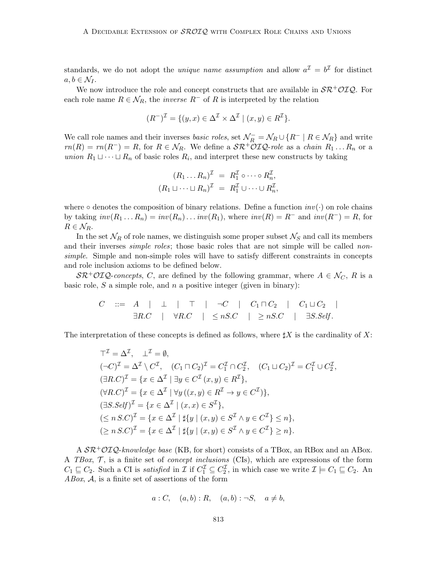standards, we do not adopt the *unique name assumption* and allow  $a^{\mathcal{I}} = b^{\mathcal{I}}$  for distinct  $a, b \in \mathcal{N}_I$ .

We now introduce the role and concept constructs that are available in  $\mathcal{SR}^+\mathcal{O}IQ$ . For each role name  $R \in \mathcal{N}_R$ , the *inverse*  $R^-$  of R is interpreted by the relation

$$
(R^{-})^{\mathcal{I}} = \{ (y, x) \in \Delta^{\mathcal{I}} \times \Delta^{\mathcal{I}} \mid (x, y) \in R^{\mathcal{I}} \}.
$$

We call role names and their inverses *basic roles*, set  $\mathcal{N}_R^- = \mathcal{N}_R \cup \{R^- | R \in \mathcal{N}_R\}$  and write  $rm(R) = rm(R<sup>-</sup>) = R$ , for  $R \in \mathcal{N}_R$ . We define a  $\mathcal{SR}^+\mathcal{O}I\mathcal{Q}$ -role as a chain  $R_1 \dots R_n$  or a union  $R_1 \sqcup \cdots \sqcup R_n$  of basic roles  $R_i$ , and interpret these new constructs by taking

$$
(R_1 \dots R_n)^{\mathcal{I}} = R_1^{\mathcal{I}} \circ \dots \circ R_n^{\mathcal{I}},
$$

$$
(R_1 \sqcup \dots \sqcup R_n)^{\mathcal{I}} = R_1^{\mathcal{I}} \cup \dots \cup R_n^{\mathcal{I}},
$$

where  $\circ$  denotes the composition of binary relations. Define a function  $inv(\cdot)$  on role chains by taking  $inv(R_1 \dots R_n) = inv(R_n) \dots inv(R_1)$ , where  $inv(R) = R^-$  and  $inv(R^-) = R$ , for  $R \in \mathcal{N}_R$ .

In the set  $\mathcal{N}_R$  of role names, we distinguish some proper subset  $\mathcal{N}_S$  and call its members and their inverses *simple roles*; those basic roles that are not simple will be called *non*simple. Simple and non-simple roles will have to satisfy different constraints in concepts and role inclusion axioms to be defined below.

 $\mathcal{SR}^+\mathcal{O}LQ$ -concepts, C, are defined by the following grammar, where  $A \in \mathcal{N}_C$ , R is a basic role,  $S$  a simple role, and  $n$  a positive integer (given in binary):

$$
C \quad ::= \quad A \quad | \quad \perp \quad | \quad \top \quad | \quad \neg C \quad | \quad C_1 \sqcap C_2 \quad | \quad C_1 \sqcup C_2 \quad |
$$
\n
$$
\exists R.C \quad | \quad \forall R.C \quad | \quad \leq nS.C \quad | \quad \geq nS.C \quad | \quad \exists S. Self.
$$

The interpretation of these concepts is defined as follows, where  $\sharp X$  is the cardinality of X:

,

$$
\begin{aligned}\n\mathcal{T}^{\mathcal{I}} &= \Delta^{\mathcal{I}}, \quad \mathcal{L}^{\mathcal{I}} = \emptyset, \\
(\neg C)^{\mathcal{I}} &= \Delta^{\mathcal{I}} \setminus C^{\mathcal{I}}, \quad (C_1 \sqcap C_2)^{\mathcal{I}} = C_1^{\mathcal{I}} \cap C_2^{\mathcal{I}}, \quad (C_1 \sqcup C_2)^{\mathcal{I}} = C_1^{\mathcal{I}} \cup C_2^{\mathcal{I}} \\
(\exists R.C)^{\mathcal{I}} &= \{x \in \Delta^{\mathcal{I}} \mid \exists y \in C^{\mathcal{I}}(x, y) \in R^{\mathcal{I}}\}, \\
(\forall R.C)^{\mathcal{I}} &= \{x \in \Delta^{\mathcal{I}} \mid \forall y \left((x, y) \in R^{\mathcal{I}} \to y \in C^{\mathcal{I}}\right)\}, \\
(\exists S.Self)^{\mathcal{I}} &= \{x \in \Delta^{\mathcal{I}} \mid (x, x) \in S^{\mathcal{I}}\}, \\
(\leq n S.C)^{\mathcal{I}} &= \{x \in \Delta^{\mathcal{I}} \mid \sharp \{y \mid (x, y) \in S^{\mathcal{I}} \land y \in C^{\mathcal{I}}\} \leq n\}, \\
(\geq n S.C)^{\mathcal{I}} &= \{x \in \Delta^{\mathcal{I}} \mid \sharp \{y \mid (x, y) \in S^{\mathcal{I}} \land y \in C^{\mathcal{I}}\} \geq n\}.\n\end{aligned}
$$

A  $\mathcal{SR}^+\mathcal{O}L\mathcal{Q}$ -knowledge base (KB, for short) consists of a TBox, an RBox and an ABox. A TBox,  $\mathcal{T}$ , is a finite set of *concept inclusions* (CIs), which are expressions of the form  $C_1 \sqsubseteq C_2$ . Such a CI is *satisfied* in  $\mathcal{I}$  if  $C_1^{\mathcal{I}} \subseteq C_2^{\mathcal{I}}$ , in which case we write  $\mathcal{I} \models C_1 \sqsubseteq C_2$ . An  $ABox$ ,  $A$ , is a finite set of assertions of the form

$$
a:C, \quad (a,b):R, \quad (a,b): \neg S, \quad a \neq b,
$$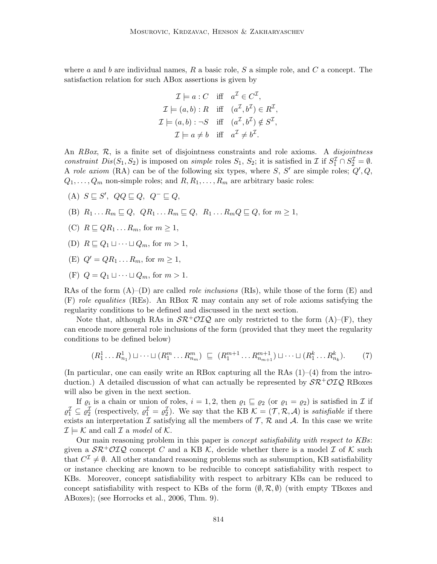where a and b are individual names,  $R$  a basic role,  $S$  a simple role, and  $C$  a concept. The satisfaction relation for such ABox assertions is given by

$$
\mathcal{I} \models a : C \quad \text{iff} \quad a^{\mathcal{I}} \in C^{\mathcal{I}},
$$
\n
$$
\mathcal{I} \models (a, b) : R \quad \text{iff} \quad (a^{\mathcal{I}}, b^{\mathcal{I}}) \in R^{\mathcal{I}},
$$
\n
$$
\mathcal{I} \models (a, b) : \neg S \quad \text{iff} \quad (a^{\mathcal{I}}, b^{\mathcal{I}}) \notin S^{\mathcal{I}},
$$
\n
$$
\mathcal{I} \models a \neq b \quad \text{iff} \quad a^{\mathcal{I}} \neq b^{\mathcal{I}}.
$$

An  $RBox$ ,  $\mathcal{R}$ , is a finite set of disjointness constraints and role axioms. A *disjointness* constraint  $Dis(S_1, S_2)$  is imposed on simple roles  $S_1$ ,  $S_2$ ; it is satisfied in  $\mathcal I$  if  $S_1^{\mathcal I} \cap S_2^{\mathcal I} = \emptyset$ . A role axiom (RA) can be of the following six types, where S, S' are simple roles;  $Q', Q$ ,  $Q_1, \ldots, Q_m$  non-simple roles; and  $R, R_1, \ldots, R_m$  are arbitrary basic roles:

- (A)  $S \sqsubseteq S'$ ,  $QQ \sqsubseteq Q$ ,  $Q^{-} \sqsubseteq Q$ ,
- (B)  $R_1 \ldots R_m \sqsubseteq Q$ ,  $QR_1 \ldots R_m \sqsubseteq Q$ ,  $R_1 \ldots R_m Q \sqsubseteq Q$ , for  $m \ge 1$ ,
- (C)  $R \sqsubseteq QR_1 \ldots R_m$ , for  $m \geq 1$ ,
- (D)  $R \sqsubseteq Q_1 \sqcup \cdots \sqcup Q_m$ , for  $m > 1$ ,
- (E)  $Q' = QR_1 ... R_m$ , for  $m > 1$ ,
- (F)  $Q = Q_1 \sqcup \cdots \sqcup Q_m$ , for  $m > 1$ .

RAs of the form  $(A)$ –(D) are called *role inclusions* (RIs), while those of the form (E) and  $(F)$  role equalities (REs). An RBox  $\mathcal R$  may contain any set of role axioms satisfying the regularity conditions to be defined and discussed in the next section.

Note that, although RAs in  $\mathcal{SR}^+\mathcal{O}IQ$  are only restricted to the form  $(A)$ – $(F)$ , they can encode more general role inclusions of the form (provided that they meet the regularity conditions to be defined below)

$$
(R_1^1 \dots R_{n_1}^1) \sqcup \dots \sqcup (R_1^m \dots R_{n_m}^m) \sqsubseteq (R_1^{m+1} \dots R_{n_{m+1}}^{m+1}) \sqcup \dots \sqcup (R_1^k \dots R_{n_k}^k). \tag{7}
$$

(In particular, one can easily write an RBox capturing all the RAs  $(1)$ – $(4)$  from the introduction.) A detailed discussion of what can actually be represented by  $\mathcal{SR}^+\mathcal{O}IQ$  RBoxes will also be given in the next section.

If  $\varrho_i$  is a chain or union of roles,  $i = 1, 2$ , then  $\varrho_1 \sqsubseteq \varrho_2$  (or  $\varrho_1 = \varrho_2$ ) is satisfied in  $\mathcal I$  if  $\varrho_1^{\mathcal{I}} \subseteq \varrho_2^{\mathcal{I}}$  (respectively,  $\varrho_1^{\mathcal{I}} = \varrho_2^{\mathcal{I}}$ ). We say that the KB  $\mathcal{K} = (\mathcal{T}, \mathcal{R}, \mathcal{A})$  is satisfiable if there exists an interpretation  $\mathcal I$  satisfying all the members of  $\mathcal T, \mathcal R$  and  $\mathcal A$ . In this case we write  $\mathcal{I} \models \mathcal{K}$  and call  $\mathcal{I}$  a model of  $\mathcal{K}$ .

Our main reasoning problem in this paper is concept satisfiability with respect to KBs: given a  $\mathcal{SR}^+\mathcal{O}I\mathcal{Q}$  concept C and a KB K, decide whether there is a model I of K such that  $C^{\mathcal{I}}\neq\emptyset$ . All other standard reasoning problems such as subsumption, KB satisfiability or instance checking are known to be reducible to concept satisfiability with respect to KBs. Moreover, concept satisfiability with respect to arbitrary KBs can be reduced to concept satisfiability with respect to KBs of the form  $(\emptyset, \mathcal{R}, \emptyset)$  (with empty TBoxes and ABoxes); (see Horrocks et al., 2006, Thm. 9).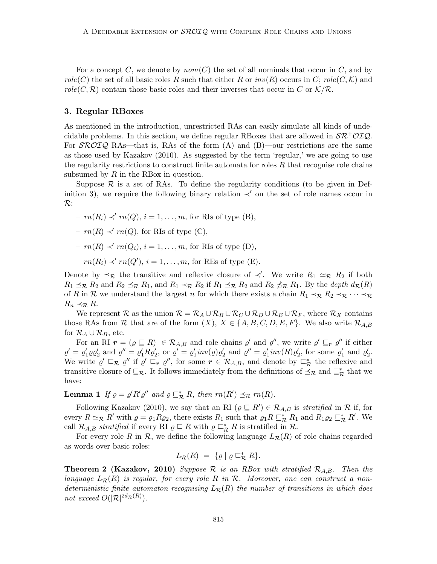For a concept C, we denote by  $nom(C)$  the set of all nominals that occur in C, and by  $role(C)$  the set of all basic roles R such that either R or  $inv(R)$  occurs in C;  $role(C, K)$  and  $role(C, \mathcal{R})$  contain those basic roles and their inverses that occur in C or  $\mathcal{K}/\mathcal{R}$ .

#### 3. Regular RBoxes

As mentioned in the introduction, unrestricted RAs can easily simulate all kinds of undecidable problems. In this section, we define regular RBoxes that are allowed in  $\mathcal{SR}^+\mathcal{O}I\mathcal{Q}$ . For  $\mathcal{SROIO}$  RAs—that is, RAs of the form (A) and (B)—our restrictions are the same as those used by Kazakov (2010). As suggested by the term 'regular,' we are going to use the regularity restrictions to construct finite automata for roles  $R$  that recognise role chains subsumed by  $R$  in the RBox in question.

Suppose  $\mathcal R$  is a set of RAs. To define the regularity conditions (to be given in Definition 3), we require the following binary relation  $\prec'$  on the set of role names occur in R:

- $rn(R_i)$  ≺'  $rn(Q)$ ,  $i = 1, ..., m$ , for RIs of type (B),
- $-rn(R) \prec' rn(Q)$ , for RIs of type (C),
- $rn(R) \prec' rn(Q_i), i = 1, ..., m$ , for RIs of type (D),
- $-rn(R_i) \prec rn(Q'), i = 1, \ldots, m$ , for REs of type (E).

Denote by  $\preceq_{\mathcal{R}}$  the transitive and reflexive closure of  $\prec'$ . We write  $R_1 \simeq_{\mathcal{R}} R_2$  if both  $R_1 \preceq_R R_2$  and  $R_2 \preceq_R R_1$ , and  $R_1 \prec_R R_2$  if  $R_1 \preceq_R R_2$  and  $R_2 \npreceq_R R_1$ . By the depth  $d_R(R)$ of R in R we understand the largest n for which there exists a chain  $R_1 \prec_R R_2 \prec_R \cdots \prec_R$  $R_n \prec_{\mathcal{R}} R$ .

We represent R as the union  $R = R_A \cup R_B \cup R_C \cup R_D \cup R_E \cup R_F$ , where  $R_X$  contains those RAs from R that are of the form  $(X), X \in \{A, B, C, D, E, F\}$ . We also write  $\mathcal{R}_{A,B}$ for  $\mathcal{R}_A \cup \mathcal{R}_B$ , etc.

For an RI  $\mathbf{r} = (\varrho \sqsubseteq R) \in \mathcal{R}_{A,B}$  and role chains  $\varrho'$  and  $\varrho''$ , we write  $\varrho' \sqsubseteq_{\mathbf{r}} \varrho''$  if either  $\varrho' = \varrho'_1 \varrho \varrho'_2$  and  $\varrho'' = \varrho'_1 R \varrho'_2$ , or  $\varrho' = \varrho'_1 inv(\varrho) \varrho'_2$  and  $\varrho'' = \varrho'_1 inv(R) \varrho'_2$ , for some  $\varrho'_1$  and  $\varrho'_2$ . We write  $\varrho' \sqsubseteq_{\mathcal{R}} \varrho''$  if  $\varrho' \sqsubseteq_{\mathbf{r}} \varrho'',$  for some  $\mathbf{r} \in \mathcal{R}_{A,B}$ , and denote by  $\sqsubseteq_{\mathcal{R}}^*$  the reflexive and transitive closure of  $\sqsubseteq_{\mathcal{R}}$ . It follows immediately from the definitions of  $\preceq_{\mathcal{R}}$  and  $\sqsubseteq_{\mathcal{R}}^*$  that we have:

**Lemma 1** If  $\varrho = \varrho' R' \varrho''$  and  $\varrho \sqsubseteq_R^* R$ , then  $rn(R') \preceq_R rn(R)$ .

Following Kazakov (2010), we say that an RI  $(\varrho \sqsubseteq R') \in \mathcal{R}_{A,B}$  is stratified in R if, for every  $R \simeq_R R'$  with  $\varrho = \varrho_1 R \varrho_2$ , there exists  $R_1$  such that  $\varrho_1 R \sqsubseteq_R^* R_1$  and  $R_1 \varrho_2 \sqsubseteq_R^* R'$ . We call  $\mathcal{R}_{A,B}$  stratified if every RI  $\varrho \sqsubseteq R$  with  $\varrho \sqsubseteq_R^* R$  is stratified in  $\mathcal{R}.$ 

For every role R in R, we define the following language  $L_{\mathcal{R}}(R)$  of role chains regarded as words over basic roles:

$$
L_{\mathcal{R}}(R) = \{ \varrho \mid \varrho \sqsubseteq_{\mathcal{R}}^* R \}.
$$

**Theorem 2 (Kazakov, 2010)** Suppose R is an RBox with stratified  $\mathcal{R}_{A,B}$ . Then the language  $L_{\mathcal{R}}(R)$  is regular, for every role R in R. Moreover, one can construct a nondeterministic finite automaton recognising  $L_{\mathcal{R}}(R)$  the number of transitions in which does not exceed  $O(|\mathcal{R}|^{2d_{\mathcal{R}}(R)})$ .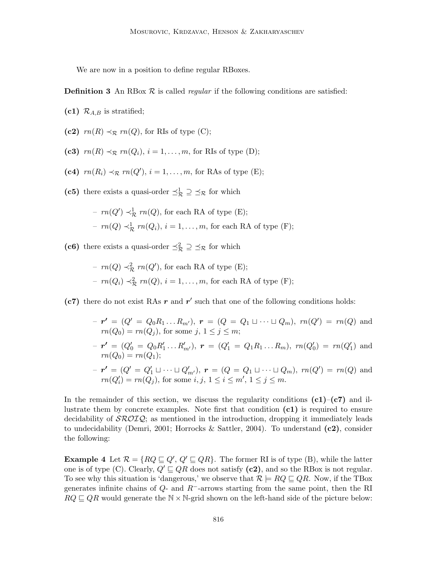We are now in a position to define regular RBoxes.

**Definition 3** An RBox  $\mathcal{R}$  is called *regular* if the following conditions are satisfied:

(c1)  $\mathcal{R}_{A,B}$  is stratified;

(c2)  $rn(R) \prec_{\mathcal{R}} rn(Q)$ , for RIs of type (C);

(c3)  $rn(R) \prec_{\mathcal{R}} rn(Q_i), i = 1, \ldots, m$ , for RIs of type (D);

(c4)  $rn(R_i) \prec_{\mathcal{R}} rn(Q'), i = 1, \ldots, m$ , for RAs of type (E);

(c5) there exists a quasi-order  $\preceq^1_{\mathcal{R}} \supseteq \preceq_{\mathcal{R}}$  for which

- 
$$
rm(Q') \prec^1_{\mathcal{R}} m(Q)
$$
, for each RA of type (E);  
\n-  $rm(Q) \prec^1_{\mathcal{R}} m(Q_i)$ ,  $i = 1, ..., m$ , for each RA of type (F);

(c6) there exists a quasi-order  $\preceq^2_{\mathcal{R}} \supseteq \preceq_{\mathcal{R}}$  for which

- 
$$
rn(Q) \prec^2_{\mathcal{R}} rn(Q')
$$
, for each RA of type (E);  
\n-  $rn(Q_i) \prec^2_{\mathcal{R}} rn(Q), i = 1, ..., m$ , for each RA of type (F);

(c7) there do not exist RAs  $r$  and  $r'$  such that one of the following conditions holds:

$$
-r' = (Q' = Q_0 R_1 ... R_{m'}), r = (Q = Q_1 \sqcup ... \sqcup Q_m), rn(Q') = rn(Q) \text{ and }
$$
  
\n
$$
rn(Q_0) = rn(Q_j), \text{ for some } j, 1 \le j \le m;
$$
  
\n
$$
-r' = (Q'_0 = Q_0 R'_1 ... R'_{m'}), r = (Q'_1 = Q_1 R_1 ... R_m), rn(Q'_0) = rn(Q'_1) \text{ and }
$$
  
\n
$$
rn(Q_0) = rn(Q_1);
$$
  
\n
$$
-r' = (Q' = Q'_1 \sqcup ... \sqcup Q'_{m'}), r = (Q = Q_1 \sqcup ... \sqcup Q_m), rn(Q') = rn(Q) \text{ and }
$$
  
\n
$$
rn(Q'_i) = rn(Q_j), \text{ for some } i, j, 1 \le i \le m', 1 \le j \le m.
$$

In the remainder of this section, we discuss the regularity conditions  $(c1)-(c7)$  and illustrate them by concrete examples. Note first that condition (c1) is required to ensure decidability of  $\mathcal{SROLQ}$ ; as mentioned in the introduction, dropping it immediately leads to undecidability (Demri, 2001; Horrocks & Sattler, 2004). To understand  $(c2)$ , consider the following:

**Example 4** Let  $\mathcal{R} = \{RQ \sqsubseteq Q', Q' \sqsubseteq QR\}$ . The former RI is of type (B), while the latter one is of type (C). Clearly,  $Q' \sqsubseteq QR$  does not satisfy (c2), and so the RBox is not regular. To see why this situation is 'dangerous,' we observe that  $\mathcal{R} \models RQ \sqsubseteq QR$ . Now, if the TBox generates infinite chains of  $Q$ - and  $R^-$ -arrows starting from the same point, then the RI  $RQ \sqsubseteq QR$  would generate the  $N \times N$ -grid shown on the left-hand side of the picture below: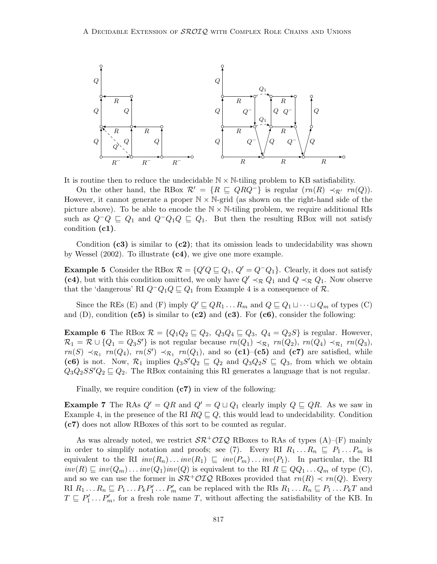

It is routine then to reduce the undecidable  $N \times N$ -tiling problem to KB satisfiability.

On the other hand, the RBox  $\mathcal{R}' = \{R \sqsubseteq QRQ^-\}$  is regular  $(rn(R) \prec_{\mathcal{R}'} rn(Q)).$ However, it cannot generate a proper  $\mathbb{N} \times \mathbb{N}$ -grid (as shown on the right-hand side of the picture above). To be able to encode the  $N \times N$ -tiling problem, we require additional RIs such as  $Q^-Q \subseteq Q_1$  and  $Q^-Q_1Q \subseteq Q_1$ . But then the resulting RBox will not satisfy condition (c1).

Condition  $(c3)$  is similar to  $(c2)$ ; that its omission leads to undecidability was shown by Wessel  $(2002)$ . To illustrate  $(c4)$ , we give one more example.

**Example 5** Consider the RBox  $\mathcal{R} = \{Q'Q \sqsubseteq Q_1, Q' = Q^-Q_1\}$ . Clearly, it does not satisfy (c4), but with this condition omitted, we only have  $Q' \prec_{\mathcal{R}} Q_1$  and  $Q \prec_{\mathcal{R}} Q_1$ . Now observe that the 'dangerous' RI  $Q^-Q_1Q \sqsubseteq Q_1$  from Example 4 is a consequence of  $\mathcal{R}$ .

Since the REs (E) and (F) imply  $Q' \sqsubseteq QR_1 \dots R_m$  and  $Q \sqsubseteq Q_1 \sqcup \dots \sqcup Q_m$  of types (C) and (D), condition (c5) is similar to (c2) and (c3). For (c6), consider the following:

**Example 6** The RBox  $\mathcal{R} = \{Q_1Q_2 \sqsubseteq Q_2, Q_3Q_4 \sqsubseteq Q_3, Q_4 = Q_2S\}$  is regular. However,  $\mathcal{R}_1 = \mathcal{R} \cup \{Q_1 = Q_3 S'\}$  is not regular because  $rn(Q_1) \prec_{\mathcal{R}_1} rn(Q_2)$ ,  $rn(Q_4) \prec_{\mathcal{R}_1} rn(Q_3)$ ,  $rm(S) \prec_{\mathcal{R}_1} rn(Q_4)$ ,  $rm(S') \prec_{\mathcal{R}_1} rn(Q_1)$ , and so (c1)–(c5) and (c7) are satisfied, while (c6) is not. Now,  $\mathcal{R}_1$  implies  $Q_3S'Q_2 \subseteq Q_2$  and  $Q_3Q_2S \subseteq Q_3$ , from which we obtain  $Q_3Q_2SS'Q_2 \sqsubseteq Q_2$ . The RBox containing this RI generates a language that is not regular.

Finally, we require condition  $(c7)$  in view of the following:

**Example 7** The RAs  $Q' = QR$  and  $Q' = Q \sqcup Q_1$  clearly imply  $Q \sqsubseteq QR$ . As we saw in Example 4, in the presence of the RI  $RQ \sqsubseteq Q$ , this would lead to undecidability. Condition (c7) does not allow RBoxes of this sort to be counted as regular.

As was already noted, we restrict  $\mathcal{SR}^+\mathcal{O}I\mathcal{Q}$  RBoxes to RAs of types (A)–(F) mainly in order to simplify notation and proofs; see (7). Every RI  $R_1 \ldots R_n \subseteq P_1 \ldots P_m$  is equivalent to the RI  $inv(R_n) \ldots inv(R_1) \subseteq inv(P_m) \ldots inv(P_1)$ . In particular, the RI  $inv(R) \sqsubseteq inv(Q_m) \dots inv(Q_1)inv(Q)$  is equivalent to the RI  $R \sqsubseteq QQ_1 \dots Q_m$  of type (C), and so we can use the former in  $\mathcal{SR}^+\mathcal{O}I\mathcal{Q}$  RBoxes provided that  $rn(R) \prec rn(Q)$ . Every RI  $R_1 \ldots R_n \sqsubseteq P_1 \ldots P_k P_1' \ldots P_m'$  can be replaced with the RIs  $R_1 \ldots R_n \sqsubseteq P_1 \ldots P_k T$  and  $T \subseteq P'_1 \dots P'_m$ , for a fresh role name T, without affecting the satisfiability of the KB. In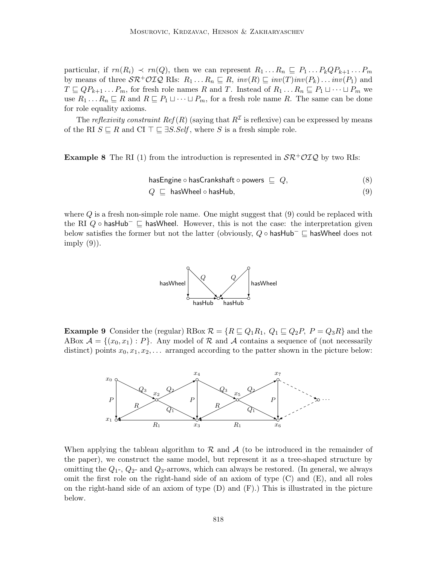particular, if  $rn(R_i) \prec rn(Q)$ , then we can represent  $R_1 \ldots R_n \subseteq P_1 \ldots P_k Q P_{k+1} \ldots P_m$ by means of three  $\mathcal{SR}^+\mathcal{O}I\mathcal{Q}$  RIs:  $R_1 \dots R_n \sqsubseteq R$ ,  $inv(R) \sqsubseteq inv(T)inv(P_k) \dots inv(P_1)$  and  $T \subseteq QP_{k+1} \ldots P_m$ , for fresh role names R and T. Instead of  $R_1 \ldots R_n \subseteq P_1 \sqcup \cdots \sqcup P_m$  we use  $R_1 \ldots R_n \sqsubseteq R$  and  $R \sqsubseteq P_1 \sqcup \cdots \sqcup P_m$ , for a fresh role name R. The same can be done for role equality axioms.

The *reflexivity constraint*  $Ref(R)$  (saying that  $R^{\mathcal{I}}$  is reflexive) can be expressed by means of the RI  $S \sqsubseteq R$  and CI  $\top \sqsubseteq \exists S. Self$ , where S is a fresh simple role.

**Example 8** The RI (1) from the introduction is represented in  $\mathcal{SR}^+\mathcal{O}I\mathcal{Q}$  by two RIs:

$$
\mathsf{hasEngine} \circ \mathsf{hasCrankshaff} \circ \mathsf{powers} \ \sqsubseteq \ Q, \tag{8}
$$

$$
Q \sqsubseteq \mathsf{hasWheel} \circ \mathsf{hasHub},\tag{9}
$$

where  $Q$  is a fresh non-simple role name. One might suggest that  $(9)$  could be replaced with the RI Q ∘ hasHub<sup>-</sup>  $\sqsubseteq$  hasWheel. However, this is not the case: the interpretation given below satisfies the former but not the latter (obviously,  $Q \circ$  hasHub<sup>-</sup>  $\sqsubseteq$  hasWheel does not  $imply (9)$ ).



**Example 9** Consider the (regular) RBox  $\mathcal{R} = \{R \sqsubseteq Q_1R_1, Q_1 \sqsubseteq Q_2P, P = Q_3R\}$  and the ABox  $\mathcal{A} = \{(x_0, x_1) : P\}$ . Any model of R and A contains a sequence of (not necessarily distinct) points  $x_0, x_1, x_2, \ldots$  arranged according to the patter shown in the picture below:



When applying the tableau algorithm to  $R$  and  $A$  (to be introduced in the remainder of the paper), we construct the same model, but represent it as a tree-shaped structure by omitting the  $Q_1$ -,  $Q_2$ - and  $Q_3$ -arrows, which can always be restored. (In general, we always omit the first role on the right-hand side of an axiom of type  $(C)$  and  $(E)$ , and all roles on the right-hand side of an axiom of type  $(D)$  and  $(F)$ .) This is illustrated in the picture below.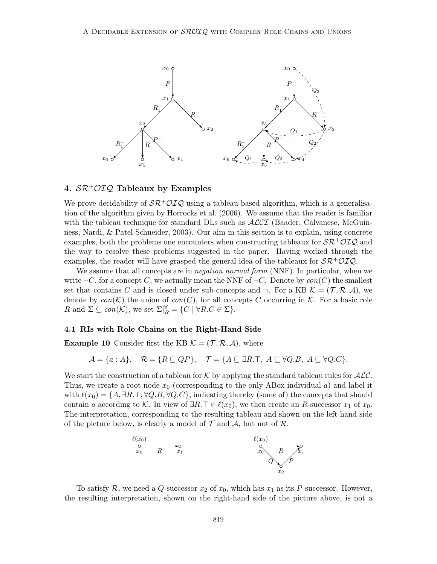

#### 4.  $\mathcal{SR}^+\mathcal{O} \mathcal{I} \mathcal{Q}$  Tableaux by Examples

We prove decidability of  $S\mathcal{R}^+\mathcal{O}I\mathcal{Q}$  using a tableau-based algorithm, which is a generalisation of the algorithm given by Horrocks et al. (2006). We assume that the reader is familiar with the tableau technique for standard DLs such as  $\mathcal{ALCI}$  (Baader, Calvanese, McGuinness, Nardi, & Patel-Schneider, 2003). Our aim in this section is to explain, using concrete examples, both the problems one encounters when constructing tableaux for  $\mathcal{SR}^+\mathcal{O}IQ$  and the way to resolve these problems suggested in the paper. Having worked through the examples, the reader will have grasped the general idea of the tableaux for  $\mathcal{SR}^+\mathcal{O}IQ$ .

We assume that all concepts are in *negation normal form* (NNF). In particular, when we write  $\neg C$ , for a concept C, we actually mean the NNF of  $\neg C$ . Denote by  $con(C)$  the smallest set that contains C and is closed under sub-concepts and  $\neg$ . For a KB  $\mathcal{K} = (\mathcal{T}, \mathcal{R}, \mathcal{A})$ , we denote by  $con(\mathcal{K})$  the union of  $con(\mathcal{C})$ , for all concepts C occurring in  $\mathcal{K}$ . For a basic role R and  $\Sigma \subseteq con(\mathcal{K})$ , we set  $\Sigma|_{R}^{\forall} = \{C \mid \forall R.C \in \Sigma\}.$ 

#### 4.1 RIs with Role Chains on the Right-Hand Side

**Example 10** Consider first the KB  $\mathcal{K} = (\mathcal{T}, \mathcal{R}, \mathcal{A})$ , where

$$
\mathcal{A} = \{a : A\}, \quad \mathcal{R} = \{R \sqsubseteq QP\}, \quad \mathcal{T} = \{A \sqsubseteq \exists R.\top, A \sqsubseteq \forall Q.B, A \sqsubseteq \forall Q.C\}.
$$

We start the construction of a tableau for K by applying the standard tableau rules for  $\mathcal{ALC}$ . Thus, we create a root node  $x_0$  (corresponding to the only ABox individual a) and label it with  $\ell(x_0) = \{A, \exists R.\top, \forall Q.B, \forall Q.C\}$ , indicating thereby (some of) the concepts that should contain a according to K. In view of  $\exists R.\top \in \ell(x_0)$ , we then create an R-successor  $x_1$  of  $x_0$ . The interpretation, corresponding to the resulting tableau and shown on the left-hand side of the picture below, is clearly a model of  $\mathcal T$  and  $\mathcal A$ , but not of  $\mathcal R$ .



To satisfy R, we need a Q-successor  $x_2$  of  $x_0$ , which has  $x_1$  as its P-successor. However, the resulting interpretation, shown on the right-hand side of the picture above, is not a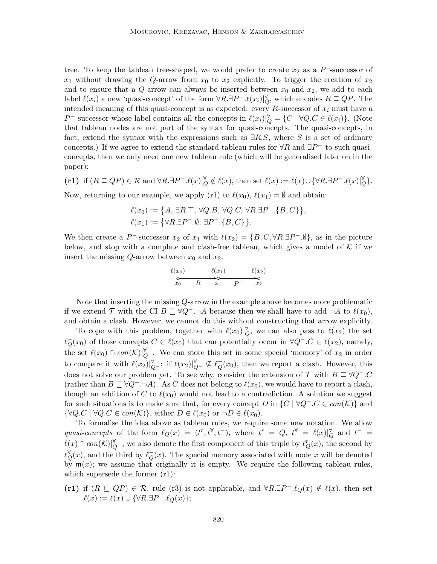tree. To keep the tableau tree-shaped, we would prefer to create  $x_2$  as a P<sup>-</sup>-successor of  $x_1$  without drawing the Q-arrow from  $x_0$  to  $x_2$  explicitly. To trigger the creation of  $x_2$ and to ensure that a  $Q$ -arrow can always be inserted between  $x_0$  and  $x_2$ , we add to each label  $\ell(x_i)$  a new 'quasi-concept' of the form  $\forall R.\exists P^-\ell(x_i)|_Q^{\forall}$ , which encodes  $R \sqsubseteq QP$ . The intended meaning of this quasi-concept is as expected: every  $R$ -successor of  $x_i$  must have a P<sup>-</sup>-successor whose label contains all the concepts in  $\ell(x_i)|_Q^{\forall} = \{C \mid \forall Q.C \in \ell(x_i)\}.$  (Note that tableau nodes are not part of the syntax for quasi-concepts. The quasi-concepts, in fact, extend the syntax with the expressions such as  $\exists R.S$ , where S is a set of ordinary concepts.) If we agree to extend the standard tableau rules for  $\forall R$  and  $\exists P^-$  to such quasiconcepts, then we only need one new tableau rule (which will be generalised later on in the paper):

(r1) if 
$$
(R \sqsubseteq QP) \in \mathcal{R}
$$
 and  $\forall R \exists P^- \ell(x) \vert_Q^{\forall} \notin \ell(x)$ , then set  $\ell(x) := \ell(x) \cup {\forall R \exists P^- \ell(x) \vert_Q^{\forall}}$ .

Now, returning to our example, we apply (r1) to  $\ell(x_0)$ ,  $\ell(x_1) = \emptyset$  and obtain:

$$
\ell(x_0) := \big\{ A, \exists R.\top, \forall Q.B, \forall Q.C, \forall R.\exists P^-, \{B,C\} \big\},
$$
  

$$
\ell(x_1) := \big\{ \forall R.\exists P^-, \emptyset, \exists P^-, \{B,C\} \big\}.
$$

We then create a P<sup>-</sup>-successor  $x_2$  of  $x_1$  with  $\ell(x_2) = \{B, C, \forall R \exists P^- \ldotp \emptyset\}$ , as in the picture below, and stop with a complete and clash-free tableau, which gives a model of  $K$  if we insert the missing Q-arrow between  $x_0$  and  $x_2$ .

$$
\begin{array}{ccc}\n\ell(x_0) & \ell(x_1) & \ell(x_2) \\
\circ & \rightarrow & \bullet \\
x_0 & R & x_1 & P^- & x_2\n\end{array}
$$

Note that inserting the missing Q-arrow in the example above becomes more problematic if we extend  $\mathcal T$  with the CI  $B \subseteq \forall Q^- \neg A$  because then we shall have to add  $\neg A$  to  $\ell(x_0)$ , and obtain a clash. However, we cannot do this without constructing that arrow explicitly.

To cope with this problem, together with  $\ell(x_0)|_Q^{\forall}$ , we can also pass to  $\ell(x_2)$  the set  $\ell_{\Omega}^ Q(x_0)$  of those concepts  $C \in \ell(x_0)$  that can potentially occur in  $\forall Q^- . C \in \ell(x_2)$ , namely, the set  $\ell(x_0) \cap con(\mathcal{K})|_{Q}^{\forall}$ . We can store this set in some special 'memory' of  $x_2$  in order to compare it with  $\ell(x_2)|_{Q^-}^{\forall}$ : if  $\ell(x_2)|_{Q^-}^{\forall} \not\subseteq \ell_Q^ Q_{Q}(x_0)$ , then we report a clash. However, this does not solve our problem yet. To see why, consider the extension of  $\mathcal T$  with  $B \sqsubset \forall Q^- . C$ (rather than  $B \sqsubseteq \forall Q^{-} \neg A$ ). As C does not belong to  $\ell(x_0)$ , we would have to report a clash, though an addition of C to  $\ell(x_0)$  would not lead to a contradiction. A solution we suggest for such situations is to make sure that, for every concept D in  $\{C \mid \forall Q^- . C \in con(\mathcal{K})\}$  and  $\{\forall Q.C \mid \forall Q.C \in con(\mathcal{K})\},\$ either  $D \in \ell(x_0)$  or  $\neg D \in \ell(x_0)$ .

To formalise the idea above as tableau rules, we require some new notation. We allow quasi-concepts of the form  $\ell_Q(x) = (t^r, t^{\forall}, t^-)$ , where  $t^r = Q$ ,  $t^{\forall} = \ell(x)|_Q^{\forall}$  and  $t^- =$  $\ell(x) \cap con(\mathcal{K})|_{Q^-}^{\forall}$ ; we also denote the first component of this triple by  $\ell_Q^r(x)$ , the second by  $\ell_Q^{\forall}(x)$ , and the third by  $\ell_Q^ \overline{Q}(x)$ . The special memory associated with node x will be denoted by  $m(x)$ ; we assume that originally it is empty. We require the following tableau rules, which supersede the former (r1):

(r1) if  $(R \sqsubseteq QP) \in \mathcal{R}$ , rule (r3) is not applicable, and  $\forall R.\exists P^-.\ell_Q(x) \notin \ell(x)$ , then set  $\ell(x) := \ell(x) \cup {\forall R.\exists P^-\ldotp \ell_Q(x)};$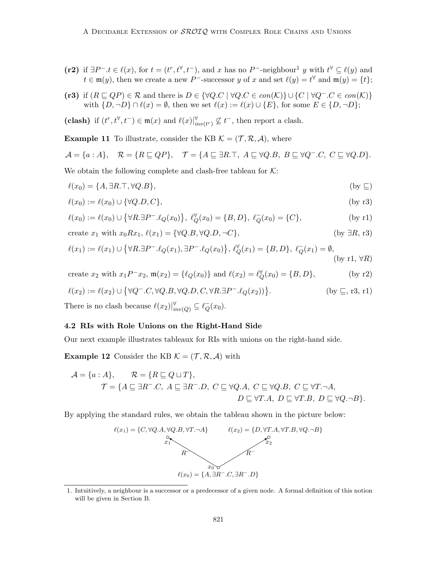- (r2) if  $\exists P^- . t \in \ell(x)$ , for  $t = (t^r, t^{\forall}, t^-)$ , and x has no P<sup>-</sup>-neighbour<sup>1</sup> y with  $t^{\forall} \subseteq \ell(y)$  and  $t \in \mathfrak{m}(y)$ , then we create a new P<sup>-</sup>-successor y of x and set  $\ell(y) = t^{\forall}$  and  $\mathfrak{m}(y) = \{t\};$
- (r3) if  $(R \sqsubseteq QP) \in \mathcal{R}$  and there is  $D \in \{ \forall Q.C \mid \forall Q.C \in con(\mathcal{K}) \} \cup \{ C \mid \forall Q^{-} . C \in con(\mathcal{K}) \}$ with  $\{D, \neg D\} \cap \ell(x) = \emptyset$ , then we set  $\ell(x) := \ell(x) \cup \{E\}$ , for some  $E \in \{D, \neg D\};$

(clash) if  $(t^r, t^{\forall}, t^-) \in \mathfrak{m}(x)$  and  $\ell(x)|_{inv(t^r)}^{\forall} \nsubseteq t^-$ , then report a clash.

**Example 11** To illustrate, consider the KB  $K = (\mathcal{T}, \mathcal{R}, \mathcal{A})$ , where

$$
\mathcal{A} = \{a : A\}, \quad \mathcal{R} = \{R \sqsubseteq QP\}, \quad \mathcal{T} = \{A \sqsubseteq \exists R.\top, A \sqsubseteq \forall Q.B, B \sqsubseteq \forall Q^-.C, C \sqsubseteq \forall Q.D\}.
$$

We obtain the following complete and clash-free tableau for  $K$ :

$$
\ell(x_0) = \{A, \exists R. \top, \forall Q. B\},\tag{by \sqsubseteq}
$$

$$
\ell(x_0) := \ell(x_0) \cup \{\forall Q.D, C\},\tag{by r3}
$$

$$
\ell(x_0) := \ell(x_0) \cup \{ \forall R. \exists P^- . \ell_Q(x_0) \}, \ \ell_Q^{\forall}(x_0) = \{B, D\}, \ \ell_Q^-(x_0) = \{C\}, \tag{by r1}
$$

create 
$$
x_1
$$
 with  $x_0Rx_1$ ,  $\ell(x_1) = \{\forall Q.B, \forall Q.D, \neg C\}$ , (by  $\exists R, r3$ )

$$
\ell(x_1) := \ell(x_1) \cup \{ \forall R. \exists P^- \ldotp \ell_Q(x_1), \exists P^- \ldotp \ell_Q(x_0) \}, \, \ell_Q^{\forall}(x_1) = \{B, D\}, \, \ell_Q^-(x_1) = \emptyset,
$$
\n(by r1, \forall R)

create 
$$
x_2
$$
 with  $x_1P^{-}x_2$ ,  $\mathfrak{m}(x_2) = \{\ell_Q(x_0)\}\$  and  $\ell(x_2) = \ell_Q^{\forall}(x_0) = \{B, D\}$ , (by r2)

$$
\ell(x_2) := \ell(x_2) \cup \{ \forall Q^-.C, \forall Q.B, \forall Q.D, C, \forall R.\exists P^-.\ell_Q(x_2)) \}.
$$
 (by  $\sqsubseteq$ , r3, r1)

There is no clash because  $\ell(x_2)|_{inv(Q)}^{\forall} \subseteq \ell_Q^{-1}$  $Q(x_0)$ .

#### 4.2 RIs with Role Unions on the Right-Hand Side

Our next example illustrates tableaux for RIs with unions on the right-hand side.

**Example 12** Consider the KB  $K = (\mathcal{T}, \mathcal{R}, \mathcal{A})$  with

$$
\mathcal{A} = \{a : A\}, \qquad \mathcal{R} = \{R \sqsubseteq Q \sqcup T\},
$$
  

$$
\mathcal{T} = \{A \sqsubseteq \exists R^- . C, A \sqsubseteq \exists R^- . D, C \sqsubseteq \forall Q.A, C \sqsubseteq \forall Q.B, C \sqsubseteq \forall T. \neg A,
$$
  

$$
D \sqsubseteq \forall T.A, D \sqsubseteq \forall T.B, D \sqsubseteq \forall Q. \neg B\}.
$$

By applying the standard rules, we obtain the tableau shown in the picture below:



<sup>1.</sup> Intuitively, a neighbour is a successor or a predecessor of a given node. A formal definition of this notion will be given in Section B.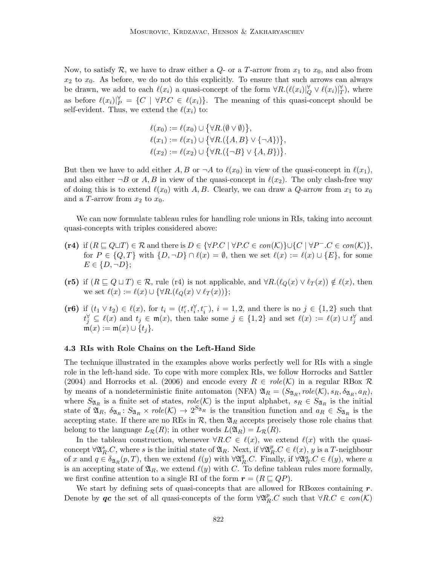Now, to satisfy  $\mathcal{R}$ , we have to draw either a  $Q$ - or a T-arrow from  $x_1$  to  $x_0$ , and also from  $x_2$  to  $x_0$ . As before, we do not do this explicitly. To ensure that such arrows can always be drawn, we add to each  $\ell(x_i)$  a quasi-concept of the form  $\forall R.(\ell(x_i)|_Q^{\forall} \vee \ell(x_i)|_T^{\forall})$ , where as before  $\ell(x_i)|_P^{\forall} = \{C \mid \forall P.C \in \ell(x_i)\}.$  The meaning of this quasi-concept should be self-evident. Thus, we extend the  $\ell(x_i)$  to:

$$
\ell(x_0) := \ell(x_0) \cup \{ \forall R. (\emptyset \vee \emptyset) \},
$$
  

$$
\ell(x_1) := \ell(x_1) \cup \{ \forall R. (\{A, B\} \vee \{\neg A\}) \},
$$
  

$$
\ell(x_2) := \ell(x_2) \cup \{ \forall R. (\{\neg B\} \vee \{A, B\}) \}.
$$

But then we have to add either A, B or  $\neg A$  to  $\ell(x_0)$  in view of the quasi-concept in  $\ell(x_1)$ , and also either  $\neg B$  or A, B in view of the quasi-concept in  $\ell(x_2)$ . The only clash-free way of doing this is to extend  $\ell(x_0)$  with A, B. Clearly, we can draw a Q-arrow from  $x_1$  to  $x_0$ and a T-arrow from  $x_2$  to  $x_0$ .

We can now formulate tableau rules for handling role unions in RIs, taking into account quasi-concepts with triples considered above:

- (r4) if  $(R \sqsubseteq Q \sqcup T) \in \mathcal{R}$  and there is  $D \in \{ \forall P.C \mid \forall P.C \in con(\mathcal{K}) \} \cup \{ C \mid \forall P^{-} . C \in con(\mathcal{K}) \},\$ for  $P \in \{Q, T\}$  with  $\{D, \neg D\} \cap \ell(x) = \emptyset$ , then we set  $\ell(x) := \ell(x) \cup \{E\}$ , for some  $E \in \{D, \neg D\}$ ;
- (r5) if  $(R \sqsubseteq Q \sqcup T) \in \mathcal{R}$ , rule (r4) is not applicable, and  $\forall R.(\ell_Q(x) \vee \ell_T(x)) \notin \ell(x)$ , then we set  $\ell(x) := \ell(x) \cup \{ \forall R.(\ell_Q(x) \vee \ell_T(x)) \};$
- (r6) if  $(t_1 \vee t_2) \in \ell(x)$ , for  $t_i = (t_i^r, t_i^{\forall}, t_i^{\neg}), i = 1, 2$ , and there is no  $j \in \{1, 2\}$  such that  $t_j^{\forall} \subseteq \ell(x)$  and  $t_j \in \mathfrak{m}(x)$ , then take some  $j \in \{1,2\}$  and set  $\ell(x) := \ell(x) \cup t_j^{\forall}$  and  $m(x) := m(x) \cup \{t_i\}.$

#### 4.3 RIs with Role Chains on the Left-Hand Side

The technique illustrated in the examples above works perfectly well for RIs with a single role in the left-hand side. To cope with more complex RIs, we follow Horrocks and Sattler (2004) and Horrocks et al. (2006) and encode every  $R \in role(\mathcal{K})$  in a regular RBox  $\mathcal{R}$ by means of a nondeterministic finite automaton (NFA)  $\mathfrak{A}_R = (S_{\mathfrak{A}_R}, role(K), s_R, \delta_{\mathfrak{A}_R}, a_R)$ , where  $S_{\mathfrak{A}_R}$  is a finite set of states,  $role(K)$  is the input alphabet,  $s_R \in S_{\mathfrak{A}_R}$  is the initial state of  $\mathfrak{A}_R$ ,  $\delta_{\mathfrak{A}_R}$ :  $S_{\mathfrak{A}_R} \times \text{role}(\mathcal{K}) \to 2^{S_{\mathfrak{A}_R}}$  is the transition function and  $a_R \in S_{\mathfrak{A}_R}$  is the accepting state. If there are no REs in  $\mathcal{R}$ , then  $\mathfrak{A}_R$  accepts precisely those role chains that belong to the language  $L_{\mathcal{R}}(R)$ ; in other words  $L(\mathfrak{A}_R) = L_{\mathcal{R}}(R)$ .

In the tableau construction, whenever  $\forall R.C \in \ell(x)$ , we extend  $\ell(x)$  with the quasiconcept  $\forall \mathfrak{A}_R^s$ .C, where s is the initial state of  $\mathfrak{A}_R$ . Next, if  $\forall \mathfrak{A}_I^p$  $_R^p.C \in \ell(x), y$  is a T-neighbour of x and  $q \in \delta_{\mathfrak{A}_R}(p,T)$ , then we extend  $\ell(y)$  with  $\forall \mathfrak{A}_R^q$  ${}_{R}^{q}$ .C. Finally, if ∀ $\mathfrak{A}_{R}^{a}$ .C ∈  $\ell(y)$ , where a is an accepting state of  $\mathfrak{A}_R$ , we extend  $\ell(y)$  with C. To define tableau rules more formally, we first confine attention to a single RI of the form  $r = (R \sqsubseteq QP)$ .

We start by defining sets of quasi-concepts that are allowed for RBoxes containing  $r$ . Denote by qc the set of all quasi-concepts of the form  $\forall \mathfrak{A}_F^p$  $_{R}^{p}.C$  such that  $\forall R.C \in con(\mathcal{K})$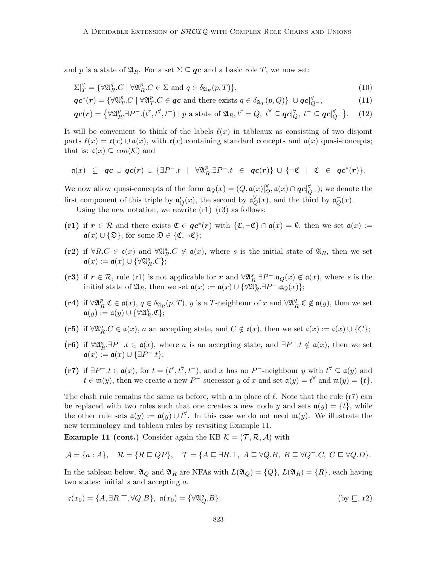and p is a state of  $\mathfrak{A}_R$ . For a set  $\Sigma \subseteq qc$  and a basic role T, we now set:

$$
\Sigma|_{T}^{\forall} = \{ \forall \mathfrak{A}_{R}^{q}. C \mid \forall \mathfrak{A}_{R}^{p}. C \in \Sigma \text{ and } q \in \delta_{\mathfrak{A}_{R}}(p, T) \},\tag{10}
$$

$$
\boldsymbol{qc}^*(\boldsymbol{r}) = \{ \forall \mathfrak{A}_T^p.C \mid \forall \mathfrak{A}_T^p.C \in \boldsymbol{qc} \text{ and there exists } q \in \delta_{\mathfrak{A}_T}(p,Q) \} \cup \boldsymbol{qc}|_{Q^-}^{\forall},\tag{11}
$$

$$
\boldsymbol{qc}(r) = \left\{ \forall \mathfrak{A}_R^p \exists P^-(t^r, t^{\forall}, t^-) \mid p \text{ a state of } \mathfrak{A}_R, t^r = Q, \ t^{\forall} \subseteq \boldsymbol{qc} |_{Q}^{\forall}, \ t^- \subseteq \boldsymbol{qc} |_{Q^-}^{\forall} \right\}. \tag{12}
$$

It will be convenient to think of the labels  $\ell(x)$  in tableaux as consisting of two disjoint parts  $\ell(x) = \mathfrak{c}(x) \cup \mathfrak{a}(x)$ , with  $\mathfrak{c}(x)$  containing standard concepts and  $\mathfrak{a}(x)$  quasi-concepts; that is:  $\mathfrak{c}(x) \subseteq con(\mathcal{K})$  and

$$
\mathfrak{a}(x) \ \subseteq \ \mathbf{qc} \ \cup \ \mathbf{qc}(r) \ \cup \ \{\exists P^-.t \ | \ \forall \mathfrak{A}_R^p.\exists P^-.t \ \in \ \mathbf{qc}(r)\} \ \cup \ \{\neg \mathfrak{C} \ | \ \mathfrak{C} \ \in \ \mathbf{qc}^*(r)\}.
$$

We now allow quasi-concepts of the form  $\mathfrak{a}_Q(x) = (Q, \mathfrak{a}(x)|_Q^{\forall}, \mathfrak{a}(x) \cap \mathbf{qc}|_{Q}^{\forall})$ ; we denote the first component of this triple by  $\mathfrak{a}_Q^r(x)$ , the second by  $\mathfrak{a}_Q^{\forall}(x)$ , and the third by  $\mathfrak{a}_Q^{\neg}$  $\overline{Q}(x)$ .

Using the new notation, we rewrite  $(r1)-(r3)$  as follows:

- (r1) if  $r \in \mathcal{R}$  and there exists  $\mathfrak{C} \in qc^*(r)$  with  $\{\mathfrak{C},\neg\mathfrak{C}\} \cap \mathfrak{a}(x) = \emptyset$ , then we set  $\mathfrak{a}(x) :=$  $a(x) \cup {\mathfrak{D}}$ , for some  $\mathfrak{D} \in {\mathfrak{C}}, \neg \mathfrak{C}$ ;
- (r2) if  $\forall R.C \in \mathfrak{c}(x)$  and  $\forall \mathfrak{A}_R^s.C \notin \mathfrak{a}(x)$ , where s is the initial state of  $\mathfrak{A}_R$ , then we set  $a(x) := a(x) \cup {\forall \mathfrak{A}_R^s.C}$ ;
- (r3) if  $r \in \mathcal{R}$ , rule (r1) is not applicable for r and  $\forall \mathfrak{A}_R^s \exists P^- \cdot \mathfrak{a}_Q(x) \notin \mathfrak{a}(x)$ , where s is the initial state of  $\mathfrak{A}_R$ , then we set  $\mathfrak{a}(x) := \mathfrak{a}(x) \cup \{ \forall \mathfrak{A}_R^s \exists P^- \mathfrak{a}_Q(x) \};$
- $(r4)$  if  $\forall \mathfrak{A}^p_F$  $P_R^p$ . $\mathfrak{C} \in \mathfrak{a}(x), q \in \delta_{\mathfrak{A}_R}(p,T), y$  is a T-neighbour of x and  $\forall \mathfrak{A}_P^q$  ${}_{R}^{q}$ . $\mathfrak{C} \notin \mathfrak{a}(y)$ , then we set  $\mathfrak{a}(y) := \mathfrak{a}(y) \cup \{\forall \mathfrak{A}^q_p\}$  ${}_{R}^{q}$ .C};
- (r5) if  $\forall \mathfrak{A}_R^a C \in \mathfrak{a}(x)$ , a an accepting state, and  $C \notin \mathfrak{c}(x)$ , then we set  $\mathfrak{c}(x) := \mathfrak{c}(x) \cup \{C\}$ ;
- (r6) if  $\forall \mathfrak{A}_R^a \exists P^- . t \in \mathfrak{a}(x)$ , where a is an accepting state, and  $\exists P^- . t \notin \mathfrak{a}(x)$ , then we set  $a(x) := a(x) \cup {\exists P^{-} . t};$
- (r7) if  $\exists P^- . t \in \mathfrak{a}(x)$ , for  $t = (t^r, t^{\forall}, t^-)$ , and x has no P<sup>-</sup>-neighbour y with  $t^{\forall} \subseteq \mathfrak{a}(y)$  and  $t \in \mathfrak{m}(y)$ , then we create a new P<sup>-</sup>-successor y of x and set  $\mathfrak{a}(y) = t^{\forall}$  and  $\mathfrak{m}(y) = \{t\}.$

The clash rule remains the same as before, with  $\mathfrak a$  in place of  $\ell$ . Note that the rule (r7) can be replaced with two rules such that one creates a new node y and sets  $\mathfrak{a}(y) = \{t\}$ , while the other rule sets  $\mathfrak{a}(y) := \mathfrak{a}(y) \cup t^{\forall}$ . In this case we do not need  $\mathfrak{m}(y)$ . We illustrate the new terminology and tableau rules by revisiting Example 11.

**Example 11 (cont.)** Consider again the KB  $\mathcal{K} = (\mathcal{T}, \mathcal{R}, \mathcal{A})$  with

$$
\mathcal{A}=\{a:A\},\quad \mathcal{R}=\{R\sqsubseteq QP\},\quad \mathcal{T}=\{A\sqsubseteq \exists R.\top,\;A\sqsubseteq \forall Q.B,\;B\sqsubseteq \forall Q^-.C,\;C\sqsubseteq \forall Q.D\}.
$$

In the tableau below,  $\mathfrak{A}_Q$  and  $\mathfrak{A}_R$  are NFAs with  $L(\mathfrak{A}_Q) = \{Q\}$ ,  $L(\mathfrak{A}_R) = \{R\}$ , each having two states: initial  $s$  and accepting  $a$ .

$$
\mathfrak{c}(x_0) = \{A, \exists R. \top, \forall Q. B\}, \ \mathfrak{a}(x_0) = \{\forall \mathfrak{A}_Q^s. B\},\tag{by $\sqsubseteq$, r2}
$$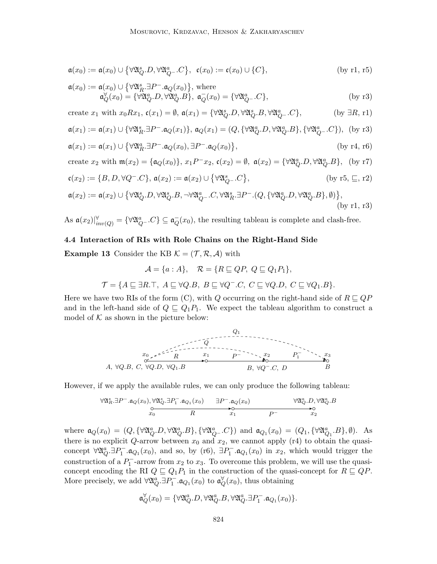$$
\mathfrak{a}(x_0) := \mathfrak{a}(x_0) \cup \{ \forall \mathfrak{A}_Q^s \cdot D, \forall \mathfrak{A}_{Q^-}^a \cdot C \}, \ \mathfrak{c}(x_0) := \mathfrak{c}(x_0) \cup \{C \}, \tag{by r1, r5}
$$

$$
\mathfrak{a}(x_0) := \mathfrak{a}(x_0) \cup \{ \forall \mathfrak{A}_R^s \cdot \exists P^- \cdot \mathfrak{a}_Q(x_0) \}, \text{ where}
$$
  
\n
$$
\mathfrak{a}_Q^{\forall}(x_0) = \{ \forall \mathfrak{A}_Q^a \cdot D, \forall \mathfrak{A}_Q^a \cdot B \}, \mathfrak{a}_Q^-(x_0) = \{ \forall \mathfrak{A}_Q^a \cdot C \},
$$
  
\n(by r3)

create 
$$
x_1
$$
 with  $x_0Rx_1$ ,  $\mathfrak{c}(x_1) = \emptyset$ ,  $\mathfrak{a}(x_1) = \{ \forall \mathfrak{A}_Q^s \cdot D, \forall \mathfrak{A}_Q^s \cdot B, \forall \mathfrak{A}_{Q^-}^a \cdot C \}$ , (by  $\exists R, r1$ )

$$
\mathfrak{a}(x_1) := \mathfrak{a}(x_1) \cup \{ \forall \mathfrak{A}_R^s \cdot \exists P^- \cdot \mathfrak{a}_Q(x_1) \}, \ \mathfrak{a}_Q(x_1) = (Q, \{ \forall \mathfrak{A}_Q^a \cdot D, \forall \mathfrak{A}_Q^a \cdot B \}, \{ \forall \mathfrak{A}_{Q^-}^a \cdot C \}), \text{ (by r3)}
$$

$$
\mathfrak{a}(x_1) := \mathfrak{a}(x_1) \cup \{ \forall \mathfrak{A}_R^a \exists P^- \ldotp \mathfrak{a}_Q(x_0), \exists P^- \ldotp \mathfrak{a}_Q(x_0) \},
$$
\n(by r4, r6)

create 
$$
x_2
$$
 with  $\mathfrak{m}(x_2) = {\mathfrak{a}_Q(x_0)}$ ,  $x_1 P^{-} x_2$ ,  $\mathfrak{c}(x_2) = \emptyset$ ,  $\mathfrak{a}(x_2) = {\forall \mathfrak{A}_Q^a \cdot D, \forall \mathfrak{A}_Q^a \cdot B}$ , (by r7)

$$
\mathfrak{c}(x_2) := \{B, D, \forall Q^- . C\}, \mathfrak{a}(x_2) := \mathfrak{a}(x_2) \cup \{\forall \mathfrak{A}_{Q^-}^s . C\}, \tag{by r5, \sqsubseteq, r2}
$$

$$
\mathfrak{a}(x_2):=\mathfrak{a}(x_2)\cup\big\{\forall \mathfrak{A}^s_Q.D,\forall \mathfrak{A}^s_Q.B,\neg \forall \mathfrak{A}^a_Q..C,\forall \mathfrak{A}^s_R.\exists P^-.(Q,\{\forall \mathfrak{A}^a_Q.D,\forall \mathfrak{A}^a_Q.B\},\emptyset)\big\}, \big(\text{by r1, r3})
$$

As  $\mathfrak{a}(x_2)|_{inv(Q)}^{\forall} = {\forall \mathfrak{A}_{Q^-}^a.C} \subseteq \mathfrak{a}_Q^ Q(x_0)$ , the resulting tableau is complete and clash-free.

#### 4.4 Interaction of RIs with Role Chains on the Right-Hand Side

**Example 13** Consider the KB  $\mathcal{K} = (\mathcal{T}, \mathcal{R}, \mathcal{A})$  with

$$
\mathcal{A} = \{a : A\}, \quad \mathcal{R} = \{R \sqsubseteq QP, \ Q \sqsubseteq Q_1P_1\},\
$$

$$
\mathcal{T} = \{A \sqsubseteq \exists R.\top, \ A \sqsubseteq \forall Q.B, \ B \sqsubseteq \forall Q^-.C, \ C \sqsubseteq \forall Q.D, \ C \sqsubseteq \forall Q_1.B\}.
$$

Here we have two RIs of the form (C), with Q occurring on the right-hand side of  $R \sqsubseteq QP$ and in the left-hand side of  $Q \subseteq Q_1P_1$ . We expect the tableau algorithm to construct a model of  $K$  as shown in the picture below:



However, if we apply the available rules, we can only produce the following tableau:

$$
\forall \mathfrak{A}_{R}^{s}.\exists P^{-}.\mathfrak{a}_{Q}(x_{0}),\forall \mathfrak{A}_{Q}^{s}.\exists P_{1}^{-}.\mathfrak{a}_{Q_{1}}(x_{0}) \qquad \exists P^{-}.\mathfrak{a}_{Q}(x_{0}) \qquad \forall \mathfrak{A}_{Q}^{a}.D, \forall \mathfrak{A}_{Q}^{a}.B
$$
  
\n
$$
\downarrow_{Q}^{\infty} \qquad \qquad \downarrow_{Q}^{\infty}
$$

where  $\mathfrak{a}_Q(x_0) = (Q, \{\forall \mathfrak{A}_Q^a \cdot D, \forall \mathfrak{A}_Q^a \cdot B\}, \{\forall \mathfrak{A}_{Q^-}^a \cdot C\})$  and  $\mathfrak{a}_{Q_1}(x_0) = (Q_1, \{\forall \mathfrak{A}_{Q_1}^a \cdot B\}, \emptyset)$ . As there is no explicit Q-arrow between  $x_0$  and  $x_2$ , we cannot apply (r4) to obtain the quasiconcept  $\forall \mathfrak{A}_Q^a \exists P_1^- \cdot \mathfrak{a}_{Q_1}(x_0)$ , and so, by (r6),  $\exists P_1^- \cdot \mathfrak{a}_{Q_1}(x_0)$  in  $x_2$ , which would trigger the construction of a  $P_1^-$ -arrow from  $x_2$  to  $x_3$ . To overcome this problem, we will use the quasiconcept encoding the RI  $Q \subseteq Q_1P_1$  in the construction of the quasi-concept for  $R \subseteq QP$ . More precisely, we add  $\forall \mathfrak{A}_Q^a \exists P_1^- \cdot \mathfrak{a}_{Q_1}(x_0)$  to  $\mathfrak{a}_Q^{\forall}(x_0)$ , thus obtaining

$$
\mathfrak{a}_Q^{\forall}(x_0) = \{\forall \mathfrak{A}_Q^a \cdot D, \forall \mathfrak{A}_Q^a \cdot B, \forall \mathfrak{A}_Q^a \cdot \exists P_1^- \cdot \mathfrak{a}_{Q_1}(x_0)\}.
$$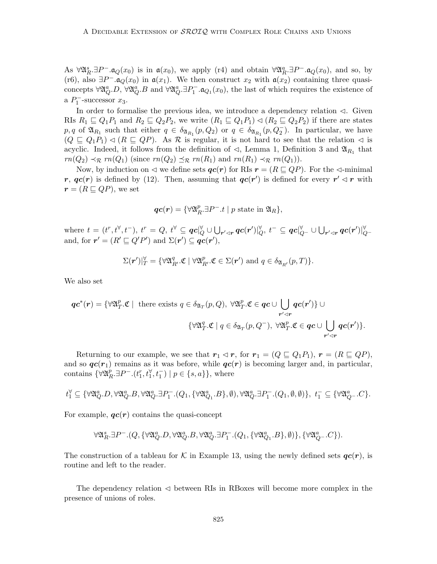As  $\forall \mathfrak{A}_R^s \exists P^- \cdot \mathfrak{a}_Q(x_0)$  is in  $\mathfrak{a}(x_0)$ , we apply (r4) and obtain  $\forall \mathfrak{A}_R^a \exists P^- \cdot \mathfrak{a}_Q(x_0)$ , and so, by (r6), also  $\exists P^- \cdot \mathfrak{a}_Q(x_0)$  in  $\mathfrak{a}(x_1)$ . We then construct  $x_2$  with  $\mathfrak{a}(x_2)$  containing three quasiconcepts  $\forall \mathfrak{A}_Q^a \cdot D$ ,  $\forall \mathfrak{A}_Q^a \cdot B$  and  $\forall \mathfrak{A}_Q^a \cdot \exists P_1^- \cdot \mathfrak{a}_{Q_1}(x_0)$ , the last of which requires the existence of a  $P_1^-$ -successor  $x_3$ .

In order to formalise the previous idea, we introduce a dependency relation  $\triangleleft$ . Given RIs  $R_1 \subseteq Q_1P_1$  and  $R_2 \subseteq Q_2P_2$ , we write  $(R_1 \subseteq Q_1P_1) \triangleleft (R_2 \subseteq Q_2P_2)$  if there are states  $p, q$  of  $\mathfrak{A}_{R_1}$  such that either  $q \in \delta_{\mathfrak{A}_{R_1}}(p, Q_2)$  or  $q \in \delta_{\mathfrak{A}_{R_1}}(p, Q_2)$ . In particular, we have  $(Q \sqsubseteq Q_1P_1) \lhd (R \sqsubseteq QP)$ . As R is regular, it is not hard to see that the relation  $\lhd$  is acyclic. Indeed, it follows from the definition of  $\triangleleft$ , Lemma 1, Definition 3 and  $\mathfrak{A}_{R_1}$  that  $rm(Q_2) \prec_{\mathcal{R}} rn(Q_1)$  (since  $rm(Q_2) \preceq_{\mathcal{R}} rn(R_1)$  and  $rm(R_1) \prec_{\mathcal{R}} rn(Q_1)$ ).

Now, by induction on  $\triangleleft$  we define sets  $\boldsymbol{qc}(r)$  for RIs  $\boldsymbol{r} = (R \sqsubseteq QP)$ . For the  $\triangleleft$ -minimal r,  $qc(r)$  is defined by (12). Then, assuming that  $qc(r')$  is defined for every  $r' \lhd r$  with  $r = (R \sqsubset QP)$ , we set

$$
\mathbf{qc}(r) = \{ \forall \mathfrak{A}_R^p \exists P^- . t \mid p \text{ state in } \mathfrak{A}_R \},
$$

where  $t=(t^r,t^\forall,t^-),\,t^r=Q,\,t^\forall\subseteq \bm{qc}|\partial_Q^\forall\cup\bigcup_{\bm{r}'\lhd \bm{r}}\bm{qc}(\bm{r}')|\partial_Q^\forall,\,t^-\subseteq \bm{qc}|\partial_Q^\forall-\cup\bigcup_{\bm{r}'\lhd \bm{r}}\bm{qc}(\bm{r}')|\partial_Q^\forall$ and, for  $r' = (R' \sqsubseteq Q'P')$  and  $\Sigma(r') \subseteq qc(r')$ ,

$$
\Sigma(\mathbf{r}')|_{T}^{\forall} = \{ \forall \mathfrak{A}_{R'}^{q} . \mathfrak{C} \mid \forall \mathfrak{A}_{R'}^{p} . \mathfrak{C} \in \Sigma(\mathbf{r}') \text{ and } q \in \delta_{\mathfrak{A}_{R'}}(p, T) \}.
$$

We also set

$$
\begin{aligned}\n\boldsymbol{q}\boldsymbol{c}^*(\boldsymbol{r}) &= \{ \forall \mathfrak{A}_T^p \boldsymbol{\mathfrak{C}} \mid \text{ there exists } q \in \delta_{\mathfrak{A}_T}(p, Q), \ \forall \mathfrak{A}_T^p \boldsymbol{\mathfrak{C}} \in \boldsymbol{q}\boldsymbol{c} \cup \bigcup_{\boldsymbol{r}' \lhd \boldsymbol{r}} \boldsymbol{q}\boldsymbol{c}(\boldsymbol{r}') \} \cup \\
&\quad \{\forall \mathfrak{A}_T^q \boldsymbol{\mathfrak{C}} \mid q \in \delta_{\mathfrak{A}_T}(p, Q^-), \ \forall \mathfrak{A}_T^p \boldsymbol{\mathfrak{C}} \in \boldsymbol{q}\boldsymbol{c} \cup \bigcup_{\boldsymbol{r}' \lhd \boldsymbol{r}} \boldsymbol{q}\boldsymbol{c}(\boldsymbol{r}') \}.\n\end{aligned}
$$

Returning to our example, we see that  $r_1 \lhd r$ , for  $r_1 = (Q \sqsubseteq Q_1P_1), r = (R \sqsubseteq QP),$ and so  $qc(r_1)$  remains as it was before, while  $qc(r)$  is becoming larger and, in particular, contains  $\{\forall \mathfrak{A}_{\mathcal{F}}^{p}\}\$  $_{R}^{p}$ .∃P<sup>-</sup>.( $t_1^r, t_1^{\forall}, t_1^-$ ) |  $p \in \{s, a\}$ }, where

$$
t_1^{\forall} \subseteq \{\forall \mathfrak{A}_{Q}^{a}.D, \forall \mathfrak{A}_{Q}^{a}.B, \forall \mathfrak{A}_{Q}^{a}.\exists P_1^{-}.(Q_1, \{\forall \mathfrak{A}_{Q_1}^{a}.B\}, \emptyset), \forall \mathfrak{A}_{Q}^{a}.\exists P_1^{-}.(Q_1, \emptyset, \emptyset)\}, \ t_1^{-} \subseteq \{\forall \mathfrak{A}_{Q}^{a}-.C\}.
$$

For example,  $qc(r)$  contains the quasi-concept

$$
\forall \mathfrak{A}^{s}_R. \exists P^{-}.(Q,\{\forall \mathfrak{A}^{a}_Q.D,\forall \mathfrak{A}^{a}_Q.B,\forall \mathfrak{A}^{a}_Q. \exists P_1^{-}.(Q_1,\{\forall \mathfrak{A}^{a}_{Q_1}.B\},\emptyset)\},\{\forall \mathfrak{A}^{a}_Q.-.C\}).
$$

The construction of a tableau for K in Example 13, using the newly defined sets  $qc(r)$ , is routine and left to the reader.

The dependency relation  $\leq$  between RIs in RBoxes will become more complex in the presence of unions of roles.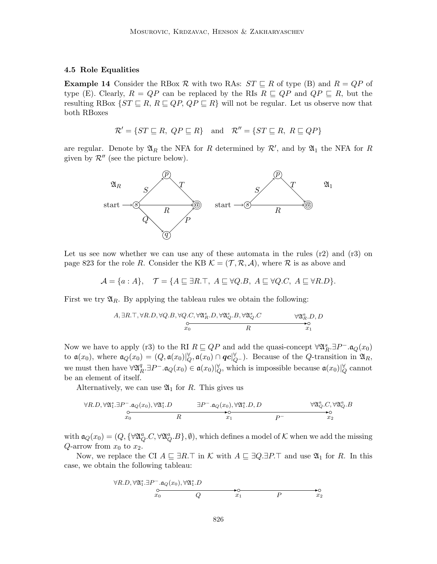#### 4.5 Role Equalities

**Example 14** Consider the RBox R with two RAs:  $ST \subseteq R$  of type (B) and  $R = QP$  of type (E). Clearly,  $R = QP$  can be replaced by the RIs  $R \subseteq QP$  and  $QP \subseteq R$ , but the resulting RBox  $\{ST \sqsubseteq R, R \sqsubseteq QP, QP \sqsubseteq R\}$  will not be regular. Let us observe now that both RBoxes

$$
\mathcal{R}' = \{ST \sqsubseteq R, \ QP \sqsubseteq R\}
$$
 and  $\mathcal{R}'' = \{ST \sqsubseteq R, \ R \sqsubseteq QP\}$ 

are regular. Denote by  $\mathfrak{A}_R$  the NFA for R determined by  $\mathcal{R}'$ , and by  $\mathfrak{A}_1$  the NFA for R given by  $\mathcal{R}^{\prime\prime}$  (see the picture below).



Let us see now whether we can use any of these automata in the rules  $(r2)$  and  $(r3)$  on page 823 for the role R. Consider the KB  $\mathcal{K} = (\mathcal{T}, \mathcal{R}, \mathcal{A})$ , where R is as above and

 $\mathcal{A} = \{a : A\}, \quad \mathcal{T} = \{A \sqsubseteq \exists R.\top, A \sqsubseteq \forall Q.B, A \sqsubseteq \forall Q.C, A \sqsubseteq \forall R.D\}.$ 

First we try  $\mathfrak{A}_R$ . By applying the tableau rules we obtain the following:

$$
\mathcal{A}, \exists R.\top, \forall R.D, \forall Q.B, \forall Q.C, \forall \mathfrak{A}_R^s.D, \forall \mathfrak{A}_Q^s.B, \forall \mathfrak{A}_Q^s.C \qquad \qquad \forall \mathfrak{A}_R^a.D, D \exists Q \in \mathfrak{A}_R \land \mathfrak{A}_R^o
$$

Now we have to apply (r3) to the RI  $R \sqsubseteq QP$  and add the quasi-concept  $\forall \mathfrak{A}_R^s \exists P^- \cdot \mathfrak{a}_Q(x_0)$ to  $\mathfrak{a}(x_0)$ , where  $\mathfrak{a}_Q(x_0) = (Q, \mathfrak{a}(x_0)|_Q^{\forall}, \mathfrak{a}(x_0) \cap \mathbf{qc}|_{Q}^{\forall})$ . Because of the Q-transition in  $\mathfrak{A}_R$ , we must then have  $\forall \mathfrak{A}^q_I$  ${}^q_R$ . $\exists P^- \cdot \mathfrak{a}_Q(x_0) \in \mathfrak{a}(x_0)|^{\forall}_Q$ , which is impossible because  $\mathfrak{a}(x_0)|^{\forall}_Q$  cannot be an element of itself.

Alternatively, we can use  $\mathfrak{A}_1$  for R. This gives us

$$
\forall R.D, \forall \mathfrak{A}_1^s. \exists P^- \mathfrak{a}_Q(x_0), \forall \mathfrak{A}_1^s. D \qquad \exists P^- \mathfrak{a}_Q(x_0), \forall \mathfrak{A}_1^a. D, D \qquad \forall \mathfrak{A}_Q^a. C, \forall \mathfrak{A}_Q^a. B
$$
  
\n
$$
\xrightarrow[\mathfrak{A}_Q]{} \mathfrak{A}_Q
$$

with  $\mathfrak{a}_Q(x_0) = (Q, \{\forall \mathfrak{A}_Q^a.C, \forall \mathfrak{A}_Q^a.B\}, \emptyset)$ , which defines a model of K when we add the missing  $Q$ -arrow from  $x_0$  to  $x_2$ .

Now, we replace the CI  $A \subseteq \exists R.\top$  in K with  $A \subseteq \exists Q.\exists P.\top$  and use  $\mathfrak{A}_1$  for R. In this case, we obtain the following tableau:

$$
\forall R.D. \forall \mathfrak{A}_{1}^{s}.\exists P^{-}.\mathfrak{a}_{Q}(x_{0}),\forall \mathfrak{A}_{1}^{s}.D
$$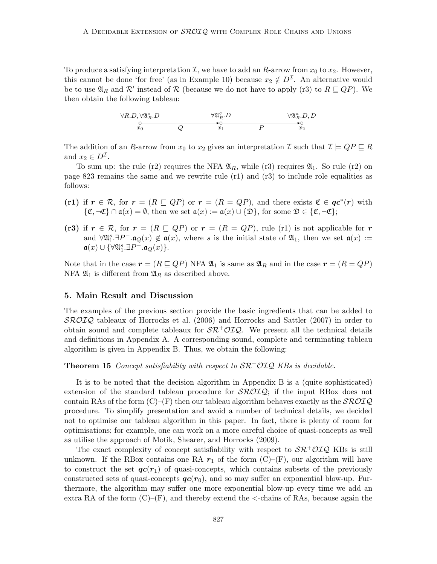To produce a satisfying interpretation  $\mathcal{I}$ , we have to add an R-arrow from  $x_0$  to  $x_2$ . However, this cannot be done 'for free' (as in Example 10) because  $x_2 \notin D^{\mathcal{I}}$ . An alternative would be to use  $\mathfrak{A}_R$  and  $\mathcal{R}'$  instead of  $\mathcal R$  (because we do not have to apply (r3) to  $R \sqsubseteq QP$ ). We then obtain the following tableau:

$$
\forall R.D, \forall \mathfrak{A}_R^s.D \qquad \qquad \forall \mathfrak{A}_R^q.D \qquad \qquad \forall \mathfrak{A}_R^q.D, D\n\mathfrak{D} \qquad \qquad \mathfrak{D} \qquad \qquad \mathfrak{D} \qquad \qquad \mathfrak{D} \qquad \qquad \mathfrak{D} \qquad \mathfrak{D} \qquad \qquad \mathfrak{D} \qquad \qquad \mathfrak{D} \qquad \qquad \mathfrak{D} \qquad \qquad \mathfrak{D} \qquad \qquad \mathfrak{D} \qquad \qquad \mathfrak{D} \qquad \qquad \mathfrak{D} \qquad \qquad \mathfrak{D} \qquad \qquad \mathfrak{D} \qquad \qquad \mathfrak{D} \qquad \qquad \mathfrak{D} \qquad \qquad \mathfrak{D} \qquad \qquad \mathfrak{D} \qquad \qquad \mathfrak{D} \qquad \qquad \mathfrak{D} \qquad \qquad \mathfrak{D} \qquad \qquad \mathfrak{D} \qquad \qquad \mathfrak{D} \qquad \qquad \mathfrak{D} \qquad \qquad \mathfrak{D} \qquad \qquad \mathfrak{D} \qquad \qquad \mathfrak{D} \qquad \qquad \mathfrak{D} \qquad \qquad \mathfrak{D} \qquad \qquad \mathfrak{D} \qquad \qquad \mathfrak{D} \qquad \qquad \mathfrak{D} \qquad \qquad \mathfrak{D} \qquad \qquad \mathfrak{D} \qquad \qquad \mathfrak{D} \qquad \qquad \mathfrak{D} \qquad \qquad \mathfrak{D} \qquad \qquad \mathfrak{D} \qquad \qquad \mathfrak{D} \qquad \qquad \mathfrak{D} \qquad \qquad \mathfrak{D} \qquad \qquad \mathfrak{D} \qquad \qquad \mathfrak{D} \qquad \qquad \mathfrak{D} \qquad \qquad \mathfrak{D} \qquad \qquad \mathfrak{D} \qquad \qquad \mathfrak{D} \qquad \qquad \mathfrak{D} \qquad \qquad \mathfrak{D} \qquad \qquad \mathfrak{D} \qquad \qquad \mathfrak{D} \qquad \qquad \mathfrak{D} \qquad \qquad \mathfrak{D} \qquad \qquad
$$

The addition of an R-arrow from  $x_0$  to  $x_2$  gives an interpretation I such that  $\mathcal{I} \models QP \sqsubseteq R$ and  $x_2 \in D^{\mathcal{I}}$ .

To sum up: the rule (r2) requires the NFA  $\mathfrak{A}_R$ , while (r3) requires  $\mathfrak{A}_1$ . So rule (r2) on page 823 remains the same and we rewrite rule (r1) and (r3) to include role equalities as follows:

- (r1) if  $r \in \mathcal{R}$ , for  $r = (R \sqsubseteq QP)$  or  $r = (R = QP)$ , and there exists  $\mathfrak{C} \in qc^*(r)$  with  $\{\mathfrak{C}, \neg \mathfrak{C}\} \cap \mathfrak{a}(x) = \emptyset$ , then we set  $\mathfrak{a}(x) := \mathfrak{a}(x) \cup \{\mathfrak{D}\}\)$ , for some  $\mathfrak{D} \in \{\mathfrak{C}, \neg \mathfrak{C}\}\$ ;
- (r3) if  $r \in \mathcal{R}$ , for  $r = (R \sqsubseteq QP)$  or  $r = (R = QP)$ , rule (r1) is not applicable for r and  $\forall \mathfrak{A}_1^s \exists P^- \cdot \mathfrak{a}_Q(x) \notin \mathfrak{a}(x)$ , where s is the initial state of  $\mathfrak{A}_1$ , then we set  $\mathfrak{a}(x) :=$  $\mathfrak{a}(x)\cup\{\forall \mathfrak{A}^s_1.\exists P^-\ldotp\mathfrak{a}_Q(x)\}.$

Note that in the case  $r = (R \sqsubseteq QP)$  NFA  $\mathfrak{A}_1$  is same as  $\mathfrak{A}_R$  and in the case  $r = (R = QP)$ NFA  $\mathfrak{A}_1$  is different from  $\mathfrak{A}_R$  as described above.

#### 5. Main Result and Discussion

The examples of the previous section provide the basic ingredients that can be added to SROIQ tableaux of Horrocks et al. (2006) and Horrocks and Sattler (2007) in order to obtain sound and complete tableaux for  $S\mathcal{R}^+\mathcal{O}I\mathcal{Q}$ . We present all the technical details and definitions in Appendix A. A corresponding sound, complete and terminating tableau algorithm is given in Appendix B. Thus, we obtain the following:

# **Theorem 15** Concept satisfiability with respect to  $\mathcal{SR}^+\mathcal{O}IQ$  KBs is decidable.

It is to be noted that the decision algorithm in Appendix B is a (quite sophisticated) extension of the standard tableau procedure for  $\mathcal{SROLQ}$ ; if the input RBox does not contain RAs of the form  $(C)$ –(F) then our tableau algorithm behaves exactly as the  $\mathcal{SROLQ}$ procedure. To simplify presentation and avoid a number of technical details, we decided not to optimise our tableau algorithm in this paper. In fact, there is plenty of room for optimisations; for example, one can work on a more careful choice of quasi-concepts as well as utilise the approach of Motik, Shearer, and Horrocks (2009).

The exact complexity of concept satisfiability with respect to  $\mathcal{SR}^+\mathcal{O}IQ$  KBs is still unknown. If the RBox contains one RA  $r_1$  of the form  $(C)-(F)$ , our algorithm will have to construct the set  $qc(r_1)$  of quasi-concepts, which contains subsets of the previously constructed sets of quasi-concepts  $\boldsymbol{qc}(r_0)$ , and so may suffer an exponential blow-up. Furthermore, the algorithm may suffer one more exponential blow-up every time we add an extra RA of the form  $(C)$ –(F), and thereby extend the  $\triangleleft$ -chains of RAs, because again the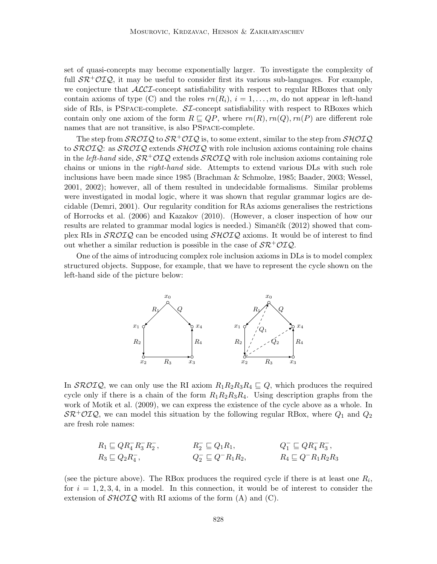set of quasi-concepts may become exponentially larger. To investigate the complexity of full  $\mathcal{SR}^+\mathcal{O}IQ$ , it may be useful to consider first its various sub-languages. For example, we conjecture that ALCI-concept satisfiability with respect to regular RBoxes that only contain axioms of type (C) and the roles  $rn(R_i)$ ,  $i = 1, ..., m$ , do not appear in left-hand side of RIs, is PSPACE-complete.  $\mathcal{SI}$ -concept satisfiability with respect to RBoxes which contain only one axiom of the form  $R \sqsubseteq QP$ , where  $rn(R), rn(Q), rn(P)$  are different role names that are not transitive, is also PSpace-complete.

The step from  $\mathcal{SROIQ}$  to  $\mathcal{SR}^+\mathcal{OIQ}$  is, to some extent, similar to the step from  $\mathcal{SHOIQ}$ to  $\mathcal{SROIQ}$ : as  $\mathcal{SROIQ}$  extends  $\mathcal{SHOIQ}$  with role inclusion axioms containing role chains in the *left-hand* side,  $S\mathcal{R}^+\mathcal{O}I\mathcal{Q}$  extends  $S\mathcal{ROI}\mathcal{Q}$  with role inclusion axioms containing role chains or unions in the right-hand side. Attempts to extend various DLs with such role inclusions have been made since 1985 (Brachman & Schmolze, 1985; Baader, 2003; Wessel, 2001, 2002); however, all of them resulted in undecidable formalisms. Similar problems were investigated in modal logic, where it was shown that regular grammar logics are decidable (Demri, 2001). Our regularity condition for RAs axioms generalises the restrictions of Horrocks et al. (2006) and Kazakov (2010). (However, a closer inspection of how our results are related to grammar modal logics is needed.) Simančík  $(2012)$  showed that complex RIs in  $\mathcal{SROIQ}$  can be encoded using  $\mathcal{SHOIQ}$  axioms. It would be of interest to find out whether a similar reduction is possible in the case of  $\mathcal{SR}^+\mathcal{O}IQ$ .

One of the aims of introducing complex role inclusion axioms in DLs is to model complex structured objects. Suppose, for example, that we have to represent the cycle shown on the left-hand side of the picture below:



In  $\mathcal{SROIQ}$ , we can only use the RI axiom  $R_1R_2R_3R_4 \subseteq Q$ , which produces the required cycle only if there is a chain of the form  $R_1R_2R_3R_4$ . Using description graphs from the work of Motik et al. (2009), we can express the existence of the cycle above as a whole. In  $\mathcal{SR}^+\mathcal{O}IQ$ , we can model this situation by the following regular RBox, where  $Q_1$  and  $Q_2$ are fresh role names:

$$
R_1 \sqsubseteq QR_4^- R_3^- R_2^-, \qquad R_2^- \sqsubseteq Q_1 R_1, \qquad Q_1^- \sqsubseteq QR_4^- R_3^-, R_3 \sqsubseteq Q_2 R_4^-, \qquad Q_2^- \sqsubseteq Q^- R_1 R_2, \qquad R_4 \sqsubseteq Q^- R_1 R_2 R_3
$$

(see the picture above). The RBox produces the required cycle if there is at least one  $R_i$ , for  $i = 1, 2, 3, 4$ , in a model. In this connection, it would be of interest to consider the extension of  $\mathcal{SHOLQ}$  with RI axioms of the form (A) and (C).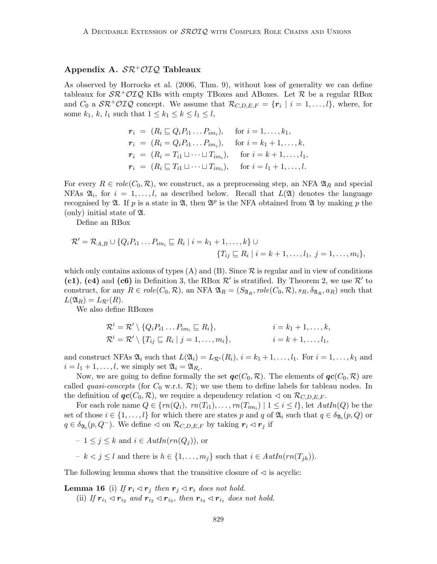# Appendix A.  $\mathcal{SR}^+\mathcal{O} \mathcal{I} \mathcal{Q}$  Tableaux

As observed by Horrocks et al. (2006, Thm. 9), without loss of generality we can define tableaux for  $\mathcal{SR}^+\mathcal{O}LQ$  KBs with empty TBoxes and ABoxes. Let R be a regular RBox and  $C_0$  a  $\mathcal{SR}^+\mathcal{O}I\mathcal{Q}$  concept. We assume that  $\mathcal{R}_{C,D,E,F} = \{r_i \mid i = 1,\ldots,l\}$ , where, for some  $k_1, k, l_1$  such that  $1 \leq k_1 \leq k \leq l_1 \leq l$ ,

$$
\begin{aligned}\n\mathbf{r}_i &= (R_i \sqsubseteq Q_i P_{i1} \dots P_{im_i}), & \text{for } i = 1, \dots, k_1, \\
\mathbf{r}_i &= (R_i = Q_i P_{i1} \dots P_{im_i}), & \text{for } i = k_1 + 1, \dots, k, \\
\mathbf{r}_i &= (R_i = T_{i1} \sqcup \dots \sqcup T_{im_i}), & \text{for } i = k + 1, \dots, l_1, \\
\mathbf{r}_i &= (R_i \sqsubseteq T_{i1} \sqcup \dots \sqcup T_{im_i}), & \text{for } i = l_1 + 1, \dots, l.\n\end{aligned}
$$

For every  $R \in role(C_0, \mathcal{R})$ , we construct, as a preprocessing step, an NFA  $\mathfrak{A}_R$  and special NFAs  $\mathfrak{A}_i$ , for  $i = 1, \ldots, l$ , as described below. Recall that  $L(\mathfrak{A})$  denotes the language recognised by  $\mathfrak A$ . If p is a state in  $\mathfrak A$ , then  $\mathfrak A^p$  is the NFA obtained from  $\mathfrak A$  by making p the (only) initial state of A.

Define an RBox

$$
\mathcal{R}' = \mathcal{R}_{A,B} \cup \{Q_i P_{i1} \dots P_{im_i} \sqsubseteq R_i \mid i = k_1 + 1, \dots, k\} \cup
$$
  

$$
\{T_{ij} \sqsubseteq R_i \mid i = k + 1, \dots, l_1, j = 1, \dots, m_i\},
$$

which only contains axioms of types  $(A)$  and  $(B)$ . Since  $\mathcal R$  is regular and in view of conditions (c1), (c4) and (c6) in Definition 3, the RBox  $\mathcal{R}'$  is stratified. By Theorem 2, we use  $\mathcal{R}'$  to construct, for any  $R \in role(C_0, \mathcal{R})$ , an NFA  $\mathfrak{A}_R = (S_{\mathfrak{A}_R}, role(C_0, \mathcal{R}), s_R, \delta_{\mathfrak{A}_R}, a_R)$  such that  $L(\mathfrak{A}_R) = L_{\mathcal{R}'}(R).$ 

We also define RBoxes

$$
\mathcal{R}^i = \mathcal{R}' \setminus \{Q_i P_{i1} \dots P_{im_i} \sqsubseteq R_i\}, \qquad i = k_1 + 1, \dots, k,
$$
  

$$
\mathcal{R}^i = \mathcal{R}' \setminus \{T_{ij} \sqsubseteq R_i \mid j = 1, \dots, m_i\}, \qquad i = k + 1, \dots, l_1,
$$

and construct NFAs  $\mathfrak{A}_i$  such that  $L(\mathfrak{A}_i) = L_{\mathcal{R}^i}(R_i)$ ,  $i = k_1 + 1, \ldots, l_1$ . For  $i = 1, \ldots, k_1$  and  $i = l_1 + 1, \ldots, l$ , we simply set  $\mathfrak{A}_i = \mathfrak{A}_{R_i}$ .

Now, we are going to define formally the set  $\mathbf{qc}(C_0, \mathcal{R})$ . The elements of  $\mathbf{qc}(C_0, \mathcal{R})$  are called *quasi-concepts* (for  $C_0$  w.r.t.  $\mathcal{R}$ ); we use them to define labels for tableau nodes. In the definition of  $\mathbf{qc}(C_0, \mathcal{R})$ , we require a dependency relation  $\lhd$  on  $\mathcal{R}_{C,D,E,F}$ .

For each role name  $Q \in \{rn(Q_i), rn(T_{i1}), \ldots, rn(T_{im_i}) \mid 1 \leq i \leq l\}$ , let  $AutIn(Q)$  be the set of those  $i \in \{1, ..., l\}$  for which there are states p and q of  $\mathfrak{A}_i$  such that  $q \in \delta_{\mathfrak{A}_i}(p, Q)$  or  $q \in \delta_{\mathfrak{A}_i}(p, Q^-)$ . We define  $\triangleleft$  on  $\mathcal{R}_{C,D,E,F}$  by taking  $r_i \triangleleft r_j$  if

 $-1 \leq j \leq k$  and  $i \in \text{AutIn}(rn(Q_i)),$  or

- 
$$
k < j \leq l
$$
 and there is  $h \in \{1, ..., m_j\}$  such that  $i \in \text{AutIn}(rn(T_{jh}))$ .

The following lemma shows that the transitive closure of  $\triangleleft$  is acyclic:

**Lemma 16** (i) If  $r_i \triangleleft r_j$  then  $r_j \triangleleft r_i$  does not hold.

(ii) If  $r_{i_1} \lhd r_{i_2}$  and  $r_{i_2} \lhd r_{i_3}$ , then  $r_{i_3} \lhd r_{i_1}$  does not hold.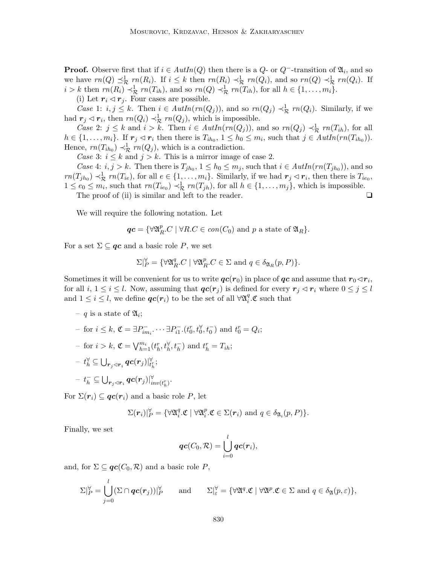**Proof.** Observe first that if  $i \in AutIn(Q)$  then there is a  $Q$ - or  $Q^-$ -transition of  $\mathfrak{A}_i$ , and so we have  $rn(Q) \preceq_R^1 rn(R_i)$ . If  $i \leq k$  then  $rn(R_i) \prec_R^1 rn(Q_i)$ , and so  $rn(Q) \prec_R^1 rn(Q_i)$ . If  $i > k$  then  $rn(R_i) \prec^1_{\mathcal{R}} rn(T_{ih})$ , and so  $rn(Q) \prec^1_{\mathcal{R}} rn(T_{ih})$ , for all  $h \in \{1, ..., m_i\}$ .

(i) Let  $r_i \triangleleft r_j$ . Four cases are possible.

Case 1:  $i, j \leq k$ . Then  $i \in \text{AutIn}(rn(Q_j))$ , and so  $rn(Q_j) \prec^1_{\mathcal{R}} rn(Q_i)$ . Similarly, if we had  $r_j \lhd r_i$ , then  $rn(Q_i) \prec^1_{\mathcal{R}} rn(Q_j)$ , which is impossible.

Case 2:  $j \leq k$  and  $i > k$ . Then  $i \in AutIn(m(Q_j))$ , and so  $rn(Q_j) \prec_{\mathcal{R}}^1 rn(T_{ih})$ , for all  $h \in \{1, \ldots, m_i\}$ . If  $r_j \lhd r_i$  then there is  $T_{ih_0}$ ,  $1 \leq h_0 \leq m_i$ , such that  $j \in AutIn(rn(T_{ih_0}))$ . Hence,  $rn(T_{ih_0}) \prec_R^1 rn(Q_j)$ , which is a contradiction.

Case 3:  $i \leq k$  and  $j > k$ . This is a mirror image of case 2.

Case 4:  $i, j > k$ . Then there is  $T_{jh_0}, 1 \leq h_0 \leq m_j$ , such that  $i \in AutIn(rn(T_{jh_0}))$ , and so  $rm(T_{jh_0}) \prec_R^1 rn(T_{ie}),$  for all  $e \in \{1, \ldots, m_i\}$ . Similarly, if we had  $r_j \lhd r_i$ , then there is  $T_{ie_0}$ ,  $1 \leq e_0 \leq m_i$ , such that  $rn(T_{ie_0}) \prec_R^1 rn(T_{jh})$ , for all  $h \in \{1, \ldots, m_j\}$ , which is impossible. The proof of (ii) is similar and left to the reader.  $\Box$ 

We will require the following notation. Let

$$
qc = {\forall \mathfrak{A}_R^p.C \mid \forall R.C \in con(C_0) \text{ and } p \text{ a state of } \mathfrak{A}_R}.
$$

For a set  $\Sigma \subseteq qc$  and a basic role P, we set

$$
\Sigma|_P^{\forall} = \{ \forall \mathfrak{A}_R^q. C \mid \forall \mathfrak{A}_R^p. C \in \Sigma \text{ and } q \in \delta_{\mathfrak{A}_R}(p,P) \}.
$$

Sometimes it will be convenient for us to write  $\bm{qc}(r_0)$  in place of  $\bm{qc}$  and assume that  $r_0 \lhd r_i$ , for all  $i, 1 \leq i \leq l$ . Now, assuming that  $\boldsymbol{qc}(r_i)$  is defined for every  $r_i \triangleleft r_i$  where  $0 \leq j \leq l$ and  $1 \leq i \leq l$ , we define  $\boldsymbol{qc}(r_i)$  to be the set of all  $\forall \mathfrak{A}_i^q$  $\frac{q}{i}$ .  $\mathfrak C$  such that

- q is a state of 
$$
\mathfrak{A}_i
$$
;

- for *i* ≤ *k*, **c** = ∃ $P_{im_i}^-$ . · · · ∃ $P_{i1}^-$ . ( $t_0^r$ ,  $t_0^{\forall}$ ,  $t_0^-$ ) and  $t_0^r = Q_i$ ; − for  $i > k$ ,  $\mathfrak{C} = \bigvee_{h=1}^{m_i} (t_h^r, t_h^{\forall}, t_h^-)$  and  $t_h^r = T_{ih}$ ;  $\hspace{0.1 cm} \hspace{0.1 cm} = \hspace{0.1 cm} t_{h}^{\forall} \subseteq \bigcup_{\boldsymbol{r}_{j} < \boldsymbol{r}_{i}} \boldsymbol{qc}(\boldsymbol{r}_{j})|_{t_{h}^{r}}^{\forall};$  $- \; t_h^- \subseteq \bigcup_{\bm{r}_j \lhd \bm{r}_i} \bm{qc}(\bm{r}_j) \vert_{inv(t_h^r)}^\forall.$ 

For  $\Sigma(\mathbf{r}_i) \subset \mathbf{qc}(\mathbf{r}_i)$  and a basic role P, let

$$
\Sigma(\boldsymbol{r}_i)|_P^{\forall} = \{ \forall \mathfrak{A}_i^q \mathfrak{C} \mid \forall \mathfrak{A}_i^p \mathfrak{C} \in \Sigma(\boldsymbol{r}_i) \text{ and } q \in \delta_{\mathfrak{A}_i}(p, P) \}.
$$

Finally, we set

l

$$
\boldsymbol{qc}(C_0,\mathcal{R})=\bigcup_{i=0}^l\boldsymbol{qc}(r_i),
$$

and, for  $\Sigma \subseteq \mathbf{qc}(C_0, \mathcal{R})$  and a basic role P,

$$
\Sigma_{P}^{\forall} = \bigcup_{j=0}^{l} (\Sigma \cap \boldsymbol{qc}(r_j))_{P}^{\forall} \quad \text{and} \quad \Sigma_{\varepsilon}^{\forall} = \{ \forall \mathfrak{A}^{q}.\mathfrak{C} \mid \forall \mathfrak{A}^{p}.\mathfrak{C} \in \Sigma \text{ and } q \in \delta_{\mathfrak{A}}(p,\varepsilon) \},
$$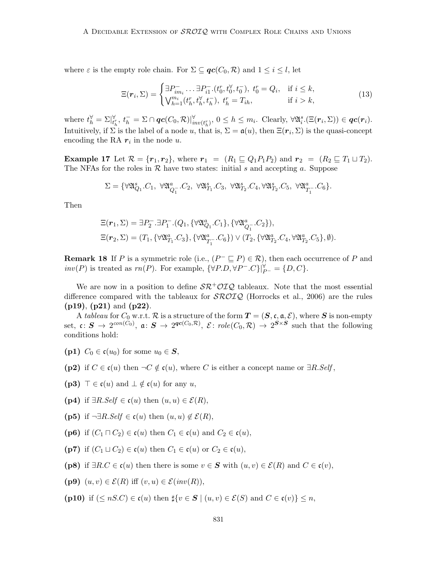where  $\varepsilon$  is the empty role chain. For  $\Sigma \subseteq \mathbf{qc}(C_0, \mathcal{R})$  and  $1 \leq i \leq l$ , let

$$
\Xi(\mathbf{r}_i, \Sigma) = \begin{cases} \exists P_{im_i}^- \dots \exists P_{i1}^- \cdot (t_0^r, t_0^{\forall}, t_0^-), \ t_0^r = Q_i, & \text{if } i \leq k, \\ \bigvee_{h=1}^{m_i} (t_h^r, t_h^{\forall}, t_h^-), \ t_h^r = T_{ih}, & \text{if } i > k, \end{cases}
$$
(13)

where  $t_h^{\forall} = \Sigma_{t_h^{\forall}}^{\forall}$ ,  $t_h^{-} = \Sigma \cap \boldsymbol{qc}(C_0, \mathcal{R}) \vert_{inv(t_h^{\forall})}^{\forall}$ ,  $0 \leq h \leq m_i$ . Clearly,  $\forall \mathfrak{A}_i^s(\Xi(\boldsymbol{r}_i, \Sigma)) \in \boldsymbol{qc}(\boldsymbol{r}_i)$ . Intuitively, if  $\Sigma$  is the label of a node u, that is,  $\Sigma = \mathfrak{a}(u)$ , then  $\Xi(\mathbf{r}_i, \Sigma)$  is the quasi-concept encoding the RA  $r_i$  in the node u.

**Example 17** Let  $\mathcal{R} = {\mathbf{r}_1, \mathbf{r}_2}$ , where  $\mathbf{r}_1 = (R_1 \sqsubseteq Q_1 P_1 P_2)$  and  $\mathbf{r}_2 = (R_2 \sqsubseteq T_1 \sqcup T_2)$ . The NFAs for the roles in  $R$  have two states: initial s and accepting a. Suppose

$$
\Sigma=\{\forall \mathfrak{A}^s_{Q_1}.C_1, \ \forall \mathfrak{A}^a_{Q_1^-}.C_2, \ \forall \mathfrak{A}^s_{T_1}.C_3, \ \forall \mathfrak{A}^s_{T_2}.C_4, \forall \mathfrak{A}^s_{T_2}.C_5, \ \forall \mathfrak{A}^a_{T_1^-}.C_6\}.
$$

Then

$$
\begin{split} &\Xi(\mathbf{r}_1,\Sigma)=\exists P_2^-. \exists P_1^-.(Q_1,\{\forall \mathfrak{A}_{Q_1}^a.C_1\},\{\forall \mathfrak{A}_{Q_1}^a.C_2\}),\\ &\Xi(\mathbf{r}_2,\Sigma)=(T_1,\{\forall \mathfrak{A}_{T_1}^a.C_3\},\{\forall \mathfrak{A}_{T_1^-}^a.C_6\})\vee (T_2,\{\forall \mathfrak{A}_{T_2}^a.C_4,\forall \mathfrak{A}_{T_2}^a.C_5\},\emptyset). \end{split}
$$

**Remark 18** If P is a symmetric role (i.e.,  $(P^- \sqsubseteq P) \in \mathcal{R}$ ), then each occurrence of P and  $inv(P)$  is treated as  $rn(P)$ . For example,  $\{\forall P.D, \forall P\neg C\}\vert_{P}^{\forall} = \{D, C\}.$ 

We are now in a position to define  $\mathcal{SR}^+\mathcal{O}I\mathcal{Q}$  tableaux. Note that the most essential difference compared with the tableaux for  $\mathcal{SROLQ}$  (Horrocks et al., 2006) are the rules (p19), (p21) and (p22).

A tableau for  $C_0$  w.r.t. R is a structure of the form  $T = (S, \mathfrak{c}, \mathfrak{a}, \mathcal{E})$ , where S is non-empty set,  $\mathfrak{c}: \mathbf{S} \to 2^{con(C_0)}$ ,  $\mathfrak{a}: \mathbf{S} \to 2^{\mathbf{qc}(C_0, \mathcal{R})}$ ,  $\mathcal{E}: \mathit{role}(C_0, \mathcal{R}) \to 2^{\mathbf{S} \times \mathbf{S}}$  such that the following conditions hold:

- (p1)  $C_0 \in \mathfrak{c}(u_0)$  for some  $u_0 \in S$ ,
- (p2) if  $C \in \mathfrak{c}(u)$  then  $\neg C \notin \mathfrak{c}(u)$ , where C is either a concept name or  $\exists R. Self$ ,
- (p3)  $\top \in \mathfrak{c}(u)$  and  $\bot \notin \mathfrak{c}(u)$  for any u,
- (p4) if  $\exists R. Self \in \mathfrak{c}(u)$  then  $(u, u) \in \mathcal{E}(R)$ ,
- (p5) if  $\neg \exists R. Self \in \mathfrak{c}(u)$  then  $(u, u) \notin \mathcal{E}(R)$ ,
- (p6) if  $(C_1 \sqcap C_2) \in \mathfrak{c}(u)$  then  $C_1 \in \mathfrak{c}(u)$  and  $C_2 \in \mathfrak{c}(u)$ ,
- (p7) if  $(C_1 \sqcup C_2) \in \mathfrak{c}(u)$  then  $C_1 \in \mathfrak{c}(u)$  or  $C_2 \in \mathfrak{c}(u)$ ,
- (p8) if  $\exists R.C \in \mathfrak{c}(u)$  then there is some  $v \in S$  with  $(u, v) \in \mathcal{E}(R)$  and  $C \in \mathfrak{c}(v)$ ,
- (p9)  $(u, v) \in \mathcal{E}(R)$  iff  $(v, u) \in \mathcal{E}(inv(R)),$
- (p10) if  $(\leq nS.C) \in \mathfrak{c}(u)$  then  $\sharp \{v \in S \mid (u, v) \in \mathcal{E}(S) \text{ and } C \in \mathfrak{c}(v)\} \leq n$ ,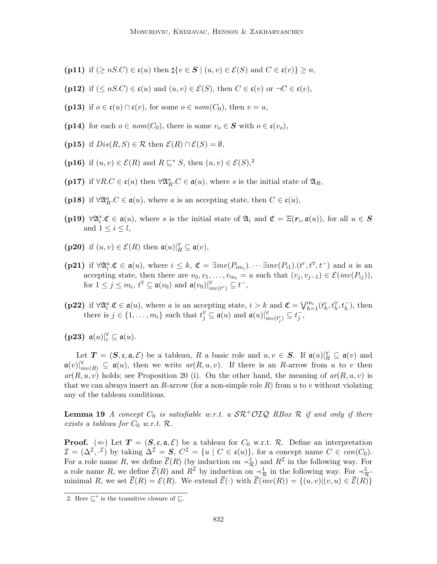- (p11) if  $(\geq nS.C) \in \mathfrak{c}(u)$  then  $\sharp \{v \in S \mid (u, v) \in \mathcal{E}(S) \text{ and } C \in \mathfrak{c}(v)\} \geq n$ ,
- (p12) if  $(\leq nS.C) \in \mathfrak{c}(u)$  and  $(u, v) \in \mathcal{E}(S)$ , then  $C \in \mathfrak{c}(v)$  or  $\neg C \in \mathfrak{c}(v)$ ,
- (p13) if  $o \in \mathfrak{c}(u) \cap \mathfrak{c}(v)$ , for some  $o \in \text{nom}(C_0)$ , then  $v = u$ ,
- (p14) for each  $o \in \text{nom}(C_0)$ , there is some  $v_o \in S$  with  $o \in \mathfrak{c}(v_o)$ ,
- (p15) if  $Dis(R, S) \in \mathcal{R}$  then  $\mathcal{E}(R) \cap \mathcal{E}(S) = \emptyset$ ,
- (p16) if  $(u, v) \in \mathcal{E}(R)$  and  $R \sqsubseteq^* S$ , then  $(u, v) \in \mathcal{E}(S)$ ,<sup>2</sup>
- (p17) if  $\forall R.C \in \mathfrak{c}(u)$  then  $\forall \mathfrak{A}_R^s.C \in \mathfrak{a}(u)$ , where s is the initial state of  $\mathfrak{A}_R$ ,
- (p18) if  $\forall \mathfrak{A}_R^a C \in \mathfrak{a}(u)$ , where a is an accepting state, then  $C \in \mathfrak{c}(u)$ ,
- (p19)  $\forall \mathfrak{A}_i^s \mathfrak{C} \in \mathfrak{a}(u)$ , where s is the initial state of  $\mathfrak{A}_i$  and  $\mathfrak{C} = \Xi(r_i, \mathfrak{a}(u))$ , for all  $u \in S$ and  $1 \leq i \leq l$ ,
- (p20) if  $(u, v) \in \mathcal{E}(R)$  then  $\mathfrak{a}(u)|_R^{\forall} \subseteq \mathfrak{a}(v)$ ,
- (p21) if  $\forall \mathfrak{A}_i^a \mathfrak{C} \in \mathfrak{a}(u)$ , where  $i \leq k$ ,  $\mathfrak{C} = \exists inv(P_{im_i}) \cdots \exists inv(P_{i1}) \mathfrak{C}$ ,  $t^r, t^{\forall}, t^-$  and a is an accepting state, then there are  $v_0, v_1, \ldots, v_{m_i} = u$  such that  $(v_j, v_{j-1}) \in \mathcal{E}(inv(P_{ij}))$ , for  $1 \leq j \leq m_i$ ,  $t^{\forall} \subseteq \mathfrak{a}(v_0)$  and  $\mathfrak{a}(v_0)|_{inv(t^r)}^{\forall} \subseteq t^-,$
- (p22) if  $\forall \mathfrak{A}_i^a \mathfrak{C} \in \mathfrak{a}(u)$ , where a is an accepting state,  $i > k$  and  $\mathfrak{C} = \bigvee_{h=1}^{m_i} (t_h^r, t_h^{\forall}, t_h^-)$ , then there is  $j \in \{1, \ldots, m_i\}$  such that  $t_j^{\forall} \subseteq \mathfrak{a}(u)$  and  $\mathfrak{a}(u)|_{inv(t_j^r)}^{\forall} \subseteq t_j^-,$
- (p23)  $\mathfrak{a}(u)|_\varepsilon^\forall \subseteq \mathfrak{a}(u)$ .

Let  $T = (S, \mathfrak{c}, \mathfrak{a}, \mathcal{E})$  be a tableau, R a basic role and  $u, v \in S$ . If  $\mathfrak{a}(u)|_R^{\forall} \subseteq \mathfrak{a}(v)$  and  $\mathfrak{a}(v)|_{inv(R)}^{\forall} \subseteq \mathfrak{a}(u)$ , then we write  $ar(R, u, v)$ . If there is an R-arrow from u to v then  $ar(R, u, v)$  holds; see Proposition 20 (i). On the other hand, the meaning of  $ar(R, u, v)$  is that we can always insert an R-arrow (for a non-simple role R) from u to v without violating any of the tableau conditions.

**Lemma 19** A concept  $C_0$  is satisfiable w.r.t. a  $\mathcal{SR}^+\mathcal{O}IQ$  RBox R if and only if there exists a tableau for  $C_0$  w.r.t.  $\mathcal{R}$ .

**Proof.** ( $\Leftarrow$ ) Let  $T = (S, \mathfrak{c}, \mathfrak{a}, \mathcal{E})$  be a tableau for  $C_0$  w.r.t. R. Define an interpretation  $\mathcal{I} = (\Delta^{\mathcal{I}}, \cdot^{\mathcal{I}})$  by taking  $\Delta^{\mathcal{I}} = \mathcal{S}, C^{\mathcal{I}} = \{u \mid C \in \mathfrak{c}(u)\},$  for a concept name  $C \in con(C_0)$ . For a role name R, we define  $\overline{\mathcal{E}}(R)$  (by induction on  $\prec_{\mathcal{R}}^1$ ) and  $R^{\mathcal{I}}$  in the following way. For a role name R, we define  $\overline{\mathcal{E}}(R)$  and  $R^{\mathcal{I}}$  by induction on  $\prec_R^1$  in the following way. For  $\prec_R^1$ minimal R, we set  $\overline{\mathcal{E}}(R) = \mathcal{E}(R)$ . We extend  $\overline{\mathcal{E}}(\cdot)$  with  $\overline{\mathcal{E}}(inv(R)) = \{(u, v) | (v, u) \in \overline{\mathcal{E}}(R)\}\$ 

<sup>2.</sup> Here  $\sqsubseteq^*$  is the transitive closure of  $\sqsubseteq$ .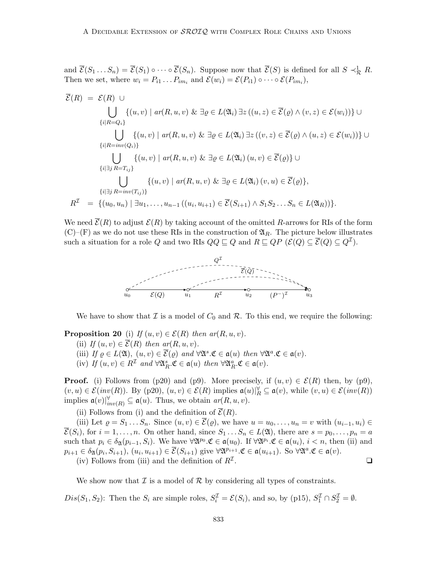and  $\overline{\mathcal{E}}(S_1 \dots S_n) = \overline{\mathcal{E}}(S_1) \circ \cdots \circ \overline{\mathcal{E}}(S_n)$ . Suppose now that  $\overline{\mathcal{E}}(S)$  is defined for all  $S \prec^1_{\mathcal{R}} R$ . Then we set, where  $w_i = P_{i1} \dots P_{im_i}$  and  $\mathcal{E}(w_i) = \mathcal{E}(P_{i1}) \circ \cdots \circ \mathcal{E}(P_{im_i}),$ 

$$
\mathcal{E}(R) = \mathcal{E}(R) \cup
$$
\n
$$
\bigcup_{\{i|R=q_i\}} \{(u,v) \mid ar(R,u,v) \& \exists \varrho \in L(\mathfrak{A}_i) \exists z ((u,z) \in \overline{\mathcal{E}}(\varrho) \land (v,z) \in \mathcal{E}(w_i))\} \cup
$$
\n
$$
\bigcup_{\{i|R=inv(Q_i)\}} \{(u,v) \mid ar(R,u,v) \& \exists \varrho \in L(\mathfrak{A}_i) \exists z ((v,z) \in \overline{\mathcal{E}}(\varrho) \land (u,z) \in \mathcal{E}(w_i))\} \cup
$$
\n
$$
\bigcup_{\{i|\exists j \in R=T_{ij}\}} \{(u,v) \mid ar(R,u,v) \& \exists \varrho \in L(\mathfrak{A}_i) (u,v) \in \overline{\mathcal{E}}(\varrho)\} \cup
$$
\n
$$
\bigcup_{\{i|\exists j \in R=inv(T_{ij})\}} \{(u,v) \mid ar(R,u,v) \& \exists \varrho \in L(\mathfrak{A}_i) (v,u) \in \overline{\mathcal{E}}(\varrho)\},
$$
\n
$$
R^{\mathcal{I}} = \{(u_0, u_n) \mid \exists u_1, \dots, u_{n-1} ((u_i, u_{i+1}) \in \overline{\mathcal{E}}(S_{i+1}) \land S_1 S_2 \dots S_n \in L(\mathfrak{A}_R))\}.
$$

We need  $\overline{\mathcal{E}}(R)$  to adjust  $\mathcal{E}(R)$  by taking account of the omitted R-arrows for RIs of the form  $(C)$ –(F) as we do not use these RIs in the construction of  $\mathfrak{A}_R$ . The picture below illustrates such a situation for a role Q and two RIs  $QQ \sqsubseteq Q$  and  $R \sqsubseteq QP$   $(\mathcal{E}(Q) \subseteq \overline{\mathcal{E}}(Q) \subseteq Q^{\mathcal{I}})$ .



We have to show that  $\mathcal I$  is a model of  $C_0$  and  $\mathcal R$ . To this end, we require the following:

**Proposition 20** (i) If  $(u, v) \in \mathcal{E}(R)$  then  $ar(R, u, v)$ .

(ii) If  $(u, v) \in \overline{\mathcal{E}}(R)$  then  $ar(R, u, v)$ .

- (iii) If  $\varrho \in L(\mathfrak{A}), (u, v) \in \overline{\mathcal{E}}(\varrho)$  and  $\forall \mathfrak{A}^s \mathfrak{C} \in \mathfrak{a}(u)$  then  $\forall \mathfrak{A}^a \mathfrak{C} \in \mathfrak{a}(v)$ .
- (iv) If  $(u, v) \in R^{\mathcal{I}}$  and  $\forall \mathfrak{A}_R^s \mathfrak{C} \in \mathfrak{a}(u)$  then  $\forall \mathfrak{A}_R^a \mathfrak{C} \in \mathfrak{a}(v)$ .

**Proof.** (i) Follows from (p20) and (p9). More precisely, if  $(u, v) \in \mathcal{E}(R)$  then, by (p9),  $(v, u) \in \mathcal{E}(inv(R))$ . By (p20),  $(u, v) \in \mathcal{E}(R)$  implies  $\mathfrak{a}(u)|_R^{\forall} \subseteq \mathfrak{a}(v)$ , while  $(v, u) \in \mathcal{E}(inv(R))$ implies  $\mathfrak{a}(v)|_{inv(R)}^{\forall} \subseteq \mathfrak{a}(u)$ . Thus, we obtain  $ar(R, u, v)$ .

(ii) Follows from (i) and the definition of  $\overline{\mathcal{E}}(R)$ .

(iii) Let  $\rho = S_1 \dots S_n$ . Since  $(u, v) \in \overline{\mathcal{E}}(\rho)$ , we have  $u = u_0, \dots, u_n = v$  with  $(u_{i-1}, u_i) \in$  $\overline{\mathcal{E}}(S_i)$ , for  $i = 1, \ldots, n$ . On other hand, since  $S_1 \ldots S_n \in L(\mathfrak{A})$ , there are  $s = p_0, \ldots, p_n = a$ such that  $p_i \in \delta_{\mathfrak{A}}(p_{i-1}, S_i)$ . We have  $\forall \mathfrak{A}^{p_0} \mathfrak{C} \in \mathfrak{a}(u_0)$ . If  $\forall \mathfrak{A}^{p_i} \mathfrak{C} \in \mathfrak{a}(u_i)$ ,  $i < n$ , then (ii) and  $p_{i+1} \in \delta_{\mathfrak{A}}(p_i, S_{i+1}), (u_i, u_{i+1}) \in \overline{\mathcal{E}}(S_{i+1})$  give  $\forall \mathfrak{A}^{p_{i+1}}.\mathfrak{C} \in \mathfrak{a}(u_{i+1})$ . So  $\forall \mathfrak{A}^a.\mathfrak{C} \in \mathfrak{a}(v)$ . . ❑

(iv) Follows from (iii) and the definition of  $R^2$ .

We show now that  $\mathcal I$  is a model of  $\mathcal R$  by considering all types of constraints.

 $Dis(S_1, S_2)$ : Then the  $S_i$  are simple roles,  $S_i^{\mathcal{I}} = \mathcal{E}(S_i)$ , and so, by (p15),  $S_1^{\mathcal{I}} \cap S_2^{\mathcal{I}} = \emptyset$ .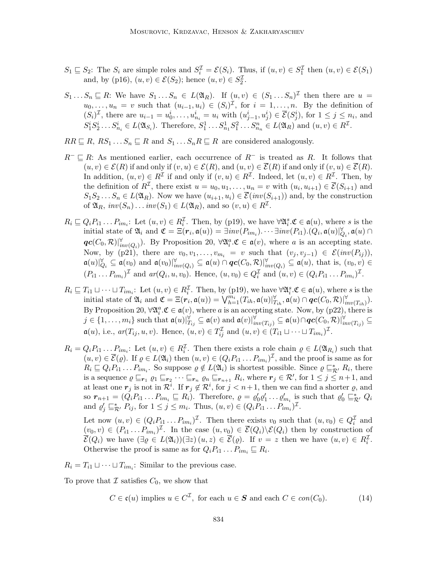- $S_1 \subseteq S_2$ : The  $S_i$  are simple roles and  $S_i^{\mathcal{I}} = \mathcal{E}(S_i)$ . Thus, if  $(u, v) \in S_1^{\mathcal{I}}$  then  $(u, v) \in \mathcal{E}(S_1)$ and, by (p16),  $(u, v) \in \mathcal{E}(S_2)$ ; hence  $(u, v) \in S_2^{\mathcal{I}}$ .
- $S_1 \dots S_n \sqsubseteq R$ : We have  $S_1 \dots S_n \in L(\mathfrak{A}_R)$ . If  $(u, v) \in (S_1 \dots S_n)^{\mathcal{I}}$  then there are  $u =$  $u_0, \ldots, u_n = v$  such that  $(u_{i-1}, u_i) \in (S_i)^{\mathcal{I}}$ , for  $i = 1, \ldots, n$ . By the definition of  $(S_i)^{\mathcal{I}}$ , there are  $u_{i-1} = u_0^i, \ldots, u_{n_i}^i = u_i$  with  $(u_{j-1}^i, u_j^i) \in \overline{\mathcal{E}}(S_j^i)$ , for  $1 \leq j \leq n_i$ , and  $S_1^i S_2^i \dots S_{n_i}^i \in L(\mathfrak{A}_{S_i})$ . Therefore,  $S_1^1 \dots S_{n_1}^1 S_1^2 \dots S_{n_n}^n \in L(\mathfrak{A}_R)$  and  $(u, v) \in R^{\mathcal{I}}$ .
- $RR \sqsubseteq R$ ,  $RS_1 \dots S_n \sqsubseteq R$  and  $S_1 \dots S_n R \sqsubseteq R$  are considered analogously.
- $R^- \sqsubset R$ : As mentioned earlier, each occurrence of  $R^-$  is treated as R. It follows that  $(u, v) \in \mathcal{E}(R)$  if and only if  $(v, u) \in \mathcal{E}(R)$ , and  $(u, v) \in \overline{\mathcal{E}}(R)$  if and only if  $(v, u) \in \overline{\mathcal{E}}(R)$ . In addition,  $(u, v) \in R^{\mathcal{I}}$  if and only if  $(v, u) \in R^{\mathcal{I}}$ . Indeed, let  $(u, v) \in R^{\mathcal{I}}$ . Then, by the definition of  $R^{\mathcal{I}}$ , there exist  $u = u_0, u_1, \ldots, u_n = v$  with  $(u_i, u_{i+1}) \in \overline{\mathcal{E}}(S_{i+1})$  and  $S_1S_2 \ldots S_n \in L(\mathfrak{A}_R)$ . Now we have  $(u_{i+1}, u_i) \in \overline{\mathcal{E}}(inv(S_{i+1}))$  and, by the construction of  $\mathfrak{A}_R$ ,  $inv(S_n) \dots inv(S_1) \in L(\mathfrak{A}_R)$ , and so  $(v, u) \in R^{\mathcal{I}}$ .
- $R_i \subseteq Q_i P_{i1} \dots P_{im_i}$ : Let  $(u, v) \in R_i^{\mathcal{I}}$ . Then, by (p19), we have  $\forall \mathfrak{A}_i^s \mathfrak{C} \in \mathfrak{a}(u)$ , where s is the initial state of  $\mathfrak{A}_i$  and  $\mathfrak{C} = \Xi(\mathbf{r}_i, \mathfrak{a}(u)) = \exists inv(P_{im_i}) \cdots \exists inv(P_{i1}) \ldotp (Q_i, \mathfrak{a}(u)|_{Q_i}^{\forall}, \mathfrak{a}(u) \cap$  $\{q\boldsymbol{c}(C_0,\mathcal{R})\}_{inv(Q_i)}^{\forall}$ . By Proposition 20,  $\forall \mathfrak{A}_i^a \mathfrak{C} \in \mathfrak{a}(v)$ , where a is an accepting state. Now, by (p21), there are  $v_0, v_1, \ldots, v_{m_i} = v$  such that  $(v_j, v_{j-1}) \in \mathcal{E}(inv(P_{ij}))$ ,  $\mathfrak{a}(u)|_{Q_i}^{\forall} \subseteq \mathfrak{a}(v_0)$  and  $\mathfrak{a}(v_0)|_{inv(Q_i)}^{\forall} \subseteq \mathfrak{a}(u) \cap \boldsymbol{qc}(C_0, \mathcal{R})|_{inv(Q_i)}^{\forall} \subseteq \mathfrak{a}(u)$ , that is,  $(v_0, v) \in$  $(P_{i1} \ldots P_{im_i})^{\mathcal{I}}$  and  $ar(Q_i, u, v_0)$ . Hence,  $(u, v_0) \in Q_i^{\mathcal{I}}$  and  $(u, v) \in (Q_i P_{i1} \ldots P_{im_i})^{\mathcal{I}}$ .
- $R_i \sqsubseteq T_{i1} \sqcup \cdots \sqcup T_{im_i}:$  Let  $(u, v) \in R_i^{\mathcal{I}}$ . Then, by (p19), we have  $\forall \mathfrak{A}_i^s \mathfrak{C} \in \mathfrak{a}(u)$ , where s is the initial state of  $\mathfrak{A}_i$  and  $\mathfrak{C} = \Xi(\mathbf{r}_i, \mathfrak{a}(u)) = \bigvee_{h=1}^{m_i} (T_{ih}, \mathfrak{a}(u) |_{T_{ih}}^{\forall}, \mathfrak{a}(u) \cap \mathbf{qc}(C_0, \mathcal{R})|_{inv(T_{ih})}^{\forall}.$ By Proposition 20,  $\forall \mathfrak{A}_i^a \mathfrak{C} \in \mathfrak{a}(v)$ , where a is an accepting state. Now, by (p22), there is  $j \in \{1, \ldots, m_i\}$  such that  $\mathfrak{a}(u)|_{T_{ij}}^{\forall} \subseteq \mathfrak{a}(v)$  and  $\mathfrak{a}(v)|_{inv(T_{ij})}^{\forall} \subseteq \mathfrak{a}(u) \cap \boldsymbol{qc}(C_0, \mathcal{R})|_{inv(T_{ij})}^{\forall} \subseteq$  $\mathfrak{a}(u)$ , i.e.,  $ar(T_{ij}, u, v)$ . Hence,  $(u, v) \in T_{ij}^{\mathcal{I}}$  and  $(u, v) \in (T_{i1} \sqcup \cdots \sqcup T_{im_i})^{\mathcal{I}}$ .
- $R_i = Q_i P_{i1} \dots P_{im_i}$ : Let  $(u, v) \in R_i^{\mathcal{I}}$ . Then there exists a role chain  $\varrho \in L(\mathfrak{A}_{R_i})$  such that  $(u, v) \in \overline{\mathcal{E}}(\varrho)$ . If  $\varrho \in L(\mathfrak{A}_i)$  then  $(u, v) \in (Q_i P_{i1} \dots P_{im_i})^{\mathcal{I}}$ , and the proof is same as for  $R_i \subseteq Q_i P_{i1} \dots P_{im_i}$ . So suppose  $\varrho \notin L(\mathfrak{A}_i)$  is shortest possible. Since  $\varrho \subseteq_{\mathcal{R}'}^* R_i$ , there is a sequence  $\varrho \sqsubseteq_{r_1} \varrho_1 \sqsubseteq_{r_2} \cdots \sqsubseteq_{r_n} \varrho_n \sqsubseteq_{r_{n+1}} R_i$ , where  $r_j \in \mathcal{R}'$ , for  $1 \leq j \leq n+1$ , and at least one  $r_j$  is not in  $\mathcal{R}^i$ . If  $r_j \notin \mathcal{R}^i$ , for  $j < n+1$ , then we can find a shorter  $\varrho$ , and so  $r_{n+1} = (Q_i P_{i1} \dots P_{im_i} \sqsubseteq R_i)$ . Therefore,  $\varrho = \varrho'_0 \varrho'_1 \dots \varrho'_{m_i}$  is such that  $\varrho'_0 \sqsubseteq_{\mathcal{R}'}^* Q_i$ and  $\varrho'_j \sqsubseteq_{\mathcal{R}'}^* P_{ij}$ , for  $1 \leq j \leq m_i$ . Thus,  $(u, v) \in (Q_i P_{i1} \dots P_{im_i})^{\mathcal{I}}$ .

Let now  $(u, v) \in (Q_i P_{i1} \dots P_{im_i})^{\mathcal{I}}$ . Then there exists  $v_0$  such that  $(u, v_0) \in Q_i^{\mathcal{I}}$  and  $(v_0, v) \in (P_{i1} \dots P_{im_i})^{\mathcal{I}}$ . In the case  $(u, v_0) \in \overline{\mathcal{E}}(Q_i) \backslash \mathcal{E}(Q_i)$  then by construction of  $\overline{\mathcal{E}}(Q_i)$  we have  $(\exists \varrho \in L(\mathfrak{A}_i))(\exists z)(u, z) \in \overline{\mathcal{E}}(\varrho)$ . If  $v = z$  then we have  $(u, v) \in R_i^{\mathcal{I}}$ . Otherwise the proof is same as for  $Q_i P_{i1} \dots P_{i m_i} \sqsubseteq R_i$ .

 $R_i = T_{i1} \sqcup \cdots \sqcup T_{im_i}:$  Similar to the previous case.

To prove that  $\mathcal I$  satisfies  $C_0$ , we show that

$$
C \in \mathfrak{c}(u) \text{ implies } u \in C^{\mathcal{I}}, \text{ for each } u \in \mathcal{S} \text{ and each } C \in con(C_0). \tag{14}
$$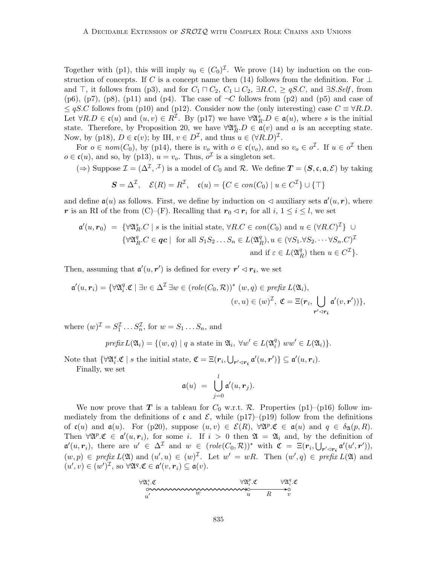Together with (p1), this will imply  $u_0 \in (C_0)^{\mathcal{I}}$ . We prove (14) by induction on the construction of concepts. If C is a concept name then (14) follows from the definition. For  $\perp$ and  $\top$ , it follows from (p3), and for  $C_1 \sqcap C_2$ ,  $C_1 \sqcup C_2$ ,  $\exists R.C$ ,  $\geq qS.C$ , and  $\exists S.Self$ , from  $(p6)$ ,  $(p7)$ ,  $(p8)$ ,  $(p11)$  and  $(p4)$ . The case of  $\neg C$  follows from  $(p2)$  and  $(p5)$  and case of  $\leq qS.C$  follows from (p10) and (p12). Consider now the (only interesting) case  $C \equiv \forall R.D$ . Let  $\forall R.D \in \mathfrak{c}(u)$  and  $(u, v) \in R^{\mathcal{I}}$ . By (p17) we have  $\forall \mathfrak{A}_R^s.D \in \mathfrak{a}(u)$ , where s is the initial state. Therefore, by Proposition 20, we have  $\forall \mathfrak{A}_R^a D \in \mathfrak{a}(v)$  and a is an accepting state. Now, by (p18),  $D \in \mathfrak{c}(v)$ ; by IH,  $v \in D^{\mathcal{I}}$ , and thus  $u \in (\forall R.D)^{\mathcal{I}}$ .

For  $o \in \text{nom}(C_0)$ , by (p14), there is  $v_o$  with  $o \in \mathfrak{c}(v_o)$ , and so  $v_o \in \overline{o}^\mathcal{I}$ . If  $u \in \overline{o}^\mathcal{I}$  then  $o \in \mathfrak{c}(u)$ , and so, by (p13),  $u = v_o$ . Thus,  $o^{\mathcal{I}}$  is a singleton set.

(⇒) Suppose  $\mathcal{I} = (\Delta^{\mathcal{I}}, \cdot^{\mathcal{I}})$  is a model of  $C_0$  and  $\mathcal{R}$ . We define  $\mathbf{T} = (\mathbf{S}, \mathfrak{c}, \mathfrak{a}, \mathcal{E})$  by taking

$$
\mathbf{S} = \Delta^{\mathcal{I}}, \quad \mathcal{E}(R) = R^{\mathcal{I}}, \quad \mathfrak{c}(u) = \{ C \in con(C_0) \mid u \in C^{\mathcal{I}} \} \cup \{ \top \}
$$

and define  $a(u)$  as follows. First, we define by induction on  $\triangleleft$  auxiliary sets  $a'(u, r)$ , where r is an RI of the from (C)–(F). Recalling that  $r_0 \triangleleft r_i$  for all  $i, 1 \leq i \leq l$ , we set

$$
\mathfrak{a}'(u, \mathbf{r}_0) = \{ \forall \mathfrak{A}_R^s. C \mid s \text{ is the initial state, } \forall R. C \in con(C_0) \text{ and } u \in (\forall R. C)^{\mathcal{I}} \} \cup
$$
  

$$
\{ \forall \mathfrak{A}_R^q. C \in \mathbf{qc} \mid \text{ for all } S_1 S_2 \dots S_n \in L(\mathfrak{A}_R^q), u \in (\forall S_1. \forall S_2. \dots \forall S_n. C)^{\mathcal{I}}
$$
  
and if  $\varepsilon \in L(\mathfrak{A}_R^q)$  then  $u \in C^{\mathcal{I}} \}.$ 

Then, assuming that  $a'(u, r')$  is defined for every  $r' \lhd r_i$ , we set

$$
\mathfrak{a}'(u,\mathbf{r}_i) = \{ \forall \mathfrak{A}_i^q \mathfrak{C} \mid \exists v \in \Delta^{\mathcal{I}} \exists w \in (role(C_0, \mathcal{R}))^* \ (w, q) \in prefix \ L(\mathfrak{A}_i),
$$

$$
(v, u) \in (w)^{\mathcal{I}}, \ \mathfrak{C} = \Xi(\mathbf{r}_i, \bigcup_{\mathbf{r}' \leq \mathbf{r}_i} \mathfrak{a}'(v, \mathbf{r}')) \},
$$

where  $(w)^{\mathcal{I}} = S_1^{\mathcal{I}} \dots S_n^{\mathcal{I}}$ , for  $w = S_1 \dots S_n$ , and

$$
\text{prefix}\,L(\mathfrak{A}_i) = \{ (w, q) \mid q \text{ a state in } \mathfrak{A}_i, \ \forall w' \in L(\mathfrak{A}_i^q) \,\, ww' \in L(\mathfrak{A}_i) \}.
$$

Note that  $\{\forall \mathfrak{A}_i^s \mathfrak{C} \mid s \text{ the initial state, } \mathfrak{C} = \Xi(r_i, \bigcup_{r' \lhd r_i} \mathfrak{a}'(u, r')\} \subseteq \mathfrak{a}'(u, r_i)$ . Finally, we set

$$
\mathfrak{a}(u) = \bigcup_{j=0}^l \mathfrak{a}'(u, r_j).
$$

We now prove that T is a tableau for  $C_0$  w.r.t. R. Properties (p1)–(p16) follow immediately from the definitions of c and  $\mathcal{E}$ , while (p17)–(p19) follow from the definitions of  $c(u)$  and  $a(u)$ . For (p20), suppose  $(u, v) \in \mathcal{E}(R)$ ,  $\forall \mathfrak{A}^p \mathfrak{A} \in a(u)$  and  $q \in \delta_{\mathfrak{A}}(p, R)$ . Then  $\forall \mathfrak{A}^p \mathfrak{C} \in \mathfrak{a}'(u, r_i)$ , for some i. If  $i > 0$  then  $\mathfrak{A} = \mathfrak{A}_i$  and, by the definition of  $\mathfrak{a}'(u,\mathbf{r}_i)$ , there are  $u' \in \Delta^{\mathcal{I}}$  and  $w \in (role(C_0,\mathcal{R}))^*$  with  $\mathfrak{C} = \Xi(\mathbf{r}_i,\bigcup_{\mathbf{r}'\leq \mathbf{r}_i} \mathfrak{a}'(u',\mathbf{r}')),$  $(w, p) \in prefix L(\mathfrak{A})$  and  $(u', u) \in (w)^{\mathcal{I}}$ . Let  $w' = wR$ . Then  $(w', q) \in prefix L(\mathfrak{A})$  and  $(u', v) \in (w')^{\mathcal{I}}, \text{ so } \forall \mathfrak{A}^q \mathfrak{C} \in \mathfrak{a}'(v, r_i) \subseteq \mathfrak{a}(v).$ 

$$
\forall \mathfrak{A}_{i}^{s}.\mathfrak{C} \qquad \qquad \forall \mathfrak{A}_{i}^{p}.\mathfrak{C} \qquad \qquad \forall \mathfrak{A}_{i}^{q}.\mathfrak{C} \qquad \qquad \forall \mathfrak{A}_{i}^{q}.\mathfrak{C} \qquad \qquad \forall \mathfrak{A}_{i}^{q}.\mathfrak{C} \qquad \qquad \forall \mathfrak{A}_{i}^{q}.\mathfrak{C} \qquad \qquad \forall \mathfrak{A}_{i}^{q}.\mathfrak{C} \qquad \qquad \forall \mathfrak{A}_{i}^{q}.\mathfrak{C} \qquad \qquad \forall \mathfrak{A}_{i}^{q}.\mathfrak{C} \qquad \qquad \forall \mathfrak{A}_{i}^{q}.\mathfrak{C} \qquad \qquad \forall \mathfrak{A}_{i}^{q}.\mathfrak{C} \qquad \qquad \forall \mathfrak{A}_{i}^{q}.\mathfrak{C} \qquad \qquad \forall \mathfrak{A}_{i}^{q}.\mathfrak{C} \qquad \qquad \forall \mathfrak{A}_{i}^{q}.\mathfrak{C} \qquad \qquad \forall \mathfrak{A}_{i}^{q}.\mathfrak{C} \qquad \qquad \forall \mathfrak{A}_{i}^{q}.\mathfrak{C} \qquad \qquad \forall \mathfrak{A}_{i}^{q}.\mathfrak{C} \qquad \qquad \forall \mathfrak{A}_{i}^{q}.\mathfrak{C} \qquad \qquad \forall \mathfrak{A}_{i}^{q}.\mathfrak{C} \qquad \qquad \forall \mathfrak{A}_{i}^{q}.\mathfrak{C} \qquad \qquad \forall \mathfrak{A}_{i}^{q}.\mathfrak{C} \qquad \qquad \forall \mathfrak{A}_{i}^{q}.\mathfrak{C} \qquad \qquad \forall \mathfrak{A}_{i}^{q}.\mathfrak{C} \qquad \qquad \forall \mathfrak{A}_{i}^{q}.\mathfrak{C} \qquad \qquad \forall \mathfrak{A}_{i}^{q}.\mathfrak{C} \qquad \qquad \forall \mathfrak{A}_{i}^{q}.\mathfrak{C} \qquad \qquad \forall \mathfrak{A}_{i}^{q}.\mathfrak{C} \qquad \qquad \forall \mathfrak{A}_{i}^{q}.\mathfrak{C} \qquad \qquad \forall \math
$$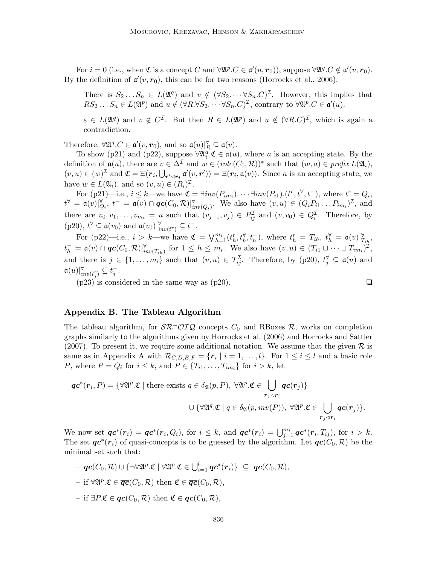For  $i = 0$  (i.e., when  $\mathfrak{C}$  is a concept C and  $\forall \mathfrak{A}^p \dots \in \mathfrak{a}'(u, r_0)$ ), suppose  $\forall \mathfrak{A}^q \dots \in \mathfrak{a}'(v, r_0)$ . By the definition of  $\mathfrak{a}'(v, r_0)$ , this can be for two reasons (Horrocks et al., 2006):

- There is  $S_2 \dots S_n \in L(\mathfrak{A}^q)$  and  $v \notin (\forall S_2 \dots \forall S_n.C)^{\mathcal{I}}$ . However, this implies that  $RS_2 \dots S_n \in L(\mathfrak{A}^p)$  and  $u \notin (\forall R. \forall S_2. \dots \forall S_n. C)^{\mathcal{I}}$ , contrary to  $\forall \mathfrak{A}^p.C \in \mathfrak{a}'(u)$ .
- $-\varepsilon \in L(\mathfrak{A}^q)$  and  $v \notin C^{\mathcal{I}}$ . But then  $R \in L(\mathfrak{A}^p)$  and  $u \notin (\forall R.C)^{\mathcal{I}}$ , which is again a contradiction.

Therefore,  $\forall \mathfrak{A}^q.C \in \mathfrak{a}'(v, r_0)$ , and so  $\mathfrak{a}(u)|_R^{\forall} \subseteq \mathfrak{a}(v)$ .

To show (p21) and (p22), suppose  $\forall \mathfrak{A}_{i}^{a} \in \mathfrak{a}(u)$ , where a is an accepting state. By the definition of  $\mathfrak{a}(u)$ , there are  $v \in \Delta^{\mathcal{I}}$  and  $w \in (role(C_0, \mathcal{R}))^*$  such that  $(w, a) \in prefix \ L(\mathfrak{A}_i)$ ,  $(v, u) \in (w)^{\mathcal{I}}$  and  $\mathfrak{C} = \Xi(\mathbf{r}_i, \bigcup_{\mathbf{r}' \leq \mathbf{r}_i} \mathfrak{a}'(v, \mathbf{r}')) = \Xi(\mathbf{r}_i, \mathfrak{a}(v))$ . Since a is an accepting state, we have  $w \in L(\mathfrak{A}_i)$ , and so  $(v, u) \in (R_i)^{\mathcal{I}}$ .

For (p21)—i.e.,  $i \leq k$ —we have  $\mathfrak{C} = \exists inv(P_{im_i}) \cdots \exists inv(P_{i1}) \cdot (t^r, t^{\forall}, t^-)$ , where  $t^r = Q_i$ ,  $t^{\forall} = \mathfrak{a}(v)|_{Q_i}^{\forall}$ ,  $t^{-} = \mathfrak{a}(v) \cap \boldsymbol{qc}(C_0, \mathcal{R})|_{inv(Q_i)}^{\forall}$ . We also have  $(v, u) \in (Q_i P_{i1} \dots P_{im_i})^{\mathcal{I}}$ , and there are  $v_0, v_1, \ldots, v_{m_i} = u$  such that  $(v_{j-1}, v_j) \in P_{ij}^{\mathcal{I}}$  and  $(v, v_0) \in Q_i^{\mathcal{I}}$ . Therefore, by  $(p20), t^{\forall} \subseteq \mathfrak{a}(v_0)$  and  $\mathfrak{a}(v_0)|_{inv(t^r)}^{\forall} \subseteq t^-$ .

For (p22)—i.e.,  $i > k$ —we have  $\mathfrak{C} = \bigvee_{h=1}^{m_i} (t_h^r, t_h^{\forall}, t_h^-)$ , where  $t_h^r = T_{ih}, t_h^{\forall} = \mathfrak{a}(v)|_{T_{ih}}^{\forall}$ ,  $t_{h}^{-} = \mathfrak{a}(v) \cap \boldsymbol{qc}(C_0, \mathcal{R})|_{inv(T_{ih})}^{\forall}$  for  $1 \leq h \leq m_i$ . We also have  $(v, u) \in (T_{i1} \sqcup \cdots \sqcup T_{im_i})^{\mathcal{I}},$ and there is  $j \in \{1, \ldots, m_i\}$  such that  $(v, u) \in T_{ij}^{\mathcal{I}}$ . Therefore, by (p20),  $t_j^{\forall} \subseteq \mathfrak{a}(u)$  and  $\mathfrak{a}(u)|_{inv(t_j^r)}^{\forall} \subseteq t_j^-.$ 

 $(p23)$  is considered in the same way as  $(p20)$ .

$$
\Box
$$

#### Appendix B. The Tableau Algorithm

The tableau algorithm, for  $\mathcal{SR}^+\mathcal{O}IQ$  concepts  $C_0$  and RBoxes R, works on completion graphs similarly to the algorithms given by Horrocks et al. (2006) and Horrocks and Sattler (2007). To present it, we require some additional notation. We assume that the given  $\mathcal R$  is same as in Appendix A with  $\mathcal{R}_{C,D,E,F} = \{r_i \mid i = 1,\ldots,l\}$ . For  $1 \le i \le l$  and a basic role P, where  $P = Q_i$  for  $i \leq k$ , and  $P \in \{T_{i1}, \ldots, T_{im_i}\}$  for  $i > k$ , let

$$
\mathbf{q}\mathbf{c}^*(\mathbf{r}_i, P) = \{ \forall \mathfrak{A}^p \mathbf{.}\mathfrak{C} \mid \text{there exists } q \in \delta_{\mathfrak{A}}(p, P), \ \forall \mathfrak{A}^p \mathbf{.}\mathfrak{C} \in \bigcup_{\mathbf{r}_j \prec \mathbf{r}_i} \mathbf{q}\mathbf{c}(\mathbf{r}_j) \}
$$

$$
\cup \{ \forall \mathfrak{A}^q \mathbf{.}\mathfrak{C} \mid q \in \delta_{\mathfrak{A}}(p, inv(P)), \ \forall \mathfrak{A}^p \mathbf{.}\mathfrak{C} \in \bigcup_{\mathbf{r}_j \prec \mathbf{r}_i} \mathbf{q}\mathbf{c}(\mathbf{r}_j) \}.
$$

We now set  $\bm{qc}^*(\bm{r}_i) = \bm{qc}^*(\bm{r}_i, Q_i)$ , for  $i \leq k$ , and  $\bm{qc}^*(\bm{r}_i) = \bigcup_{j=1}^{m_i} \bm{qc}^*(\bm{r}_i, T_{ij})$ , for  $i > k$ . The set  $\bm{qc}^*(\bm{r}_i)$  of quasi-concepts is to be guessed by the algorithm. Let  $\overline{\bm{qc}}(C_0,\mathcal{R})$  be the minimal set such that:

 $- \bm{q} \bm{c}(C_0,\mathcal{R}) \cup \{ \neg \forall \mathfrak{A}^p. \mathfrak{C} \mid \forall \mathfrak{A}^p. \mathfrak{C} \in \bigcup_{i=1}^l \bm{q} \bm{c}^*(\bm{r}_i) \} \ \subseteq \ \overline{\bm{q} \bm{c}}(C_0,\mathcal{R}),$  $-$  if ∀2(<sup>p</sup>, **c** ∈  $\overline{qc}(C_0, R)$  then **c** ∈  $\overline{qc}(C_0, R)$ , – if ∃P. $\mathfrak{C} \in \overline{qc}(C_0, \mathcal{R})$  then  $\mathfrak{C} \in \overline{qc}(C_0, \mathcal{R})$ ,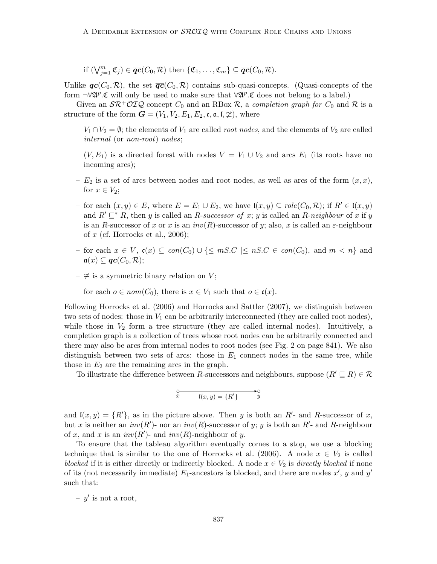- if  $(\bigvee_{j=1}^{m} \mathfrak{C}_j) \in \overline{qc}(C_0, \mathcal{R})$  then  $\{\mathfrak{C}_1, \ldots, \mathfrak{C}_m\} \subseteq \overline{qc}(C_0, \mathcal{R})$ .

Unlike  $\mathbf{qc}(C_0, \mathcal{R})$ , the set  $\overline{\mathbf{qc}}(C_0, \mathcal{R})$  contains sub-quasi-concepts. (Quasi-concepts of the form  $\neg \forall \mathfrak{A}^p \mathfrak{C}$  will only be used to make sure that  $\forall \mathfrak{A}^p \mathfrak{C}$  does not belong to a label.)

Given an  $\mathcal{SR}^+\mathcal{O}I\mathcal{Q}$  concept  $C_0$  and an RBox  $\mathcal{R}$ , a completion graph for  $C_0$  and  $\mathcal{R}$  is a structure of the form  $\mathbf{G} = (V_1, V_2, E_1, E_2, \mathfrak{c}, \mathfrak{a}, \mathfrak{l}, \ncong)$ , where

- $V_1 \cap V_2 = \emptyset$ ; the elements of  $V_1$  are called *root nodes*, and the elements of  $V_2$  are called internal (or non-root) nodes;
- $(V, E_1)$  is a directed forest with nodes  $V = V_1 \cup V_2$  and arcs  $E_1$  (its roots have no incoming arcs);
- $E_2$  is a set of arcs between nodes and root nodes, as well as arcs of the form  $(x, x)$ , for  $x \in V_2$ ;
- for each  $(x, y) \in E$ , where  $E = E_1 \cup E_2$ , we have  $\mathfrak{l}(x, y) \subseteq role(C_0, \mathcal{R})$ ; if  $R' \in \mathfrak{l}(x, y)$ and  $R' \sqsubseteq^* R$ , then y is called an R-successor of x; y is called an R-neighbour of x if y is an R-successor of x or x is an  $inv(R)$ -successor of y; also, x is called an  $\varepsilon$ -neighbour of x (cf. Horrocks et al., 2006);
- for each  $x \in V$ ,  $\mathfrak{c}(x) \subseteq con(C_0) \cup \{\leq mS.C \mid \leq nS.C \in con(C_0), \text{ and } m < n\}$  and  $a(x) \subseteq \overline{qc}(C_0, R);$
- $\ncong$  is a symmetric binary relation on V;
- for each  $o \in \text{nom}(C_0)$ , there is  $x \in V_1$  such that  $o \in \mathfrak{c}(x)$ .

Following Horrocks et al. (2006) and Horrocks and Sattler (2007), we distinguish between two sets of nodes: those in  $V_1$  can be arbitrarily interconnected (they are called root nodes), while those in  $V_2$  form a tree structure (they are called internal nodes). Intuitively, a completion graph is a collection of trees whose root nodes can be arbitrarily connected and there may also be arcs from internal nodes to root nodes (see Fig. 2 on page 841). We also distinguish between two sets of arcs: those in  $E_1$  connect nodes in the same tree, while those in  $E_2$  are the remaining arcs in the graph.

To illustrate the difference between R-successors and neighbours, suppose  $(R' \sqsubseteq R) \in \mathcal{R}$ 

$$
\begin{array}{cc}\n\circ & \bullet \\
x & \mathfrak{l}(x, y) = \{R'\} & y\n\end{array}
$$

and  $I(x, y) = \{R'\}$ , as in the picture above. Then y is both an  $R'$ - and R-successor of x, but x is neither an  $inv(R')$ - nor an  $inv(R)$ -successor of y; y is both an R'- and R-neighbour of x, and x is an  $inv(R')$ - and  $inv(R)$ -neighbour of y.

To ensure that the tableau algorithm eventually comes to a stop, we use a blocking technique that is similar to the one of Horrocks et al. (2006). A node  $x \in V_2$  is called blocked if it is either directly or indirectly blocked. A node  $x \in V_2$  is directly blocked if none of its (not necessarily immediate)  $E_1$ -ancestors is blocked, and there are nodes  $x'$ , y and  $y'$ such that:

$$
-y'
$$
 is not a root,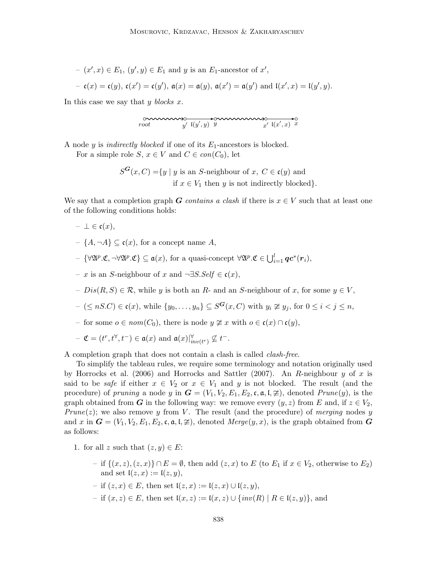$$
-(x',x) \in E_1, (y',y) \in E_1 \text{ and } y \text{ is an } E_1\text{-ancestor of } x',
$$
  

$$
-\mathfrak{c}(x) = \mathfrak{c}(y), \mathfrak{c}(x') = \mathfrak{c}(y'), \mathfrak{a}(x) = \mathfrak{a}(y), \mathfrak{a}(x') = \mathfrak{a}(y') \text{ and } \mathfrak{l}(x',x) = \mathfrak{l}(y',y).
$$

In this case we say that  $y$  blocks  $x$ .

$$
\overbrace{root}^{\text{OMOMOMO}} y' \overbrace{I(y', y)}^{\text{OMOMOMO}} y' \overbrace{x'}^{\text{OMOMOMO}} \overbrace{x''}
$$

A node y is *indirectly blocked* if one of its  $E_1$ -ancestors is blocked.

For a simple role S,  $x \in V$  and  $C \in con(C_0)$ , let

$$
S^{G}(x, C) = \{y \mid y \text{ is an } S\text{-neighbor of } x, C \in \mathfrak{c}(y) \text{ and}
$$
  
if  $x \in V_1$  then y is not indirectly blocked $\}.$ 

We say that a completion graph G contains a clash if there is  $x \in V$  such that at least one of the following conditions holds:

- $\perp \in \mathfrak{c}(x),$
- $\{A, \neg A\} \subseteq \mathfrak{c}(x)$ , for a concept name A,
- $\{\forall \mathfrak{A}^p.\mathfrak{C}, \neg \forall \mathfrak{A}^p.\mathfrak{C}\} \subseteq \mathfrak{a}(x),$  for a quasi-concept  $\forall \mathfrak{A}^p.\mathfrak{C} \in \bigcup_{i=1}^l\boldsymbol{qc}^*(\boldsymbol{r}_i),$
- x is an S-neighbour of x and  $\neg \exists S. Self \in \mathfrak{c}(x)$ ,
- $Dis(R, S) \in \mathcal{R}$ , while y is both an R- and an S-neighbour of x, for some  $y \in V$ ,
- $(\leq nSC) \in \mathfrak{c}(x)$ , while  $\{y_0, \ldots, y_n\} \subseteq S^{\mathbf{G}}(x, C)$  with  $y_i \ncong y_j$ , for  $0 \leq i < j \leq n$ ,
- for some  $o \in \text{nom}(C_0)$ , there is node  $y \not\cong x$  with  $o \in \mathfrak{c}(x) \cap \mathfrak{c}(y)$ ,

$$
- \mathfrak{C} = (t^r, t^{\forall}, t^-) \in \mathfrak{a}(x) \text{ and } \mathfrak{a}(x)|_{inv(t^r)}^{\forall} \nsubseteq t^-.
$$

A completion graph that does not contain a clash is called clash-free.

To simplify the tableau rules, we require some terminology and notation originally used by Horrocks et al. (2006) and Horrocks and Sattler (2007). An R-neighbour y of x is said to be safe if either  $x \in V_2$  or  $x \in V_1$  and y is not blocked. The result (and the procedure) of pruning a node y in  $G = (V_1, V_2, E_1, E_2, \mathfrak{c}, \mathfrak{a}, \mathfrak{l}, \tilde{\neq})$ , denoted  $Prune(y)$ , is the graph obtained from G in the following way: we remove every  $(y, z)$  from E and, if  $z \in V_2$ , Prune(z); we also remove y from V. The result (and the procedure) of merging nodes y and x in  $G = (V_1, V_2, E_1, E_2, \mathfrak{c}, \mathfrak{a}, \mathfrak{l}, \ncong)$ , denoted  $Merge(y, x)$ , is the graph obtained from G as follows:

- 1. for all z such that  $(z, y) \in E$ :
	- if  $\{(x, z), (z, x)\}\cap E = \emptyset$ , then add  $(z, x)$  to E (to E<sub>1</sub> if  $x \in V_2$ , otherwise to E<sub>2</sub>) and set  $\mathfrak{l}(z, x) := \mathfrak{l}(z, y),$

$$
- \text{ if } (z, x) \in E, \text{ then set } \mathfrak{l}(z, x) := \mathfrak{l}(z, x) \cup \mathfrak{l}(z, y),
$$

– if  $(x, z) \in E$ , then set  $\mathfrak{l}(x, z) := \mathfrak{l}(x, z) \cup \{inv(R) \mid R \in \mathfrak{l}(z, y)\}\)$ , and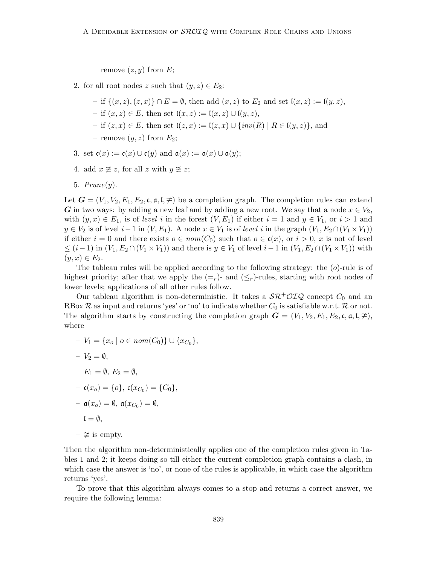– remove  $(z, y)$  from E;

- 2. for all root nodes z such that  $(y, z) \in E_2$ :
	- if  ${(x, z), (z, x)}$  ∩  $E = ∅$ , then add  $(x, z)$  to  $E_2$  and set  $I(x, z) := I(y, z)$ ,
	- if  $(x, z) \in E$ , then set  $\mathfrak{l}(x, z) := \mathfrak{l}(x, z) \cup \mathfrak{l}(y, z)$ ,
	- if  $(z, x) \in E$ , then set  $\mathfrak{l}(z, x) := \mathfrak{l}(z, x) \cup \{inv(R) \mid R \in \mathfrak{l}(y, z)\}\)$ , and
	- remove  $(y, z)$  from  $E_2$ ;
- 3. set  $\mathfrak{c}(x) := \mathfrak{c}(x) \cup \mathfrak{c}(y)$  and  $\mathfrak{a}(x) := \mathfrak{a}(x) \cup \mathfrak{a}(y)$ ;
- 4. add  $x \not\cong z$ , for all z with  $y \not\cong z$ ;
- 5.  $Prune(y)$ .

Let  $G = (V_1, V_2, E_1, E_2, \mathfrak{c}, \mathfrak{a}, \mathfrak{l}, \ncong)$  be a completion graph. The completion rules can extend G in two ways: by adding a new leaf and by adding a new root. We say that a node  $x \in V_2$ , with  $(y, x) \in E_1$ , is of level i in the forest  $(V, E_1)$  if either  $i = 1$  and  $y \in V_1$ , or  $i > 1$  and  $y \in V_2$  is of level  $i-1$  in  $(V, E_1)$ . A node  $x \in V_1$  is of level i in the graph  $(V_1, E_2 \cap (V_1 \times V_1))$ if either  $i = 0$  and there exists  $o \in \text{nom}(C_0)$  such that  $o \in \mathfrak{c}(x)$ , or  $i > 0$ , x is not of level  $\leq (i-1)$  in  $(V_1, E_2 \cap (V_1 \times V_1))$  and there is  $y \in V_1$  of level  $i-1$  in  $(V_1, E_2 \cap (V_1 \times V_1))$  with  $(y, x) \in E_2.$ 

The tableau rules will be applied according to the following strategy: the (o)-rule is of highest priority; after that we apply the  $(=_r)$ - and  $(\leq_r)$ -rules, starting with root nodes of lower levels; applications of all other rules follow.

Our tableau algorithm is non-deterministic. It takes a  $\mathcal{SR}^+\mathcal{O}IQ$  concept  $C_0$  and an RBox  $\mathcal R$  as input and returns 'yes' or 'no' to indicate whether  $C_0$  is satisfiable w.r.t.  $\mathcal R$  or not. The algorithm starts by constructing the completion graph  $G = (V_1, V_2, E_1, E_2, \mathfrak{c}, \mathfrak{a}, \mathfrak{l}, \tilde{\neq}),$ where

- $-V_1 = \{x_o \mid o \in \textit{nom}(C_0)\} \cup \{x_{C_0}\},\$  $-V_2 = \emptyset$ ,  $-E_1 = \emptyset, E_2 = \emptyset,$  $- \mathfrak{c}(x_o) = \{o\}, \, \mathfrak{c}(x_{C_0}) = \{C_0\},$  $a(x_o) = \emptyset$ ,  $a(x_{C_0}) = \emptyset$ ,  $\mathfrak{l} = \emptyset$ ,
- $\ncong$  is empty.

Then the algorithm non-deterministically applies one of the completion rules given in Tables 1 and 2; it keeps doing so till either the current completion graph contains a clash, in which case the answer is 'no', or none of the rules is applicable, in which case the algorithm returns 'yes'.

To prove that this algorithm always comes to a stop and returns a correct answer, we require the following lemma: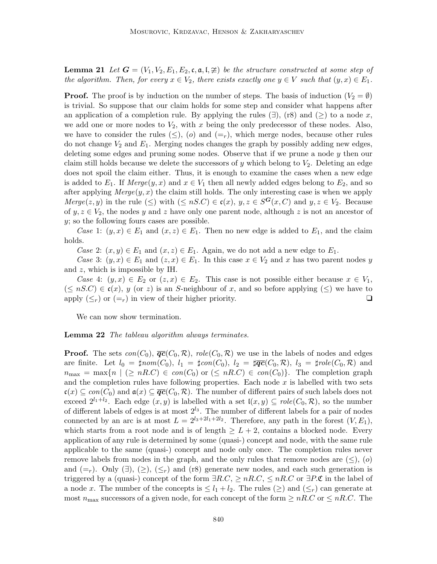**Lemma 21** Let  $G = (V_1, V_2, E_1, E_2, \mathfrak{c}, \mathfrak{a}, \mathfrak{l}, \not\cong)$  be the structure constructed at some step of the algorithm. Then, for every  $x \in V_2$ , there exists exactly one  $y \in V$  such that  $(y, x) \in E_1$ .

**Proof.** The proof is by induction on the number of steps. The basis of induction  $(V_2 = \emptyset)$ is trivial. So suppose that our claim holds for some step and consider what happens after an application of a completion rule. By applying the rules  $(\exists)$ , (r8) and  $(\ge)$  to a node x, we add one or more nodes to  $V_2$ , with x being the only predecessor of these nodes. Also, we have to consider the rules  $(\leq), (o)$  and  $(=_r)$ , which merge nodes, because other rules do not change  $V_2$  and  $E_1$ . Merging nodes changes the graph by possibly adding new edges, deleting some edges and pruning some nodes. Observe that if we prune a node y then our claim still holds because we delete the successors of y which belong to  $V_2$ . Deleting an edge does not spoil the claim either. Thus, it is enough to examine the cases when a new edge is added to  $E_1$ . If  $Merge(y, x)$  and  $x \in V_1$  then all newly added edges belong to  $E_2$ , and so after applying  $Merge(y, x)$  the claim still holds. The only interesting case is when we apply  $Merge(z, y)$  in the rule  $(\leq)$  with  $(\leq nS.C) \in \mathfrak{c}(x), y, z \in S^{\mathbf{G}}(x, C)$  and  $y, z \in V_2$ . Because of  $y, z \in V_2$ , the nodes y and z have only one parent node, although z is not an ancestor of y; so the following fours cases are possible.

Case 1:  $(y, x) \in E_1$  and  $(x, z) \in E_1$ . Then no new edge is added to  $E_1$ , and the claim holds.

Case 2:  $(x, y) \in E_1$  and  $(x, z) \in E_1$ . Again, we do not add a new edge to  $E_1$ .

Case 3:  $(y, x) \in E_1$  and  $(z, x) \in E_1$ . In this case  $x \in V_2$  and x has two parent nodes y and z, which is impossible by IH.

Case 4:  $(y, x) \in E_2$  or  $(z, x) \in E_2$ . This case is not possible either because  $x \in V_1$ ,  $(\leq nS.C) \in \mathfrak{c}(x), y$  (or z) is an S-neighbour of x, and so before applying  $(\leq)$  we have to apply  $(\leq_r)$  or  $(=_r)$  in view of their higher priority.

We can now show termination.

Lemma 22 The tableau algorithm always terminates.

**Proof.** The sets con(C<sub>0</sub>),  $\overline{qc}(C_0, R)$ , role(C<sub>0</sub>, R) we use in the labels of nodes and edges are finite. Let  $l_0 = \sharp nom(C_0), l_1 = \sharp con(C_0), l_2 = \sharp \overline{qc}(C_0, R), l_3 = \sharp role(C_0, R)$  and  $n_{\max} = \max\{n \mid (\geq nR.C) \in con(C_0) \text{ or } (\leq nR.C) \in con(C_0)\}.$  The completion graph and the completion rules have following properties. Each node  $x$  is labelled with two sets  $c(x) \subseteq con(C_0)$  and  $a(x) \subseteq \overline{qc}(C_0, R)$ . The number of different pairs of such labels does not exceed  $2^{l_1+l_2}$ . Each edge  $(x, y)$  is labelled with a set  $\mathfrak{l}(x, y) \subseteq \text{role}(C_0, \mathcal{R})$ , so the number of different labels of edges is at most  $2^{l_3}$ . The number of different labels for a pair of nodes connected by an arc is at most  $L = 2^{l_3+2l_1+2l_2}$ . Therefore, any path in the forest  $(V, E_1)$ , which starts from a root node and is of length  $\geq L+2$ , contains a blocked node. Every application of any rule is determined by some (quasi-) concept and node, with the same rule applicable to the same (quasi-) concept and node only once. The completion rules never remove labels from nodes in the graph, and the only rules that remove nodes are  $(\leq), o$ and  $(=_r)$ . Only  $(\exists)$ ,  $(\leq)$ ,  $(\leq_r)$  and  $(r8)$  generate new nodes, and each such generation is triggered by a (quasi-) concept of the form  $\exists R.C, \geq nR.C, \leq nR.C$  or  $\exists P.C$  in the label of a node x. The number of the concepts is  $\leq l_1 + l_2$ . The rules  $(\geq)$  and  $(\leq_r)$  can generate at most  $n_{\text{max}}$  successors of a given node, for each concept of the form  $\geq nR.C$  or  $\leq nR.C$ . The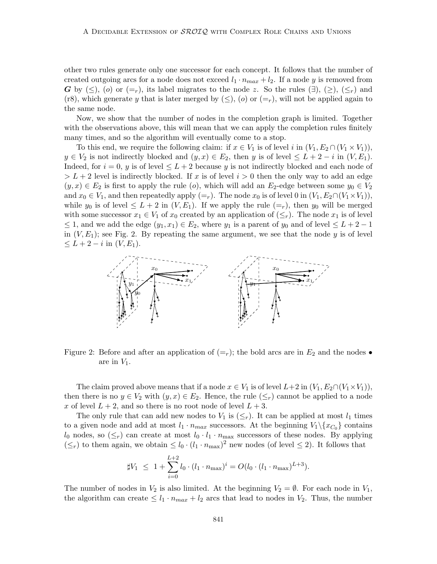other two rules generate only one successor for each concept. It follows that the number of created outgoing arcs for a node does not exceed  $l_1 \cdot n_{max} + l_2$ . If a node y is removed from G by  $(\leq),$  (o) or  $(=_r)$ , its label migrates to the node z. So the rules  $(\exists), (\geq), (\leq_r)$  and (r8), which generate y that is later merged by  $(\leq)$ , (o) or  $(=_r)$ , will not be applied again to the same node.

Now, we show that the number of nodes in the completion graph is limited. Together with the observations above, this will mean that we can apply the completion rules finitely many times, and so the algorithm will eventually come to a stop.

To this end, we require the following claim: if  $x \in V_1$  is of level i in  $(V_1, E_2 \cap (V_1 \times V_1)),$  $y \in V_2$  is not indirectly blocked and  $(y, x) \in E_2$ , then y is of level  $\leq L + 2 - i$  in  $(V, E_1)$ . Indeed, for  $i = 0$ , y is of level  $\leq L + 2$  because y is not indirectly blocked and each node of  $> L + 2$  level is indirectly blocked. If x is of level  $i > 0$  then the only way to add an edge  $(y, x) \in E_2$  is first to apply the rule (*o*), which will add an  $E_2$ -edge between some  $y_0 \in V_2$ and  $x_0 \in V_1$ , and then repeatedly apply  $(=_r)$ . The node  $x_0$  is of level 0 in  $(V_1, E_2 \cap (V_1 \times V_1)),$ while  $y_0$  is of level  $\leq L+2$  in  $(V, E_1)$ . If we apply the rule  $(=_r)$ , then  $y_0$  will be merged with some successor  $x_1 \in V_1$  of  $x_0$  created by an application of  $(\leq_r)$ . The node  $x_1$  is of level  $\leq$  1, and we add the edge  $(y_1, x_1) \in E_2$ , where  $y_1$  is a parent of  $y_0$  and of level  $\leq L+2-1$ in  $(V, E_1)$ ; see Fig. 2. By repeating the same argument, we see that the node y is of level  $\leq L+2-i$  in  $(V, E_1)$ .



Figure 2: Before and after an application of  $(=r)$ ; the bold arcs are in  $E_2$  and the nodes  $\bullet$ are in  $V_1$ .

The claim proved above means that if a node  $x \in V_1$  is of level  $L+2$  in  $(V_1, E_2 \cap (V_1 \times V_1)),$ then there is no  $y \in V_2$  with  $(y, x) \in E_2$ . Hence, the rule  $(\leq_r)$  cannot be applied to a node x of level  $L + 2$ , and so there is no root node of level  $L + 3$ .

The only rule that can add new nodes to  $V_1$  is  $(\leq_r)$ . It can be applied at most  $l_1$  times to a given node and add at most  $l_1 \cdot n_{max}$  successors. At the beginning  $V_1 \setminus \{x_{C_0}\}$  contains  $l_0$  nodes, so  $(\leq_r)$  can create at most  $l_0 \cdot l_1 \cdot n_{\text{max}}$  successors of these nodes. By applying  $(\leq_r)$  to them again, we obtain  $\leq l_0 \cdot (l_1 \cdot n_{\text{max}})^2$  new nodes (of level  $\leq 2$ ). It follows that

$$
\sharp V_1 \leq 1 + \sum_{i=0}^{L+2} l_0 \cdot (l_1 \cdot n_{\max})^i = O(l_0 \cdot (l_1 \cdot n_{\max})^{L+3}).
$$

The number of nodes in  $V_2$  is also limited. At the beginning  $V_2 = \emptyset$ . For each node in  $V_1$ , the algorithm can create  $\leq l_1 \cdot n_{max} + l_2$  arcs that lead to nodes in  $V_2$ . Thus, the number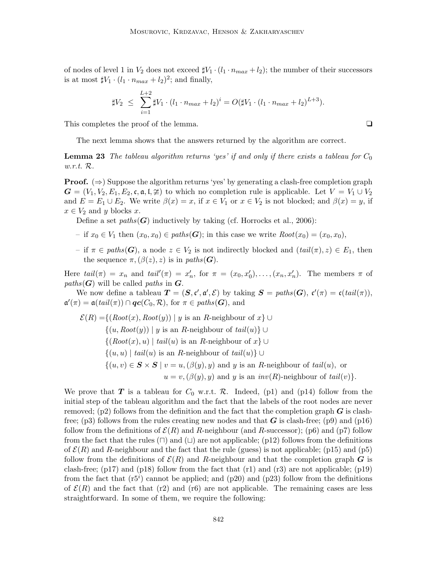of nodes of level 1 in  $V_2$  does not exceed  $\sharp V_1 \cdot (l_1 \cdot n_{max} + l_2)$ ; the number of their successors is at most  $\sharp V_1 \cdot (l_1 \cdot n_{max} + l_2)^2$ ; and finally,

$$
\sharp V_2 \leq \sum_{i=1}^{L+2} \sharp V_1 \cdot (l_1 \cdot n_{max} + l_2)^i = O(\sharp V_1 \cdot (l_1 \cdot n_{max} + l_2)^{L+3}).
$$

This completes the proof of the lemma. ❑

The next lemma shows that the answers returned by the algorithm are correct.

**Lemma 23** The tableau algorithm returns 'yes' if and only if there exists a tableau for  $C_0$ w.r.t. R.

**Proof.**  $(\Rightarrow)$  Suppose the algorithm returns 'yes' by generating a clash-free completion graph  $G = (V_1, V_2, E_1, E_2, \mathfrak{c}, \mathfrak{a}, \mathfrak{l}, \ncong)$  to which no completion rule is applicable. Let  $V = V_1 \cup V_2$ and  $E = E_1 \cup E_2$ . We write  $\beta(x) = x$ , if  $x \in V_1$  or  $x \in V_2$  is not blocked; and  $\beta(x) = y$ , if  $x \in V_2$  and y blocks x.

Define a set  $paths(G)$  inductively by taking (cf. Horrocks et al., 2006):

- if  $x_0 \in V_1$  then  $(x_0, x_0) \in paths(\mathbf{G})$ ; in this case we write  $Root(x_0) = (x_0, x_0)$ ,
- if  $\pi \in paths(\mathbf{G})$ , a node  $z \in V_2$  is not indirectly blocked and  $(tail(\pi), z) \in E_1$ , then the sequence  $\pi$ ,  $(\beta(z), z)$  is in paths(**G**).

Here  $tail(\pi) = x_n$  and  $tail'(\pi) = x'_n$ , for  $\pi = (x_0, x'_0), \ldots, (x_n, x'_n)$ . The members  $\pi$  of  $paths(G)$  will be called paths in  $G$ .

We now define a tableau  $T = (S, \mathfrak{c}', \mathfrak{a}', \mathcal{E})$  by taking  $S = paths(G), \mathfrak{c}'(\pi) = \mathfrak{c}(tail(\pi)),$  $\mathfrak{a}'(\pi) = \mathfrak{a}(tail(\pi)) \cap \boldsymbol{qc}(C_0, \mathcal{R}),$  for  $\pi \in paths(\boldsymbol{G}),$  and

$$
\mathcal{E}(R) = \{ (Root(x), Root(y)) \mid y \text{ is an } R\text{-neighbor of } x \} \cup
$$
  

$$
\{ (u, Root(y)) \mid y \text{ is an } R\text{-neighbor of } tail(u) \} \cup
$$
  

$$
\{ (Root(x), u) \mid tail(u) \text{ is an } R\text{-neighbor of } x \} \cup
$$
  

$$
\{ (u, u) \mid tail(u) \text{ is an } R\text{-neighbor of } tail(u) \} \cup
$$
  

$$
\{ (u, v) \in S \times S \mid v = u, (\beta(y), y) \text{ and } y \text{ is an } R\text{-neighbor of } tail(u), \text{ or}
$$
  

$$
u = v, (\beta(y), y) \text{ and } y \text{ is an } inv(R)\text{-neighbor of } tail(v) \}.
$$

We prove that  $T$  is a tableau for  $C_0$  w.r.t.  $\mathcal{R}$ . Indeed, (p1) and (p14) follow from the initial step of the tableau algorithm and the fact that the labels of the root nodes are never removed; (p2) follows from the definition and the fact that the completion graph  $G$  is clashfree; (p3) follows from the rules creating new nodes and that  $G$  is clash-free; (p9) and (p16) follow from the definitions of  $\mathcal{E}(R)$  and R-neighbour (and R-successor); (p6) and (p7) follow from the fact that the rules  $(\square)$  and  $(\square)$  are not applicable; (p12) follows from the definitions of  $\mathcal{E}(R)$  and R-neighbour and the fact that the rule (guess) is not applicable; (p15) and (p5) follow from the definitions of  $\mathcal{E}(R)$  and R-neighbour and that the completion graph G is clash-free;  $(p17)$  and  $(p18)$  follow from the fact that  $(r1)$  and  $(r3)$  are not applicable;  $(p19)$ from the fact that  $(r5^i)$  cannot be applied; and  $(p20)$  and  $(p23)$  follow from the definitions of  $\mathcal{E}(R)$  and the fact that (r2) and (r6) are not applicable. The remaining cases are less straightforward. In some of them, we require the following: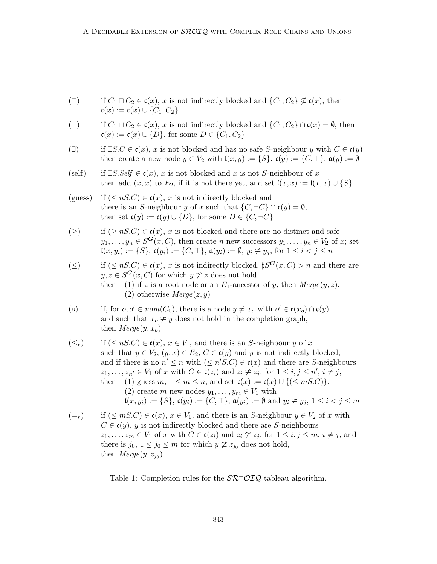| $(\Box)$    | if $C_1 \sqcap C_2 \in \mathfrak{c}(x)$ , x is not indirectly blocked and $\{C_1, C_2\} \not\subseteq \mathfrak{c}(x)$ , then<br>$c(x) := c(x) \cup \{C_1, C_2\}$                                                                                                                                                                                                                                                                                                                                                                                                                                                                                                                                                                                                     |
|-------------|-----------------------------------------------------------------------------------------------------------------------------------------------------------------------------------------------------------------------------------------------------------------------------------------------------------------------------------------------------------------------------------------------------------------------------------------------------------------------------------------------------------------------------------------------------------------------------------------------------------------------------------------------------------------------------------------------------------------------------------------------------------------------|
| $(\sqcup)$  | if $C_1 \sqcup C_2 \in \mathfrak{c}(x)$ , x is not indirectly blocked and $\{C_1, C_2\} \cap \mathfrak{c}(x) = \emptyset$ , then<br>$\mathfrak{c}(x) := \mathfrak{c}(x) \cup \{D\}$ , for some $D \in \{C_1, C_2\}$                                                                                                                                                                                                                                                                                                                                                                                                                                                                                                                                                   |
| $(\exists)$ | if $\exists S.C \in \mathfrak{c}(x)$ , x is not blocked and has no safe S-neighbour y with $C \in \mathfrak{c}(y)$<br>then create a new node $y \in V_2$ with $\mathfrak{l}(x, y) := \{S\}, \mathfrak{c}(y) := \{C, \top\}, \mathfrak{a}(y) := \emptyset$                                                                                                                                                                                                                                                                                                                                                                                                                                                                                                             |
| (self)      | if $\exists S. Self \in \mathfrak{c}(x)$ , x is not blocked and x is not S-neighbour of x<br>then add $(x, x)$ to $E_2$ , if it is not there yet, and set $\mathfrak{l}(x, x) := \mathfrak{l}(x, x) \cup \{S\}$                                                                                                                                                                                                                                                                                                                                                                                                                                                                                                                                                       |
| (guess)     | if $(\leq nS.C) \in \mathfrak{c}(x)$ , x is not indirectly blocked and<br>there is an S-neighbour y of x such that $\{C, \neg C\} \cap \mathfrak{c}(y) = \emptyset$ ,<br>then set $\mathfrak{c}(y) := \mathfrak{c}(y) \cup \{D\}$ , for some $D \in \{C, \neg C\}$                                                                                                                                                                                                                                                                                                                                                                                                                                                                                                    |
| $(\ge)$     | if $(\geq nS.C) \in \mathfrak{c}(x)$ , x is not blocked and there are no distinct and safe<br>$y_1, \ldots, y_n \in S^{\mathbf{G}}(x, C)$ , then create <i>n</i> new successors $y_1, \ldots, y_n \in V_2$ of <i>x</i> ; set<br>$\mathfrak{l}(x,y_i) := \{S\}, \, \mathfrak{c}(y_i) := \{C,\top\}, \, \mathfrak{a}(y_i) := \emptyset, \, y_i \not\cong y_j, \, \text{for } 1 \leq i < j \leq n$                                                                                                                                                                                                                                                                                                                                                                       |
| $(\leq)$    | if $(\leq nSC) \in \mathfrak{c}(x)$ , x is not indirectly blocked, $\sharp S^{\mathbf{G}}(x, C) > n$ and there are<br>$y, z \in S^{\mathbf{G}}(x, C)$ for which $y \not\cong z$ does not hold<br>(1) if z is a root node or an $E_1$ -ancestor of y, then $Merge(y, z)$ ,<br>then<br>$(2)$ otherwise $Merge(z, y)$                                                                                                                                                                                                                                                                                                                                                                                                                                                    |
| (o)         | if, for $o, o' \in \text{nom}(C_0)$ , there is a node $y \neq x_o$ with $o' \in \mathfrak{c}(x_o) \cap \mathfrak{c}(y)$<br>and such that $x_o \not\cong y$ does not hold in the completion graph,<br>then $Merge(y,x_o)$                                                                                                                                                                                                                                                                                                                                                                                                                                                                                                                                              |
| $(\leq_r)$  | if $(\leq nS.C) \in \mathfrak{c}(x), x \in V_1$ , and there is an S-neighbour y of x<br>such that $y \in V_2$ , $(y, x) \in E_2$ , $C \in \mathfrak{c}(y)$ and y is not indirectly blocked;<br>and if there is no $n' \leq n$ with $(\leq n'S.C) \in \mathfrak{c}(x)$ and there are S-neighbours<br>$z_1, \ldots, z_{n'} \in V_1$ of x with $C \in \mathfrak{c}(z_i)$ and $z_i \not\cong z_j$ , for $1 \leq i, j \leq n', i \neq j$ ,<br>(1) guess $m, 1 \leq m \leq n$ , and set $\mathfrak{c}(x) := \mathfrak{c}(x) \cup \{ (\leq mS.C) \},\$<br>then<br>(2) create m new nodes $y_1, \ldots, y_m \in V_1$ with<br>$\mathfrak{l}(x,y_i) := \{S\}, \mathfrak{c}(y_i) := \{C,\top\}, \mathfrak{a}(y_i) := \emptyset \text{ and } y_i \ncong y_j, 1 \leq i < j \leq m$ |
| $(=_r)$     | if $(\leq mS.C) \in \mathfrak{c}(x), x \in V_1$ , and there is an S-neighbour $y \in V_2$ of x with<br>$C \in \mathfrak{c}(y)$ , y is not indirectly blocked and there are S-neighbours<br>$z_1, \ldots, z_m \in V_1$ of x with $C \in \mathfrak{c}(z_i)$ and $z_i \not\cong z_j$ , for $1 \leq i, j \leq m, i \neq j$ , and<br>there is $j_0, 1 \le j_0 \le m$ for which $y \not\cong z_{j_0}$ does not hold,<br>then $Merge(y,z_{j_0})$                                                                                                                                                                                                                                                                                                                             |

Table 1: Completion rules for the  $\mathcal{SR}^+\mathcal{O}\mathcal{I}\mathcal{Q}$  tableau algorithm.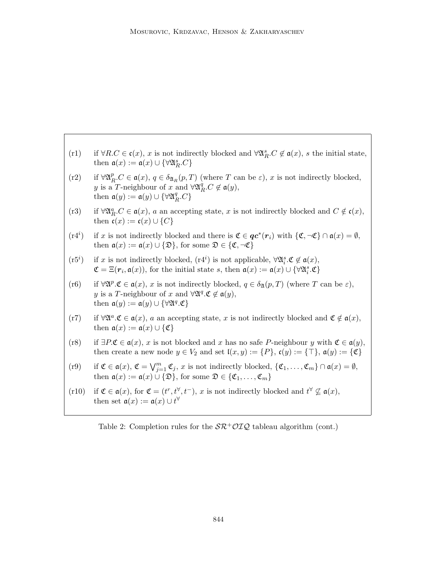- (r1) if  $\forall R.C \in \mathfrak{c}(x)$ , x is not indirectly blocked and  $\forall \mathfrak{A}_R^s.C \notin \mathfrak{a}(x)$ , s the initial state, then  $\mathfrak{a}(x) := \mathfrak{a}(x) \cup {\forall \mathfrak{A}_R^s.C}$
- $(r2)$  if  $\forall \mathfrak{A}^p$  $_R^p$ ,  $C \in \mathfrak{a}(x)$ ,  $q \in \delta_{\mathfrak{A}_R}(p,T)$  (where T can be  $\varepsilon$ ), x is not indirectly blocked, y is a T-neighbour of x and  $\forall \mathfrak{A}^q$  ${}_{R}^{q}$ . $C \notin \mathfrak{a}(y),$ then  $\mathfrak{a}(y) := \mathfrak{a}(y) \cup \{ \forall \mathfrak{A}^q_{\mathfrak{p}} \}$  ${}_{R}^{q}.C\}$
- (r3) if  $\forall \mathfrak{A}_R^a C \in \mathfrak{a}(x)$ , a an accepting state, x is not indirectly blocked and  $C \notin \mathfrak{c}(x)$ , then  $\mathfrak{c}(x) := \mathfrak{c}(x) \cup \{C\}$
- $(r4^i)$ if x is not indirectly blocked and there is  $\mathfrak{C} \in \mathbf{qc}^*(r_i)$  with  $\{\mathfrak{C}, \neg \mathfrak{C}\} \cap \mathfrak{a}(x) = \emptyset$ , then  $a(x) := a(x) \cup {\mathfrak{D}}$ , for some  $\mathfrak{D} \in {\mathfrak{C}}$ ,  $\neg \mathfrak{C}$
- $(r5<sup>i</sup>)$ if x is not indirectly blocked,  $(r4^i)$  is not applicable,  $\forall \mathfrak{A}_i^s \mathfrak{C} \notin \mathfrak{a}(x)$ ,  $\mathfrak{C} = \Xi(\mathbf{r}_i, \mathfrak{a}(x))$ , for the initial state s, then  $\mathfrak{a}(x) := \mathfrak{a}(x) \cup \{ \forall \mathfrak{A}_i^s \mathfrak{C} \}$
- (r6) if  $\forall \mathfrak{A}^p \mathfrak{C} \in \mathfrak{a}(x)$ , x is not indirectly blocked,  $q \in \delta_{\mathfrak{A}}(p,T)$  (where T can be  $\varepsilon$ ), y is a T-neighbour of x and  $\forall \mathfrak{A}^q \mathfrak{C} \notin \mathfrak{a}(y)$ , then  $\mathfrak{a}(y) := \mathfrak{a}(y) \cup \{ \forall \mathfrak{A}^q \mathfrak{C} \}$
- (r7) if  $\forall \mathfrak{A}^a \mathfrak{C} \in \mathfrak{a}(x)$ , a an accepting state, x is not indirectly blocked and  $\mathfrak{C} \notin \mathfrak{a}(x)$ , then  $a(x) := a(x) \cup {\mathfrak{C}}$
- (r8) if  $\exists P.\mathfrak{C} \in \mathfrak{a}(x), x$  is not blocked and x has no safe P-neighbour y with  $\mathfrak{C} \in \mathfrak{a}(y)$ , then create a new node  $y \in V_2$  and set  $\mathfrak{l}(x, y) := \{P\}$ ,  $\mathfrak{c}(y) := \{\top\}$ ,  $\mathfrak{a}(y) := \{\mathfrak{C}\}$
- (r9) if  $\mathfrak{C} \in \mathfrak{a}(x), \mathfrak{C} = \bigvee_{j=1}^{m} \mathfrak{C}_j$ , x is not indirectly blocked,  $\{\mathfrak{C}_1, \ldots, \mathfrak{C}_m\} \cap \mathfrak{a}(x) = \emptyset$ , then  $\mathfrak{a}(x) := \mathfrak{a}(x) \cup \{ \mathfrak{D} \}$ , for some  $\mathfrak{D} \in \{ \mathfrak{C}_1, \ldots, \mathfrak{C}_m \}$
- (r10) if  $\mathfrak{C} \in \mathfrak{a}(x)$ , for  $\mathfrak{C} = (t^r, t^{\forall}, t^-)$ , x is not indirectly blocked and  $t^{\forall} \not\subseteq \mathfrak{a}(x)$ , then set  $\mathfrak{a}(x) := \mathfrak{a}(x) \cup t^{\forall}$

Table 2: Completion rules for the  $\mathcal{SR}^+\mathcal{O}IQ$  tableau algorithm (cont.)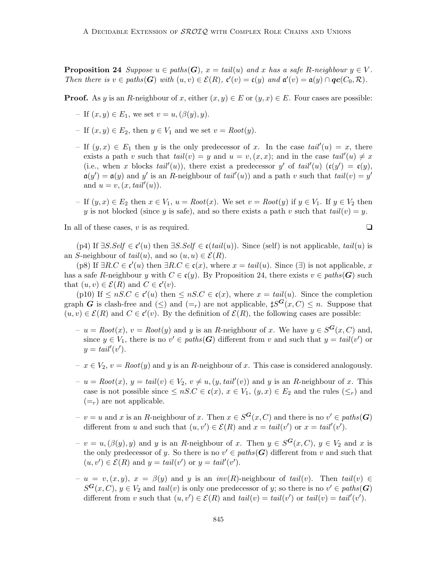**Proposition 24** Suppose  $u \in paths(G)$ ,  $x = tail(u)$  and x has a safe R-neighbour  $y \in V$ . Then there is  $v \in paths(G)$  with  $(u, v) \in \mathcal{E}(R)$ ,  $c'(v) = c(y)$  and  $a'(v) = a(y) \cap qc(C_0, R)$ .

**Proof.** As y is an R-neighbour of x, either  $(x, y) \in E$  or  $(y, x) \in E$ . Four cases are possible:

- If  $(x, y) \in E_1$ , we set  $v = u, (\beta(y), y)$ .
- If  $(x, y) \in E_2$ , then  $y \in V_1$  and we set  $v = Root(y)$ .
- If  $(y, x) \in E_1$  then y is the only predecessor of x. In the case  $tail'(u) = x$ , there exists a path v such that  $tail(v) = y$  and  $u = v, (x, x)$ ; and in the case  $tail'(u) \neq x$ (i.e., when x blocks tail'(u)), there exist a predecessor y' of tail'(u)  $(c(y') = c(y))$ ,  $a(y') = a(y)$  and y' is an R-neighbour of tail'(u)) and a path v such that tail(v) = y' and  $u = v, (x, tail'(u))$ .
- If  $(y, x) \in E_2$  then  $x \in V_1$ ,  $u = Root(x)$ . We set  $v = Root(y)$  if  $y \in V_1$ . If  $y \in V_2$  then y is not blocked (since y is safe), and so there exists a path v such that  $tail(v) = y$ .

In all of these cases, v is as required.  $\Box$ 

(p4) If  $\exists S. Self \in \mathfrak{c}'(u)$  then  $\exists S. Self \in \mathfrak{c}(tail(u))$ . Since (self) is not applicable,  $tail(u)$  is an S-neighbour of  $tail(u)$ , and so  $(u, u) \in \mathcal{E}(R)$ .

(p8) If  $\exists R.C \in \mathfrak{c}'(u)$  then  $\exists R.C \in \mathfrak{c}(x)$ , where  $x = tail(u)$ . Since  $(\exists)$  is not applicable, x has a safe R-neighbour y with  $C \in \mathfrak{c}(y)$ . By Proposition 24, there exists  $v \in paths(G)$  such that  $(u, v) \in \mathcal{E}(R)$  and  $C \in \mathfrak{c}'(v)$ .

(p10) If  $\leq nS.C \in \mathfrak{c}'(u)$  then  $\leq nS.C \in \mathfrak{c}(x)$ , where  $x = tail(u)$ . Since the completion graph G is clash-free and  $(\leq)$  and  $(=_r)$  are not applicable,  $\sharp S^G(x, C) \leq n$ . Suppose that  $(u, v) \in \mathcal{E}(R)$  and  $C \in \mathfrak{c}'(v)$ . By the definition of  $\mathcal{E}(R)$ , the following cases are possible:

- $-u = Root(x), v = Root(y)$  and y is an R-neighbour of x. We have  $y \in S^{\mathbf{G}}(x, C)$  and, since  $y \in V_1$ , there is no  $v' \in paths(G)$  different from v and such that  $y = tail(v')$  or  $y = tail'(v').$
- $x \in V_2$ ,  $v = Root(y)$  and y is an R-neighbour of x. This case is considered analogously.
- $-u = Root(x), y = tail(v) \in V_2, v \neq u, (y, tail'(v))$  and y is an R-neighbour of x. This case is not possible since  $\leq nS.C \in \mathfrak{c}(x), x \in V_1, (y, x) \in E_2$  and the rules  $(\leq_r)$  and  $(=_r)$  are not applicable.
- $v = v = u$  and x is an R-neighbour of x. Then  $x \in S^{\mathbf{G}}(x, C)$  and there is no  $v' \in paths(\mathbf{G})$ different from u and such that  $(u, v') \in \mathcal{E}(R)$  and  $x = tail(v')$  or  $x = tail'(v')$ .
- $-v = u, (\beta(y), y)$  and y is an R-neighbour of x. Then  $y \in S^{\mathbf{G}}(x, C)$ ,  $y \in V_2$  and x is the only predecessor of y. So there is no  $v' \in paths(G)$  different from v and such that  $(u, v') \in \mathcal{E}(R)$  and  $y = tail(v')$  or  $y = tail'(v')$ .
- $-u = v, (x, y), x = \beta(y)$  and y is an inv(R)-neighbour of tail(v). Then tail(v)  $\in$  $S^{\mathbf{G}}(x, C), y \in V_2$  and  $tail(v)$  is only one predecessor of y; so there is no  $v' \in paths(\mathbf{G})$ different from v such that  $(u, v') \in \mathcal{E}(R)$  and  $tail(v) = tail(v')$  or  $tail(v) = tail'(v')$ .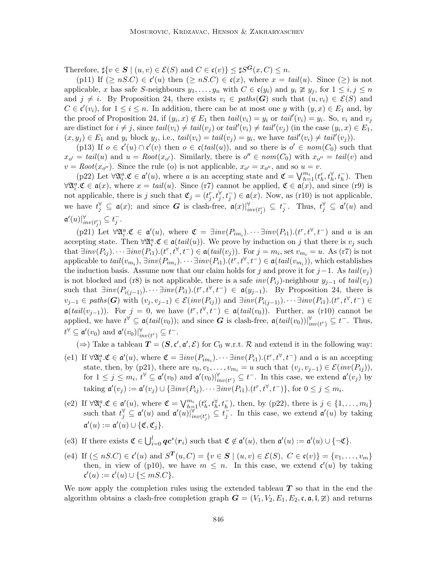Therefore,  $\sharp \{v \in S \mid (u, v) \in \mathcal{E}(S) \text{ and } C \in \mathfrak{c}(v)\} \leq \sharp S^{\mathbf{G}}(x, C) \leq n$ .

(p11) If  $(\geq nS.C) \in \mathfrak{c}'(u)$  then  $(\geq nS.C) \in \mathfrak{c}(x)$ , where  $x = tail(u)$ . Since  $(\geq)$  is not applicable, x has safe S-neighbours  $y_1, \ldots, y_n$  with  $C \in \mathfrak{c}(y_i)$  and  $y_i \not\cong y_j$ , for  $1 \leq i, j \leq n$ and  $j \neq i$ . By Proposition 24, there exists  $v_i \in paths(G)$  such that  $(u, v_i) \in \mathcal{E}(S)$  and  $C \in \mathfrak{c}'(v_i)$ , for  $1 \leq i \leq n$ . In addition, there can be at most one y with  $(y, x) \in E_1$  and, by the proof of Proposition 24, if  $(y_i, x) \notin E_1$  then  $tail(v_i) = y_i$  or  $tail'(v_i) = y_i$ . So,  $v_i$  and  $v_j$ are distinct for  $i \neq j$ , since  $tail(v_i) \neq tail(v_j)$  or  $tail'(v_i) \neq tail'(v_j)$  (in the case  $(y_i, x) \in E_1$ ,  $(x, y_j) \in E_1$  and  $y_i$  block  $y_j$ , i.e.,  $tail(v_i) = tail(v_j) = y_i$ , we have  $tail'(v_i) \neq tail'(v_j)$ .

(p13) If  $o \in \mathfrak{c}'(u) \cap \mathfrak{c}'(v)$  then  $o \in \mathfrak{c}(tail(u))$ , and so there is  $o' \in \mathit{nom}(C_0)$  such that  $x_{o'} = tail(u)$  and  $u = Root(x_{o'})$ . Similarly, there is  $o'' \in nom(C_0)$  with  $x_{o''} = tail(v)$  and  $v = Root(x_{o''})$ . Since the rule (o) is not applicable,  $x_{o'} = x_{o''}$ , and so  $u = v$ .

(p22) Let  $\forall \mathfrak{A}_i^a \mathfrak{C} \in \mathfrak{a}'(u)$ , where a is an accepting state and  $\mathfrak{C} = \bigvee_{h=1}^{m_i} (t_h^r, t_h^{\forall}, t_h^-)$ . Then  $\forall \mathfrak{A}_i^a \mathfrak{C} \in \mathfrak{a}(x)$ , where  $x = \text{tail}(u)$ . Since (r7) cannot be applied,  $\mathfrak{C} \in \mathfrak{a}(x)$ , and since (r9) is not applicable, there is j such that  $\mathfrak{C}_j = (t_j^r, t_j^{\forall}, t_j^-) \in \mathfrak{a}(x)$ . Now, as (r10) is not applicable, we have  $t_j^{\forall} \subseteq \mathfrak{a}(x)$ ; and since G is clash-free,  $\mathfrak{a}(x)|_{inv(t_j^r)}^{\forall} \subseteq t_j^-$ . Thus,  $t_j^{\forall} \subseteq \mathfrak{a}'(u)$  and  $\mathfrak{a}'(u)|_{inv(t_j^r)}^{\forall} \subseteq t_j^-$ .

(p21) Let  $\forall \mathfrak{A}_i^a \mathfrak{C} \in \mathfrak{a}'(u)$ , where  $\mathfrak{C} = \exists inv(P_{im_i}) \cdots \exists inv(P_{i1}) \cdot (t^r, t^{\forall}, t^{-})$  and a is an accepting state. Then  $\forall \mathfrak{A}_i^a \mathfrak{C} \in \mathfrak{a}(tail(u))$ . We prove by induction on j that there is  $v_j$  such that  $\exists inv(P_{ij}) \cdots \exists inv(P_{i1}) \cdot (t^r, t^{\forall}, t^{-}) \in \mathfrak{a}(tail(v_j))$ . For  $j = m_i$ , set  $v_{m_i} = u$ . As (r7) is not applicable to  $tail(v_{m_i}), \exists inv(P_{im_i}), \dots \exists inv(P_{i1}).(t^r, t^{\forall}, t^{-}) \in \mathfrak{a}(tail(v_{m_i})),$  which establishes the induction basis. Assume now that our claim holds for j and prove it for  $j-1$ . As tail $(v_j)$ is not blocked and (r8) is not applicable, there is a safe  $inv(P_{ij})$ -neighbour  $y_{j-1}$  of  $tail(v_j)$ such that  $\exists inv(P_{i(j-1)}) \cdots \exists inv(P_{i1}).(t^r, t^{\forall}, t^{-}) \in \mathfrak{a}(y_{j-1}).$  By Proposition 24, there is  $v_{j-1} \in paths(\mathbf{G})$  with  $(v_j, v_{j-1}) \in \mathcal{E}(inv(P_{ij}))$  and  $\exists inv(P_{i(j-1)}) \cdots \exists inv(P_{i1}) \cdot (t^r, t^{\forall}, t^{-}) \in$  $\mathfrak{a}(tail(v_{j-1}))$ . For  $j = 0$ , we have  $(t^r, t^{\forall}, t^-) \in \mathfrak{a}(tail(v_0))$ . Further, as (r10) cannot be applied, we have  $t^{\forall} \subseteq \mathfrak{a}(tail(v_0));$  and since G is clash-free,  $\mathfrak{a}(tail(v_0))|_{inv(t^r)}^{\forall} \subseteq t^-$ . Thus,  $t^{\forall} \subseteq \mathfrak{a}'(v_0)$  and  $\mathfrak{a}'(v_0)|_{inv(t^r)}^{\forall} \subseteq t^-$ .

 $(\Rightarrow)$  Take a tableau  $T = (S, \mathfrak{c}', \mathfrak{a}', \mathcal{E})$  for  $C_0$  w.r.t. R and extend it in the following way:

- (e1) If  $\forall \mathfrak{A}_i^a \mathfrak{C} \in \mathfrak{a}'(u)$ , where  $\mathfrak{C} = \exists inv(P_{im_i}) \cdots \exists inv(P_{i1}) \mathfrak{C}^{r}, t^{\forall}, t^{-}$  and a is an accepting state, then, by (p21), there are  $v_0, v_1, \ldots, v_{m_i} = u$  such that  $(v_j, v_{j-1}) \in \mathcal{E}(inv(P_{ij}))$ , for  $1 \leq j \leq m_i$ ,  $t^{\forall} \subseteq \mathfrak{a}'(v_0)$  and  $\mathfrak{a}'(v_0)|_{inv(t^r)}^{\forall} \subseteq t^-$ . In this case, we extend  $\mathfrak{a}'(v_j)$  by taking  $\mathfrak{a}'(v_j) := \mathfrak{a}'(v_j) \cup \{\exists inv(P_{ij}), \cdots \exists inv(P_{i1}).(t^r, t^{\forall}, t^{-})\},\text{ for } 0 \leq j \leq m_i.$
- (e2) If  $\forall \mathfrak{A}_i^a \mathfrak{C} \in \mathfrak{a}'(u)$ , where  $\mathfrak{C} = \bigvee_{h=1}^{m_i} (t_h^r, t_h^{\forall}, t_h^-)$ , then, by (p22), there is  $j \in \{1, \ldots, m_i\}$ such that  $t_j^{\forall} \subseteq \mathfrak{a}'(u)$  and  $\mathfrak{a}'(u)|_{inv(t_j^r)}^{\forall} \subseteq t_j^{\infty}$ . In this case, we extend  $\mathfrak{a}'(u)$  by taking  $\mathfrak{a}'(u) := \mathfrak{a}'(u) \cup \{\mathfrak{C}, \mathfrak{C}_j\}.$
- (e3) If there exists  $\mathfrak{C} \in \bigcup_{i=0}^l \mathbf{q} \mathbf{c}^*(\mathbf{r}_i)$  such that  $\mathfrak{C} \not\in \mathfrak{a}'(u)$ , then  $\mathfrak{a}'(u) := \mathfrak{a}'(u) \cup \{\neg \mathfrak{C}\}.$
- (e4) If  $(\leq nS.C) \in \mathfrak{c}'(u)$  and  $S^T(u, C) = \{v \in S \mid (u, v) \in \mathcal{E}(S), C \in \mathfrak{c}(v)\} = \{v_1, \ldots, v_m\}$ then, in view of (p10), we have  $m \leq n$ . In this case, we extend  $\mathfrak{c}'(u)$  by taking  $\mathfrak{c}'(u) := \mathfrak{c}'(u) \cup \{\leq mS.C\}.$

We now apply the completion rules using the extended tableau  $T$  so that in the end the algorithm obtains a clash-free completion graph  $G = (V_1, V_2, E_1, E_2, \mathfrak{c}, \mathfrak{a}, \mathfrak{l}, \not\cong)$  and returns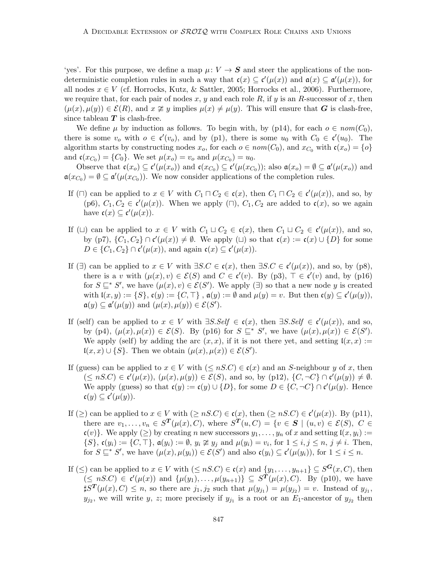'yes'. For this purpose, we define a map  $\mu: V \to S$  and steer the applications of the nondeterministic completion rules in such a way that  $\mathfrak{c}(x) \subseteq \mathfrak{c}'(\mu(x))$  and  $\mathfrak{a}(x) \subseteq \mathfrak{a}'(\mu(x))$ , for all nodes  $x \in V$  (cf. Horrocks, Kutz, & Sattler, 2005; Horrocks et al., 2006). Furthermore, we require that, for each pair of nodes x, y and each role R, if y is an R-successor of x, then  $(\mu(x), \mu(y)) \in \mathcal{E}(R)$ , and  $x \not\cong y$  implies  $\mu(x) \neq \mu(y)$ . This will ensure that G is clash-free, since tableau  $T$  is clash-free.

We define  $\mu$  by induction as follows. To begin with, by (p14), for each  $o \in nom(C_0)$ , there is some  $v_o$  with  $o \in \mathfrak{c}'(v_o)$ , and by (p1), there is some  $u_0$  with  $C_0 \in \mathfrak{c}'(u_0)$ . The algorithm starts by constructing nodes  $x_o$ , for each  $o \in nom(C_0)$ , and  $x_{C_0}$  with  $\mathfrak{c}(x_o) = \{o\}$ and  $c(x_{C_0}) = \{C_0\}$ . We set  $\mu(x_o) = v_o$  and  $\mu(x_{C_0}) = u_0$ .

Observe that  $\mathfrak{c}(x_0) \subseteq \mathfrak{c}'(\mu(x_0))$  and  $\mathfrak{c}(x_{C_0}) \subseteq \mathfrak{c}'(\mu(x_{C_0}))$ ; also  $\mathfrak{a}(x_0) = \emptyset \subseteq \mathfrak{a}'(\mu(x_0))$  and  $\mathfrak{a}(x_{C_0}) = \emptyset \subseteq \mathfrak{a}'(\mu(x_{C_0}))$ . We now consider applications of the completion rules.

- If  $(\Box)$  can be applied to  $x \in V$  with  $C_1 \cap C_2 \in \mathfrak{c}(x)$ , then  $C_1 \cap C_2 \in \mathfrak{c}'(\mu(x))$ , and so, by (p6),  $C_1, C_2 \in \mathfrak{c}'(\mu(x))$ . When we apply  $(\square)$ ,  $C_1, C_2$  are added to  $\mathfrak{c}(x)$ , so we again have  $\mathfrak{c}(x) \subseteq \mathfrak{c}'(\mu(x))$ .
- If ( $\Box$ ) can be applied to  $x \in V$  with  $C_1 \cup C_2 \in \mathfrak{c}(x)$ , then  $C_1 \cup C_2 \in \mathfrak{c}'(\mu(x))$ , and so, by (p7),  $\{C_1, C_2\} \cap {\frak c}'(\mu(x)) \neq \emptyset$ . We apply ( $\sqcup$ ) so that  ${\frak c}(x) := {\frak c}(x) \cup \{D\}$  for some  $D \in \{C_1, C_2\} \cap \mathfrak{c}'(\mu(x))$ , and again  $\mathfrak{c}(x) \subseteq \mathfrak{c}'(\mu(x))$ .
- If (∃) can be applied to  $x \in V$  with  $\exists S.C \in \mathfrak{c}(x)$ , then  $\exists S.C \in \mathfrak{c}'(\mu(x))$ , and so, by (p8), there is a v with  $(\mu(x), v) \in \mathcal{E}(S)$  and  $C \in \mathfrak{c}'(v)$ . By (p3),  $\top \in \mathfrak{c}'(v)$  and, by (p16) for  $S \sqsubseteq^* S'$ , we have  $(\mu(x), v) \in \mathcal{E}(S')$ . We apply  $(\exists)$  so that a new node y is created with  $\mathfrak{l}(x,y) := \{S\}, \mathfrak{c}(y) := \{C, \top\}$ ,  $\mathfrak{a}(y) := \emptyset$  and  $\mu(y) = v$ . But then  $\mathfrak{c}(y) \subseteq \mathfrak{c}'(\mu(y)),$  $a(y) \subseteq a'(\mu(y))$  and  $(\mu(x), \mu(y)) \in \mathcal{E}(S')$ .
- If (self) can be applied to  $x \in V$  with  $\exists S. Self \in \mathfrak{c}(x)$ , then  $\exists S. Self \in \mathfrak{c}'(\mu(x))$ , and so, by (p4),  $(\mu(x), \mu(x)) \in \mathcal{E}(S)$ . By (p16) for  $S \subseteq^* S'$ , we have  $(\mu(x), \mu(x)) \in \mathcal{E}(S')$ . We apply (self) by adding the arc  $(x, x)$ , if it is not there yet, and setting  $l(x, x) :=$  $\mathfrak{l}(x,x) \cup \{S\}$ . Then we obtain  $(\mu(x), \mu(x)) \in \mathcal{E}(S')$ .
- If (guess) can be applied to  $x \in V$  with  $(\leq nS.C) \in \mathfrak{c}(x)$  and an S-neighbour y of x, then  $(\leq nS.C) \in \mathfrak{c}'(\mu(x)), (\mu(x), \mu(y)) \in \mathcal{E}(S)$ , and so, by (p12),  $\{C, \neg C\} \cap \mathfrak{c}'(\mu(y)) \neq \emptyset$ . We apply (guess) so that  $c(y) := c(y) \cup \{D\}$ , for some  $D \in \{C, \neg C\} \cap c'(\mu(y))$ . Hence  $\mathfrak{c}(y) \subseteq \mathfrak{c}'(\mu(y)).$
- If  $(\geq)$  can be applied to  $x \in V$  with  $(\geq nS.C) \in \mathfrak{c}(x)$ , then  $(\geq nS.C) \in \mathfrak{c}'(\mu(x))$ . By (p11), there are  $v_1, \ldots, v_n \in S^T(\mu(x), C)$ , where  $S^T(u, C) = \{v \in S \mid (u, v) \in \mathcal{E}(S), C \in$  $c(v)$ . We apply  $(\geq)$  by creating n new successors  $y_1, \ldots, y_n$  of x and setting  $\mathfrak{l}(x, y_i) :=$  $\{S\}, \mathfrak{c}(y_i) := \{C, \top\}, \mathfrak{a}(y_i) := \emptyset, y_i \not\cong y_j \text{ and } \mu(y_i) = v_i, \text{ for } 1 \leq i, j \leq n, j \neq i. \text{ Then, }$ for  $S \subseteq^* S'$ , we have  $(\mu(x), \mu(y_i)) \in \mathcal{E}(S')$  and also  $\mathfrak{c}(y_i) \subseteq \mathfrak{c}'(\mu(y_i))$ , for  $1 \leq i \leq n$ .
- If ( $\leq$ ) can be applied to  $x \in V$  with  $(\leq nS.C) \in \mathfrak{c}(x)$  and  $\{y_1, \ldots, y_{n+1}\} \subseteq S^{\mathbf{G}}(x, C)$ , then  $(\leq nS.C) \in {\frak c}'(\mu(x))$  and  $\{\mu(y_1), \ldots, \mu(y_{n+1})\} \subseteq S^T(\mu(x), C)$ . By (p10), we have  $\sharp S^T(\mu(x), C) \leq n$ , so there are  $j_1, j_2$  such that  $\mu(y_{j_1}) = \mu(y_{j_2}) = v$ . Instead of  $y_{j_1}$ ,  $y_{j_2}$ , we will write y, z; more precisely if  $y_{j_1}$  is a root or an  $E_1$ -ancestor of  $y_{j_2}$  then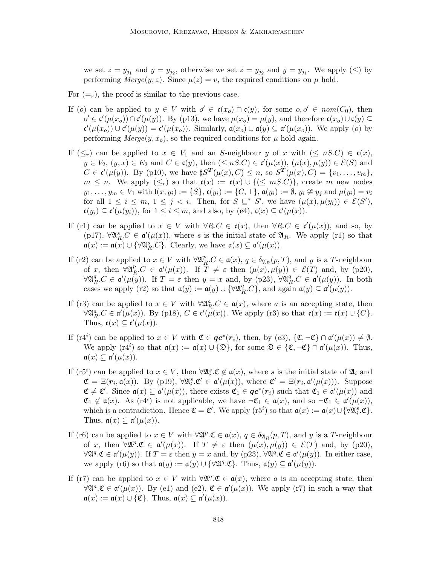we set  $z = y_{j_1}$  and  $y = y_{j_2}$ , otherwise we set  $z = y_{j_2}$  and  $y = y_{j_1}$ . We apply  $(\le)$  by performing  $Merge(y, z)$ . Since  $\mu(z) = v$ , the required conditions on  $\mu$  hold.

For  $(=_r)$ , the proof is similar to the previous case.

- If (o) can be applied to  $y \in V$  with  $o' \in \mathfrak{c}(x_o) \cap \mathfrak{c}(y)$ , for some  $o, o' \in \mathit{nom}(C_0)$ , then  $o' \in \mathfrak{c}'(\mu(x_o)) \cap \mathfrak{c}'(\mu(y))$ . By (p13), we have  $\mu(x_o) = \mu(y)$ , and therefore  $\mathfrak{c}(x_o) \cup \mathfrak{c}(y) \subseteq$  $\mathfrak{c}'(\mu(x_o)) \cup \mathfrak{c}'(\mu(y)) = \mathfrak{c}'(\mu(x_o)).$  Similarly,  $\mathfrak{a}(x_o) \cup \mathfrak{a}(y) \subseteq \mathfrak{a}'(\mu(x_o)).$  We apply (*o*) by performing  $Merge(y, x_o)$ , so the required conditions for  $\mu$  hold again.
- If  $(\leq_r)$  can be applied to  $x \in V_1$  and an S-neighbour y of x with  $(\leq nS.C) \in \mathfrak{c}(x)$ ,  $y \in V_2$ ,  $(y, x) \in E_2$  and  $C \in \mathfrak{c}(y)$ , then  $(\leq nS.C) \in \mathfrak{c}'(\mu(x))$ ,  $(\mu(x), \mu(y)) \in \mathcal{E}(S)$  and  $C \in \mathfrak{c}'(\mu(y)).$  By (p10), we have  $\sharp S^T(\mu(x), C) \leq n$ , so  $S^T(\mu(x), C) = \{v_1, \ldots, v_m\},$  $m \leq n$ . We apply  $(\leq_r)$  so that  $\mathfrak{c}(x) := \mathfrak{c}(x) \cup \{(\leq mS.C)\}\)$ , create m new nodes  $y_1, \ldots, y_m \in V_1$  with  $\mathfrak{l}(x, y_i) := \{S\}, \mathfrak{c}(y_i) := \{C, \top\}, \mathfrak{a}(y_i) := \emptyset, y_i \not\cong y_j \text{ and } \mu(y_i) = v_i$ for all  $1 \leq i \leq m, 1 \leq j < i$ . Then, for  $S \subseteq^* S'$ , we have  $(\mu(x), \mu(y_i)) \in \mathcal{E}(S')$ ,  $\mathfrak{c}(y_i) \subseteq \mathfrak{c}'(\mu(y_i))$ , for  $1 \leq i \leq m$ , and also, by (e4),  $\mathfrak{c}(x) \subseteq \mathfrak{c}'(\mu(x))$ .
- If (r1) can be applied to  $x \in V$  with  $\forall R.C \in \mathfrak{c}(x)$ , then  $\forall R.C \in \mathfrak{c}'(\mu(x))$ , and so, by (p17),  $\forall \mathfrak{A}_R^s$ . $C \in \mathfrak{a}'(\mu(x))$ , where s is the initial state of  $\mathfrak{A}_R$ . We apply (r1) so that  $\mathfrak{a}(x) := \mathfrak{a}(x) \cup \{ \forall \mathfrak{A}_R^s.C \}.$  Clearly, we have  $\mathfrak{a}(x) \subseteq \mathfrak{a}'(\mu(x)).$
- If (r2) can be applied to  $x \in V$  with  $\forall \mathfrak{A}^p$  ${}_{R}^{p}$ . $C \in \mathfrak{a}(x), q \in \delta_{\mathfrak{A}_R}(p,T)$ , and y is a T-neighbour of x, then  $\forall \mathfrak{A}^p$  ${}_{R}^{p}C \in \mathfrak{a}'(\mu(x)).$  If  $\widetilde{T} \neq \varepsilon$  then  $(\mu(x), \mu(y)) \in \mathcal{E}(T)$  and, by (p20),  $\forall \mathfrak{A}^{q}_I$  $R^q$ ,  $C \in \mathfrak{a}'(\mu(y))$ . If  $T = \varepsilon$  then  $y = x$  and, by (p23),  $\forall \mathfrak{A}_P^q$  ${}_{R}^{q}$ . $C \in \mathfrak{a}'(\mu(y))$ . In both cases we apply (r2) so that  $\mathfrak{a}(y) := \mathfrak{a}(y) \cup \{ \forall \mathfrak{A}^q_p\}$  $_R^q.C$ , and again  $\mathfrak{a}(y) \subseteq \mathfrak{a}'(\mu(y)).$
- If (r3) can be applied to  $x \in V$  with  $\forall \mathfrak{A}_R^a C \in \mathfrak{a}(x)$ , where a is an accepting state, then  $\forall \mathfrak{A}_R^a C \in \mathfrak{a}'(\mu(x))$ . By (p18),  $C \in \mathfrak{c}'(\mu(x))$ . We apply (r3) so that  $\mathfrak{c}(x) := \mathfrak{c}(x) \cup \{C\}$ . Thus,  $\mathfrak{c}(x) \subseteq \mathfrak{c}'(\mu(x)).$
- If  $(r4^i)$  can be applied to  $x \in V$  with  $\mathfrak{C} \in \mathbf{qc}^*(r_i)$ , then, by  $(e3)$ ,  $\{\mathfrak{C}, \neg \mathfrak{C}\} \cap \mathfrak{a}'(\mu(x)) \neq \emptyset$ . We apply  $(r4^i)$  so that  $a(x) := a(x) \cup {\emptyset}$ , for some  $\mathfrak{D} \in {\emptyset} \cap a'(\mu(x))$ . Thus,  $a(x) \subseteq a'(\mu(x)).$
- If  $(r5^i)$  can be applied to  $x \in V$ , then  $\forall \mathfrak{A}_i^s \mathfrak{C} \notin \mathfrak{a}(x)$ , where s is the initial state of  $\mathfrak{A}_i$  and  $\mathfrak{C} = \Xi(\mathbf{r}_i, \mathfrak{a}(x))$ . By (p19),  $\forall \mathfrak{A}_i^s \mathfrak{C}' \in \mathfrak{a}'(\mu(x))$ , where  $\mathfrak{C}' = \Xi(\mathbf{r}_i, \mathfrak{a}'(\mu(x)))$ . Suppose  $\mathfrak{C} \neq \mathfrak{C}'$ . Since  $\mathfrak{a}(x) \subseteq a'(\mu(x))$ , there exists  $\mathfrak{C}_1 \in \mathfrak{qc}^*(r_i)$  such that  $\mathfrak{C}_1 \in \mathfrak{a}'(\mu(x))$  and  $\mathfrak{C}_1 \notin \mathfrak{a}(x)$ . As  $(r4^i)$  is not applicable, we have  $\neg \mathfrak{C}_1 \in \mathfrak{a}(x)$ , and so  $\neg \mathfrak{C}_1 \in \mathfrak{a}'(\mu(x))$ , which is a contradiction. Hence  $\mathfrak{C} = \mathfrak{C}'$ . We apply  $(r5^i)$  so that  $\mathfrak{a}(x) := \mathfrak{a}(x) \cup {\forall \mathfrak{A}_i^s \mathfrak{C}}.$ Thus,  $a(x) \subseteq a'(\mu(x))$ .
- If (r6) can be applied to  $x \in V$  with  $\forall \mathfrak{A}^p \mathfrak{C} \in \mathfrak{a}(x), q \in \delta_{\mathfrak{A}_R}(p,T)$ , and y is a T-neighbour of x, then  $\forall \mathfrak{A}^p \mathfrak{C} \in \mathfrak{a}'(\mu(x))$ . If  $T \neq \varepsilon$  then  $(\mu(x), \mu(y)) \in \mathcal{E}(T)$  and, by (p20),  $\forall \mathfrak{A}^q \cdot \mathfrak{C} \in \mathfrak{a}'(\mu(y))$ . If  $T = \varepsilon$  then  $y = x$  and, by (p23),  $\forall \mathfrak{A}^q \cdot \mathfrak{C} \in \mathfrak{a}'(\mu(y))$ . In either case, we apply (r6) so that  $\mathfrak{a}(y) := \mathfrak{a}(y) \cup {\forall \mathfrak{A}^q \mathfrak{C}}$ . Thus,  $\mathfrak{a}(y) \subseteq \mathfrak{a}'(\mu(y))$ .
- If (r7) can be applied to  $x \in V$  with  $\forall \mathfrak{A}^a \mathfrak{C} \in \mathfrak{a}(x)$ , where a is an accepting state, then  $\forall \mathfrak{A}^a \mathfrak{C} \in \mathfrak{a}'(\mu(x))$ . By (e1) and (e2),  $\mathfrak{C} \in \mathfrak{a}'(\mu(x))$ . We apply (r7) in such a way that  $a(x) := a(x) \cup \{C\}$ . Thus,  $a(x) \subseteq a'(\mu(x))$ .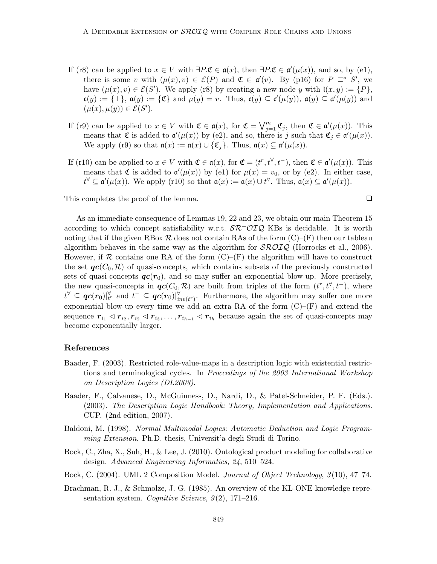- If (r8) can be applied to  $x \in V$  with  $\exists P \mathfrak{C} \in \mathfrak{a}(x)$ , then  $\exists P \mathfrak{C} \in \mathfrak{a}'(\mu(x))$ , and so, by (e1), there is some v with  $(\mu(x), v) \in \mathcal{E}(P)$  and  $\mathfrak{C} \in \mathfrak{a}'(v)$ . By (p16) for  $P \subseteq^* S'$ , we have  $(\mu(x), v) \in \mathcal{E}(S')$ . We apply (r8) by creating a new node y with  $\mathfrak{l}(x, y) := \{P\},\$  $c(y) := {\{\top\}}, a(y) := {\{\mathfrak{C}}\}$  and  $\mu(y) = v$ . Thus,  $c(y) \subseteq c'(\mu(y)), a(y) \subseteq a'(\mu(y))$  and  $(\mu(x), \mu(y)) \in \mathcal{E}(S').$
- If (r9) can be applied to  $x \in V$  with  $\mathfrak{C} \in \mathfrak{a}(x)$ , for  $\mathfrak{C} = \bigvee_{j=1}^{m} \mathfrak{C}_j$ , then  $\mathfrak{C} \in \mathfrak{a}'(\mu(x))$ . This means that  $\mathfrak{C}$  is added to  $\mathfrak{a}'(\mu(x))$  by (e2), and so, there is j such that  $\mathfrak{C}_j \in \mathfrak{a}'(\mu(x))$ . We apply (r9) so that  $\mathfrak{a}(x) := \mathfrak{a}(x) \cup \{ \mathfrak{C}_j \}.$  Thus,  $\mathfrak{a}(x) \subseteq \mathfrak{a}'(\mu(x)).$
- If (r10) can be applied to  $x \in V$  with  $\mathfrak{C} \in \mathfrak{a}(x)$ , for  $\mathfrak{C} = (t^r, t^{\forall}, t^-)$ , then  $\mathfrak{C} \in \mathfrak{a}'(\mu(x))$ . This means that  $\mathfrak C$  is added to  $\mathfrak a'(\mu(x))$  by (e1) for  $\mu(x) = v_0$ , or by (e2). In either case,  $t^{\forall} \subseteq \mathfrak{a}'(\mu(x))$ . We apply (r10) so that  $\mathfrak{a}(x) := \mathfrak{a}(x) \cup t^{\forall}$ . Thus,  $\mathfrak{a}(x) \subseteq \mathfrak{a}'(\mu(x))$ .

This completes the proof of the lemma.  $□$ 

As an immediate consequence of Lemmas 19, 22 and 23, we obtain our main Theorem 15 according to which concept satisfiability w.r.t.  $\mathcal{SR}^+\mathcal{O}IQ$  KBs is decidable. It is worth noting that if the given RBox  $\mathcal R$  does not contain RAs of the form  $(C)-(F)$  then our tableau algorithm behaves in the same way as the algorithm for  $\mathcal{SROLQ}$  (Horrocks et al., 2006). However, if  $\mathcal R$  contains one RA of the form  $(C)$ – $(F)$  the algorithm will have to construct the set  $\mathbf{qc}(C_0, \mathcal{R})$  of quasi-concepts, which contains subsets of the previously constructed sets of quasi-concepts  $\boldsymbol{qc}(r_0)$ , and so may suffer an exponential blow-up. More precisely, the new quasi-concepts in  $\mathbf{qc}(C_0, \mathcal{R})$  are built from triples of the form  $(t^r, t^{\forall}, t^-)$ , where  $t^{\forall} \subseteq \boldsymbol{qc}(r_0)|_{tr}^{\forall}$  and  $t^{-} \subseteq \boldsymbol{qc}(r_0)|_{inv(t^r)}^{\forall}$ . Furthermore, the algorithm may suffer one more exponential blow-up every time we add an extra RA of the form  $(C)$ – $(F)$  and extend the sequence  $r_{i_1} \lhd r_{i_2}, r_{i_2} \lhd r_{i_3}, \ldots, r_{i_{h-1}} \lhd r_{i_h}$  because again the set of quasi-concepts may become exponentially larger.

#### References

- Baader, F. (2003). Restricted role-value-maps in a description logic with existential restrictions and terminological cycles. In Proccedings of the 2003 International Workshop on Description Logics (DL2003).
- Baader, F., Calvanese, D., McGuinness, D., Nardi, D., & Patel-Schneider, P. F. (Eds.). (2003). The Description Logic Handbook: Theory, Implementation and Applications. CUP. (2nd edition, 2007).
- Baldoni, M. (1998). Normal Multimodal Logics: Automatic Deduction and Logic Programming Extension. Ph.D. thesis, Universit'a degli Studi di Torino.
- Bock, C., Zha, X., Suh, H., & Lee, J. (2010). Ontological product modeling for collaborative design. Advanced Engineering Informatics, 24, 510–524.
- Bock, C. (2004). UML 2 Composition Model. *Journal of Object Technology*,  $\mathcal{I}(10)$ , 47–74.
- Brachman, R. J., & Schmolze, J. G. (1985). An overview of the KL-ONE knowledge representation system. Cognitive Science,  $9(2)$ , 171–216.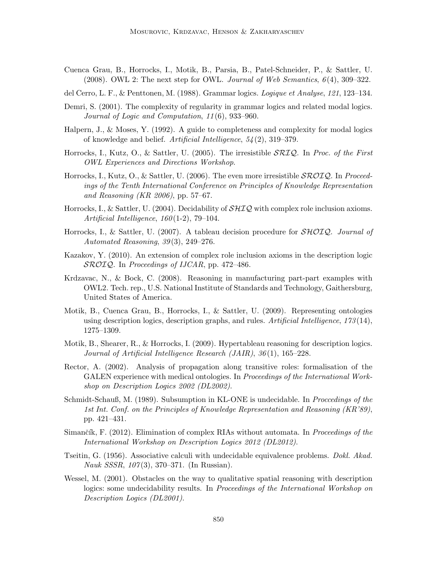- Cuenca Grau, B., Horrocks, I., Motik, B., Parsia, B., Patel-Schneider, P., & Sattler, U. (2008). OWL 2: The next step for OWL. Journal of Web Semantics,  $6(4)$ , 309–322.
- del Cerro, L. F., & Penttonen, M. (1988). Grammar logics. Logique et Analyse, 121, 123–134.
- Demri, S. (2001). The complexity of regularity in grammar logics and related modal logics. Journal of Logic and Computation, 11 (6), 933–960.
- Halpern, J., & Moses, Y. (1992). A guide to completeness and complexity for modal logics of knowledge and belief. Artificial Intelligence, 54 (2), 319–379.
- Horrocks, I., Kutz, O., & Sattler, U. (2005). The irresistible  $\mathcal{SRIQ}$ . In Proc. of the First OWL Experiences and Directions Workshop.
- Horrocks, I., Kutz, O., & Sattler, U. (2006). The even more irresistible  $\mathcal{SROIQ}$ . In Proceedings of the Tenth International Conference on Principles of Knowledge Representation and Reasoning (KR  $2006$ ), pp. 57–67.
- Horrocks, I., & Sattler, U. (2004). Decidability of  $\mathcal{SHIQ}$  with complex role inclusion axioms. Artificial Intelligence,  $160(1-2)$ , 79-104.
- Horrocks, I., & Sattler, U. (2007). A tableau decision procedure for  $\mathcal{SHOLQ}$ . Journal of Automated Reasoning,  $39(3)$ ,  $249-276$ .
- Kazakov, Y. (2010). An extension of complex role inclusion axioms in the description logic SROIQ. In Proceedings of IJCAR, pp. 472–486.
- Krdzavac, N., & Bock, C. (2008). Reasoning in manufacturing part-part examples with OWL2. Tech. rep., U.S. National Institute of Standards and Technology, Gaithersburg, United States of America.
- Motik, B., Cuenca Grau, B., Horrocks, I., & Sattler, U. (2009). Representing ontologies using description logics, description graphs, and rules. Artificial Intelligence, 173 (14), 1275–1309.
- Motik, B., Shearer, R., & Horrocks, I. (2009). Hypertableau reasoning for description logics. Journal of Artificial Intelligence Research (JAIR), 36 (1), 165–228.
- Rector, A. (2002). Analysis of propagation along transitive roles: formalisation of the GALEN experience with medical ontologies. In *Proceedings of the International Work*shop on Description Logics 2002 (DL2002).
- Schmidt-Schauß, M. (1989). Subsumption in KL-ONE is undecidable. In *Proccedings of the* 1st Int. Conf. on the Principles of Knowledge Representation and Reasoning (KR'89), pp. 421–431.
- Simančík, F.  $(2012)$ . Elimination of complex RIAs without automata. In *Proceedings of the* International Workshop on Description Logics 2012 (DL2012).
- Tseitin, G. (1956). Associative calculi with undecidable equivalence problems. Dokl. Akad. Nauk SSSR, 107(3), 370–371. (In Russian).
- Wessel, M. (2001). Obstacles on the way to qualitative spatial reasoning with description logics: some undecidability results. In *Proceedings of the International Workshop on* Description Logics (DL2001).